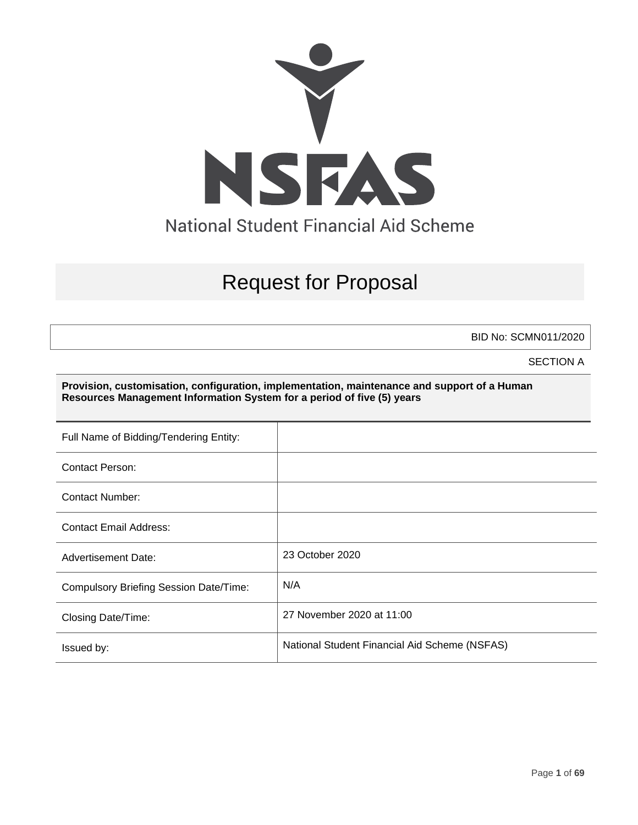

# Request for Proposal

BID No: SCMN011/2020

SECTION A

**Provision, customisation, configuration, implementation, maintenance and support of a Human Resources Management Information System for a period of five (5) years**

| Full Name of Bidding/Tendering Entity:        |                                               |
|-----------------------------------------------|-----------------------------------------------|
| <b>Contact Person:</b>                        |                                               |
| Contact Number:                               |                                               |
| <b>Contact Email Address:</b>                 |                                               |
| <b>Advertisement Date:</b>                    | 23 October 2020                               |
| <b>Compulsory Briefing Session Date/Time:</b> | N/A                                           |
| Closing Date/Time:                            | 27 November 2020 at 11:00                     |
| Issued by:                                    | National Student Financial Aid Scheme (NSFAS) |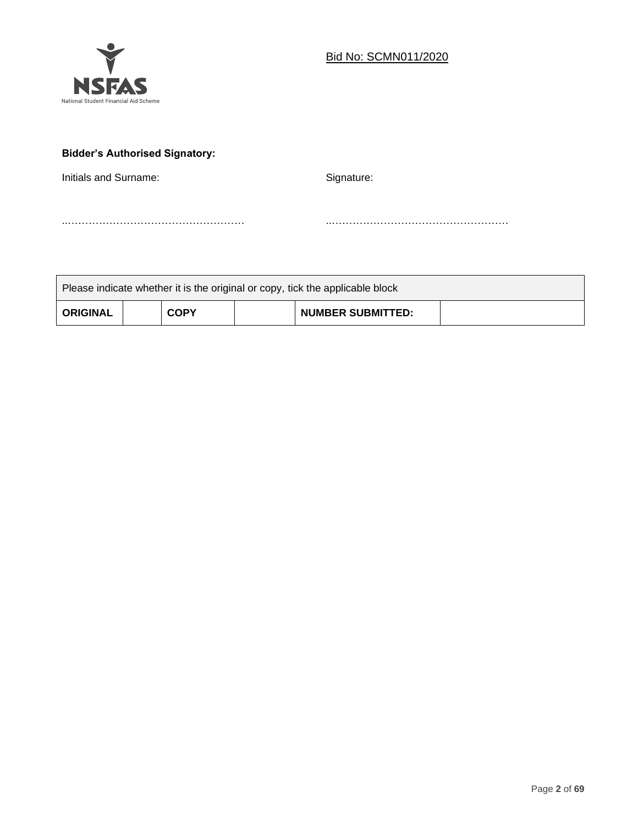

# **Bidder's Authorised Signatory:**

Initials and Surname: Signature: Signature:

Please indicate whether it is the original or copy, tick the applicable block **ORIGINAL COPY NUMBER SUBMITTED:**

..…………………………………………… ..……………………………………………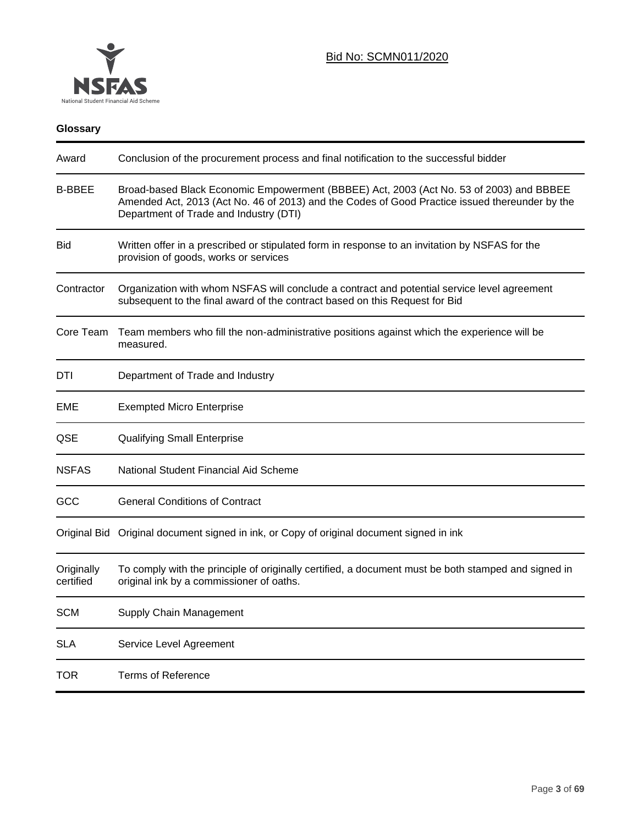

| Conclusion of the procurement process and final notification to the successful bidder                                                                                                                                               |
|-------------------------------------------------------------------------------------------------------------------------------------------------------------------------------------------------------------------------------------|
| Broad-based Black Economic Empowerment (BBBEE) Act, 2003 (Act No. 53 of 2003) and BBBEE<br>Amended Act, 2013 (Act No. 46 of 2013) and the Codes of Good Practice issued thereunder by the<br>Department of Trade and Industry (DTI) |
| Written offer in a prescribed or stipulated form in response to an invitation by NSFAS for the<br>provision of goods, works or services                                                                                             |
| Organization with whom NSFAS will conclude a contract and potential service level agreement<br>subsequent to the final award of the contract based on this Request for Bid                                                          |
| Team members who fill the non-administrative positions against which the experience will be<br>measured.                                                                                                                            |
| Department of Trade and Industry                                                                                                                                                                                                    |
| <b>Exempted Micro Enterprise</b>                                                                                                                                                                                                    |
| <b>Qualifying Small Enterprise</b>                                                                                                                                                                                                  |
| National Student Financial Aid Scheme                                                                                                                                                                                               |
| <b>General Conditions of Contract</b>                                                                                                                                                                                               |
| Original document signed in ink, or Copy of original document signed in ink<br>Original Bid                                                                                                                                         |
| To comply with the principle of originally certified, a document must be both stamped and signed in<br>original ink by a commissioner of oaths.                                                                                     |
| Supply Chain Management                                                                                                                                                                                                             |
| Service Level Agreement                                                                                                                                                                                                             |
| <b>Terms of Reference</b>                                                                                                                                                                                                           |
|                                                                                                                                                                                                                                     |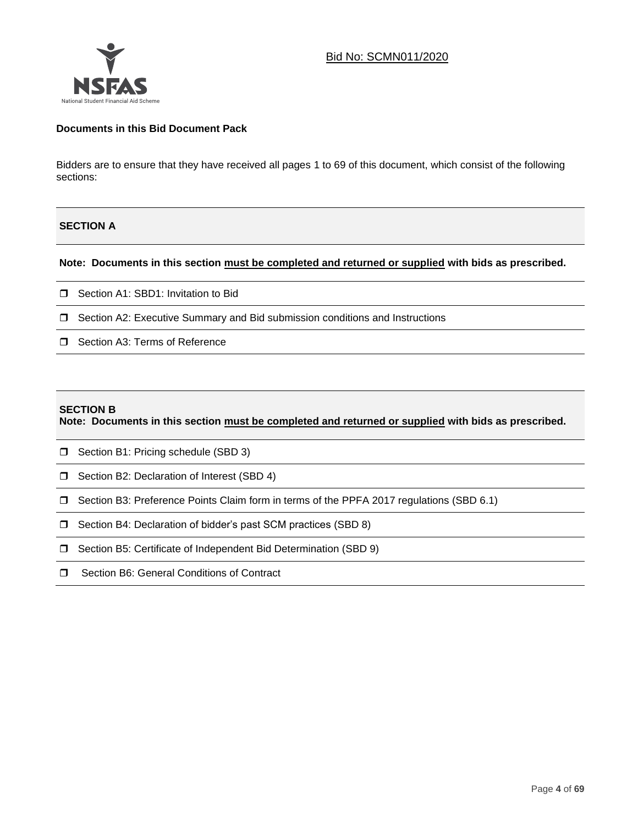

### **Documents in this Bid Document Pack**

Bidders are to ensure that they have received all pages 1 to 69 of this document, which consist of the following sections:

### **SECTION A**

#### **Note: Documents in this section must be completed and returned or supplied with bids as prescribed.**

- □ Section A1: SBD1: Invitation to Bid
- $\Box$  Section A2: Executive Summary and Bid submission conditions and Instructions
- □ Section A3: Terms of Reference

#### **SECTION B**

**Note: Documents in this section must be completed and returned or supplied with bids as prescribed.**

- **B** Section B1: Pricing schedule (SBD 3)
- □ Section B2: Declaration of Interest (SBD 4)
- Section B3: Preference Points Claim form in terms of the PPFA 2017 regulations (SBD 6.1)
- □ Section B4: Declaration of bidder's past SCM practices (SBD 8)
- □ Section B5: Certificate of Independent Bid Determination (SBD 9)
- □ Section B6: General Conditions of Contract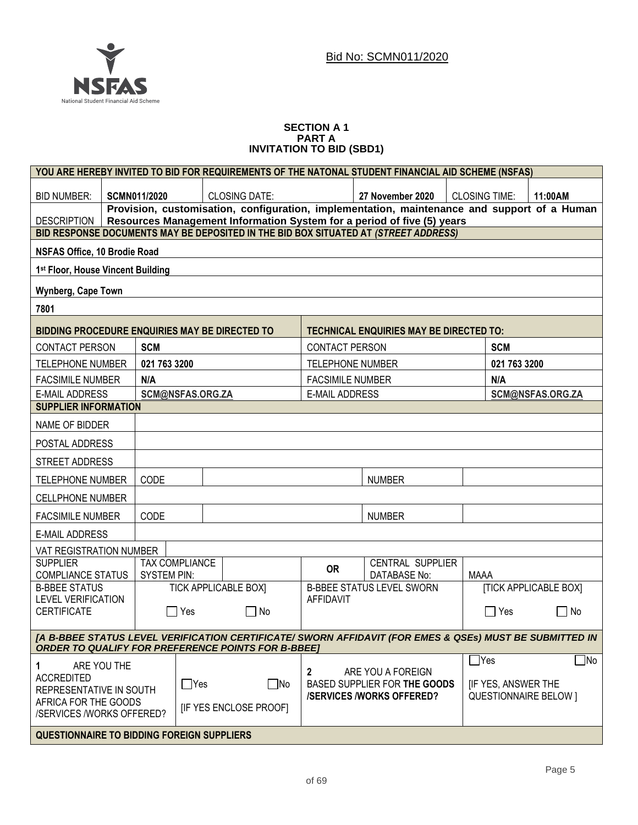

#### **SECTION A 1 PART A INVITATION TO BID (SBD1)**

|                                                                                                                                                                                             |                              |                    |                       |                                                           |                         | YOU ARE HEREBY INVITED TO BID FOR REQUIREMENTS OF THE NATONAL STUDENT FINANCIAL AID SCHEME (NSFAS)      |                      |              |                              |  |
|---------------------------------------------------------------------------------------------------------------------------------------------------------------------------------------------|------------------------------|--------------------|-----------------------|-----------------------------------------------------------|-------------------------|---------------------------------------------------------------------------------------------------------|----------------------|--------------|------------------------------|--|
| <b>BID NUMBER:</b>                                                                                                                                                                          |                              | SCMN011/2020       |                       | <b>CLOSING DATE:</b>                                      |                         | 27 November 2020                                                                                        | <b>CLOSING TIME:</b> |              | 11:00AM                      |  |
| Provision, customisation, configuration, implementation, maintenance and support of a Human<br>Resources Management Information System for a period of five (5) years<br><b>DESCRIPTION</b> |                              |                    |                       |                                                           |                         |                                                                                                         |                      |              |                              |  |
| BID RESPONSE DOCUMENTS MAY BE DEPOSITED IN THE BID BOX SITUATED AT (STREET ADDRESS)                                                                                                         |                              |                    |                       |                                                           |                         |                                                                                                         |                      |              |                              |  |
|                                                                                                                                                                                             | NSFAS Office, 10 Brodie Road |                    |                       |                                                           |                         |                                                                                                         |                      |              |                              |  |
| 1st Floor, House Vincent Building                                                                                                                                                           |                              |                    |                       |                                                           |                         |                                                                                                         |                      |              |                              |  |
| Wynberg, Cape Town                                                                                                                                                                          |                              |                    |                       |                                                           |                         |                                                                                                         |                      |              |                              |  |
| 7801                                                                                                                                                                                        |                              |                    |                       |                                                           |                         |                                                                                                         |                      |              |                              |  |
| <b>BIDDING PROCEDURE ENQUIRIES MAY BE DIRECTED TO</b>                                                                                                                                       |                              |                    |                       |                                                           |                         | <b>TECHNICAL ENQUIRIES MAY BE DIRECTED TO:</b>                                                          |                      |              |                              |  |
| <b>CONTACT PERSON</b>                                                                                                                                                                       |                              | <b>SCM</b>         |                       |                                                           | <b>CONTACT PERSON</b>   |                                                                                                         |                      | <b>SCM</b>   |                              |  |
| <b>TELEPHONE NUMBER</b>                                                                                                                                                                     |                              | 021 763 3200       |                       |                                                           | <b>TELEPHONE NUMBER</b> |                                                                                                         |                      | 021 763 3200 |                              |  |
| <b>FACSIMILE NUMBER</b>                                                                                                                                                                     |                              | N/A                |                       |                                                           | <b>FACSIMILE NUMBER</b> |                                                                                                         |                      | N/A          |                              |  |
| <b>E-MAIL ADDRESS</b>                                                                                                                                                                       |                              |                    | SCM@NSFAS.ORG.ZA      |                                                           | <b>E-MAIL ADDRESS</b>   |                                                                                                         |                      |              | SCM@NSFAS.ORG.ZA             |  |
| <b>SUPPLIER INFORMATION</b>                                                                                                                                                                 |                              |                    |                       |                                                           |                         |                                                                                                         |                      |              |                              |  |
| NAME OF BIDDER                                                                                                                                                                              |                              |                    |                       |                                                           |                         |                                                                                                         |                      |              |                              |  |
| POSTAL ADDRESS                                                                                                                                                                              |                              |                    |                       |                                                           |                         |                                                                                                         |                      |              |                              |  |
| STREET ADDRESS                                                                                                                                                                              |                              |                    |                       |                                                           |                         |                                                                                                         |                      |              |                              |  |
| <b>TELEPHONE NUMBER</b>                                                                                                                                                                     |                              | CODE               |                       |                                                           |                         | <b>NUMBER</b>                                                                                           |                      |              |                              |  |
| <b>CELLPHONE NUMBER</b>                                                                                                                                                                     |                              |                    |                       |                                                           |                         |                                                                                                         |                      |              |                              |  |
| <b>FACSIMILE NUMBER</b>                                                                                                                                                                     |                              | <b>CODE</b>        |                       |                                                           |                         | <b>NUMBER</b>                                                                                           |                      |              |                              |  |
| <b>E-MAIL ADDRESS</b>                                                                                                                                                                       |                              |                    |                       |                                                           |                         |                                                                                                         |                      |              |                              |  |
| VAT REGISTRATION NUMBER                                                                                                                                                                     |                              |                    |                       |                                                           |                         |                                                                                                         |                      |              |                              |  |
| <b>SUPPLIER</b><br><b>COMPLIANCE STATUS</b>                                                                                                                                                 |                              | <b>SYSTEM PIN:</b> | <b>TAX COMPLIANCE</b> |                                                           | <b>OR</b>               | CENTRAL SUPPLIER<br><b>DATABASE No:</b>                                                                 | MAAA                 |              |                              |  |
| <b>B-BBEE STATUS</b><br>LEVEL VERIFICATION                                                                                                                                                  |                              |                    |                       | <b>TICK APPLICABLE BOX]</b>                               | <b>AFFIDAVIT</b>        | <b>B-BBEE STATUS LEVEL SWORN</b>                                                                        |                      |              | <b>[TICK APPLICABLE BOX]</b> |  |
| <b>CERTIFICATE</b>                                                                                                                                                                          |                              |                    | $\Box$ Yes            | $\Box$ No                                                 |                         |                                                                                                         |                      | $\Box$ Yes   | $\Box$ No                    |  |
|                                                                                                                                                                                             |                              |                    |                       | <b>ORDER TO QUALIFY FOR PREFERENCE POINTS FOR B-BBEE]</b> |                         | [A B-BBEE STATUS LEVEL VERIFICATION CERTIFICATE/ SWORN AFFIDAVIT (FOR EMES & QSEs) MUST BE SUBMITTED IN |                      |              |                              |  |
| 1                                                                                                                                                                                           | ARE YOU THE                  |                    |                       |                                                           |                         |                                                                                                         | $\neg$ Yes           |              | $\Box$ No                    |  |
| <b>ACCREDITED</b>                                                                                                                                                                           |                              |                    |                       |                                                           | $\overline{2}$          | ARE YOU A FOREIGN                                                                                       |                      |              |                              |  |
| $\Box$ Yes<br>$\Box$ No<br>BASED SUPPLIER FOR THE GOODS<br><b>IF YES, ANSWER THE</b><br>REPRESENTATIVE IN SOUTH<br><b>QUESTIONNAIRE BELOW 1</b><br><b>/SERVICES/WORKS OFFERED?</b>          |                              |                    |                       |                                                           |                         |                                                                                                         |                      |              |                              |  |
| AFRICA FOR THE GOODS<br>/SERVICES /WORKS OFFERED?                                                                                                                                           |                              |                    |                       | [IF YES ENCLOSE PROOF]                                    |                         |                                                                                                         |                      |              |                              |  |
|                                                                                                                                                                                             |                              |                    |                       |                                                           |                         |                                                                                                         |                      |              |                              |  |
| <b>QUESTIONNAIRE TO BIDDING FOREIGN SUPPLIERS</b>                                                                                                                                           |                              |                    |                       |                                                           |                         |                                                                                                         |                      |              |                              |  |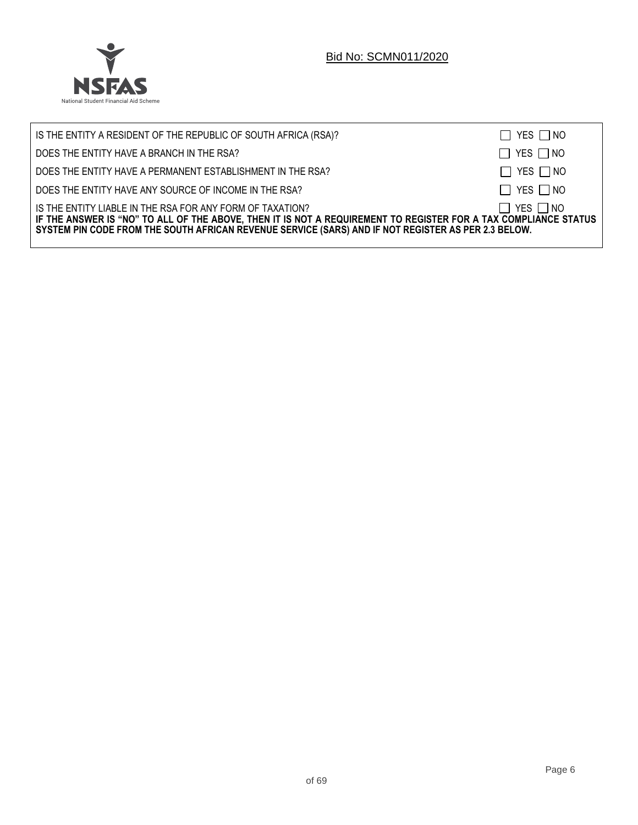

| IS THE ENTITY A RESIDENT OF THE REPUBLIC OF SOUTH AFRICA (RSA)?                                                                                                                                                                                                                     | $\Box$ YES $\Box$ NO |
|-------------------------------------------------------------------------------------------------------------------------------------------------------------------------------------------------------------------------------------------------------------------------------------|----------------------|
| DOES THE ENTITY HAVE A BRANCH IN THE RSA?                                                                                                                                                                                                                                           | $\Box$ YES $\Box$ NO |
| DOES THE ENTITY HAVE A PERMANENT ESTABLISHMENT IN THE RSA?                                                                                                                                                                                                                          | $\Box$ YES $\Box$ NO |
| DOES THE ENTITY HAVE ANY SOURCE OF INCOME IN THE RSA?                                                                                                                                                                                                                               | $\Box$ YES $\Box$ NO |
| IS THE ENTITY LIABLE IN THE RSA FOR ANY FORM OF TAXATION?<br>IF THE ANSWER IS "NO" TO ALL OF THE ABOVE, THEN IT IS NOT A REQUIREMENT TO REGISTER FOR A TAX COMPLIANCE STATUS<br>SYSTEM PIN CODE FROM THE SOUTH AFRICAN REVENUE SERVICE (SARS) AND IF NOT REGISTER AS PER 2.3 BELOW. | $\Box$ YES $\Box$ NO |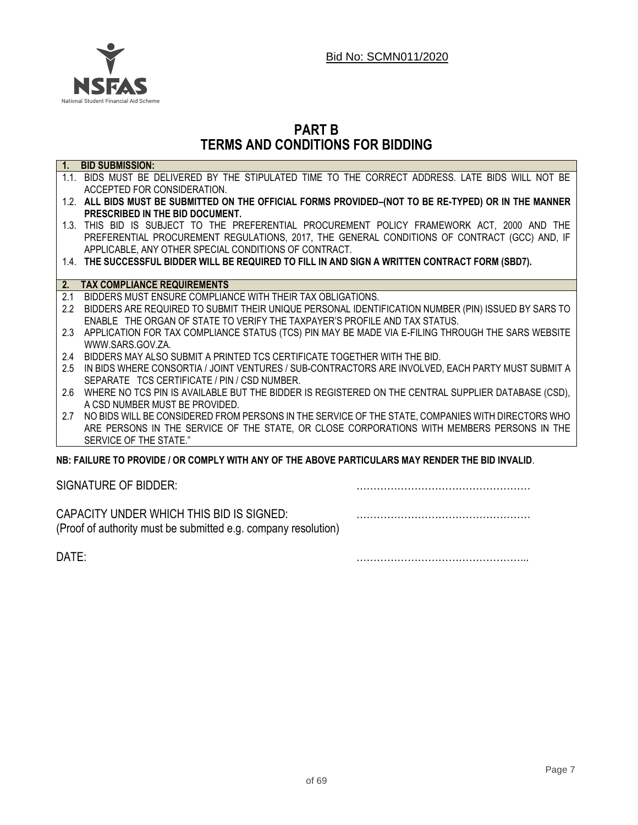

# **PART B TERMS AND CONDITIONS FOR BIDDING**

|               | 1. BID SUBMISSION:                                                                                   |
|---------------|------------------------------------------------------------------------------------------------------|
|               | 1.1. BIDS MUST BE DELIVERED BY THE STIPULATED TIME TO THE CORRECT ADDRESS. LATE BIDS WILL NOT BE     |
|               | ACCEPTED FOR CONSIDERATION.                                                                          |
|               | 1.2. ALL BIDS MUST BE SUBMITTED ON THE OFFICIAL FORMS PROVIDED-(NOT TO BE RE-TYPED) OR IN THE MANNER |
|               | PRESCRIBED IN THE BID DOCUMENT.                                                                      |
|               | 1.3. THIS BID IS SUBJECT TO THE PREFERENTIAL PROCUREMENT POLICY FRAMEWORK ACT, 2000 AND THE          |
|               | PREFERENTIAL PROCUREMENT REGULATIONS, 2017, THE GENERAL CONDITIONS OF CONTRACT (GCC) AND, IF         |
|               | APPLICABLE, ANY OTHER SPECIAL CONDITIONS OF CONTRACT.                                                |
|               | 1.4. THE SUCCESSFUL BIDDER WILL BE REQUIRED TO FILL IN AND SIGN A WRITTEN CONTRACT FORM (SBD7).      |
|               |                                                                                                      |
| 2.            | <b>TAX COMPLIANCE REQUIREMENTS</b>                                                                   |
| 2.1           | BIDDERS MUST ENSURE COMPLIANCE WITH THEIR TAX OBLIGATIONS.                                           |
| $2.2^{\circ}$ | BIDDERS ARE REQUIRED TO SUBMIT THEIR UNIQUE PERSONAL IDENTIFICATION NUMBER (PIN) ISSUED BY SARS TO   |
|               | ENABLE THE ORGAN OF STATE TO VERIFY THE TAXPAYER'S PROFILE AND TAX STATUS.                           |
| 2.3           | APPLICATION FOR TAX COMPLIANCE STATUS (TCS) PIN MAY BE MADE VIA E-FILING THROUGH THE SARS WEBSITE    |
|               | WWW.SARS.GOV.ZA.                                                                                     |
| 2.4           | BIDDERS MAY ALSO SUBMIT A PRINTED TCS CERTIFICATE TOGETHER WITH THE BID.                             |
| 2.5           | IN BIDS WHERE CONSORTIA / JOINT VENTURES / SUB-CONTRACTORS ARE INVOLVED, EACH PARTY MUST SUBMIT A    |
|               | SEPARATE TCS CERTIFICATE / PIN / CSD NUMBER.                                                         |
| 2.6           | WHERE NO TCS PIN IS AVAILABLE BUT THE BIDDER IS REGISTERED ON THE CENTRAL SUPPLIER DATABASE (CSD),   |
|               | A CSD NUMBER MUST BE PROVIDED.                                                                       |
| 2.7           | NO BIDS WILL BE CONSIDERED FROM PERSONS IN THE SERVICE OF THE STATE, COMPANIES WITH DIRECTORS WHO    |
|               | ARE PERSONS IN THE SERVICE OF THE STATE, OR CLOSE CORPORATIONS WITH MEMBERS PERSONS IN THE           |
|               | SERVICE OF THE STATE."                                                                               |
|               | NB: FAILURE TO PROVIDE / OR COMPLY WITH ANY OF THE ABOVE PARTICULARS MAY RENDER THE BID INVALID.     |
|               |                                                                                                      |

SIGNATURE OF BIDDER: **2008** 

CAPACITY UNDER WHICH THIS BID IS SIGNED: …………………………………………… (Proof of authority must be submitted e.g. company resolution)

DATE: …………………………………………...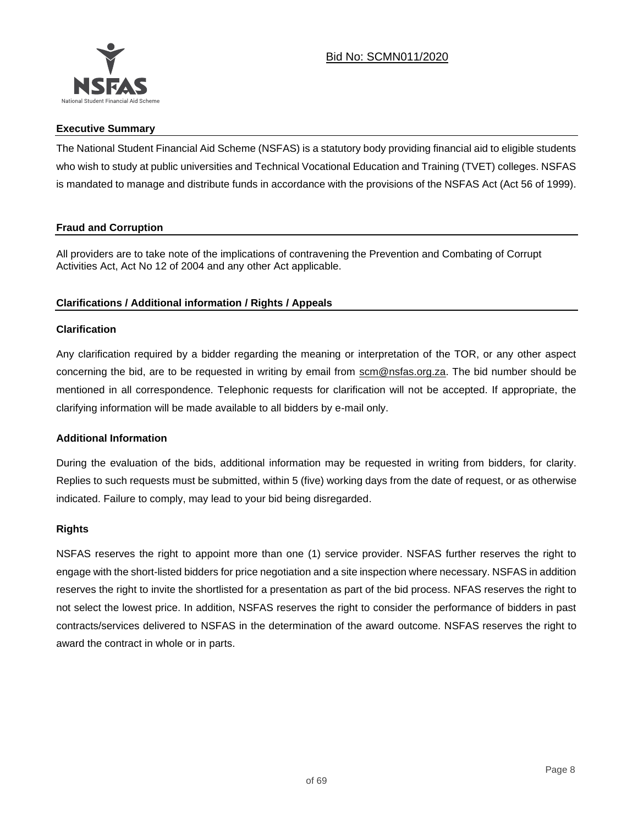

### **Executive Summary**

The National Student Financial Aid Scheme (NSFAS) is a statutory body providing financial aid to eligible students who wish to study at public universities and Technical Vocational Education and Training (TVET) colleges. NSFAS is mandated to manage and distribute funds in accordance with the provisions of the NSFAS Act (Act 56 of 1999).

### **Fraud and Corruption**

All providers are to take note of the implications of contravening the Prevention and Combating of Corrupt Activities Act, Act No 12 of 2004 and any other Act applicable.

## **Clarifications / Additional information / Rights / Appeals**

### **Clarification**

Any clarification required by a bidder regarding the meaning or interpretation of the TOR, or any other aspect concerning the bid, are to be requested in writing by email from scm@nsfas.org.za. The bid number should be mentioned in all correspondence. Telephonic requests for clarification will not be accepted. If appropriate, the clarifying information will be made available to all bidders by e-mail only.

#### **Additional Information**

During the evaluation of the bids, additional information may be requested in writing from bidders, for clarity. Replies to such requests must be submitted, within 5 (five) working days from the date of request, or as otherwise indicated. Failure to comply, may lead to your bid being disregarded.

#### **Rights**

NSFAS reserves the right to appoint more than one (1) service provider. NSFAS further reserves the right to engage with the short-listed bidders for price negotiation and a site inspection where necessary. NSFAS in addition reserves the right to invite the shortlisted for a presentation as part of the bid process. NFAS reserves the right to not select the lowest price. In addition, NSFAS reserves the right to consider the performance of bidders in past contracts/services delivered to NSFAS in the determination of the award outcome. NSFAS reserves the right to award the contract in whole or in parts.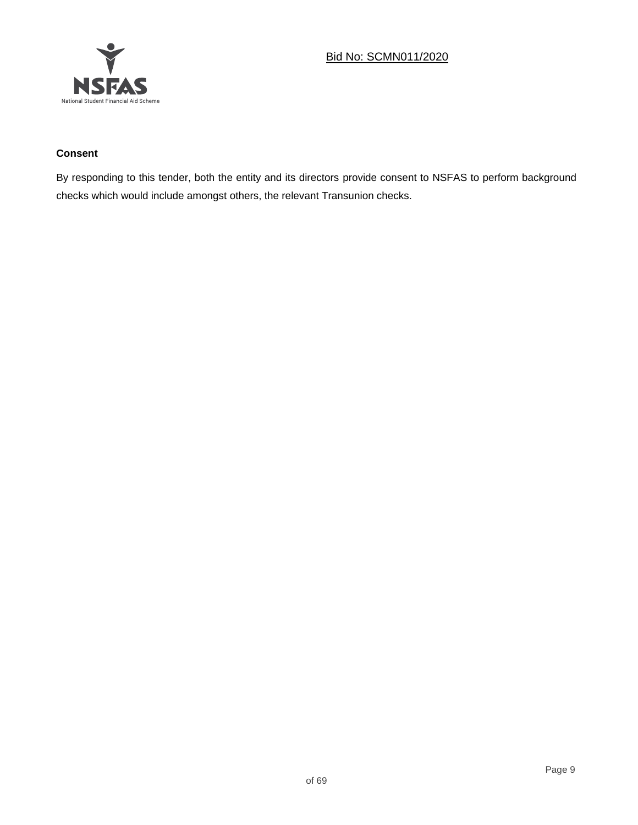

# **Consent**

By responding to this tender, both the entity and its directors provide consent to NSFAS to perform background checks which would include amongst others, the relevant Transunion checks.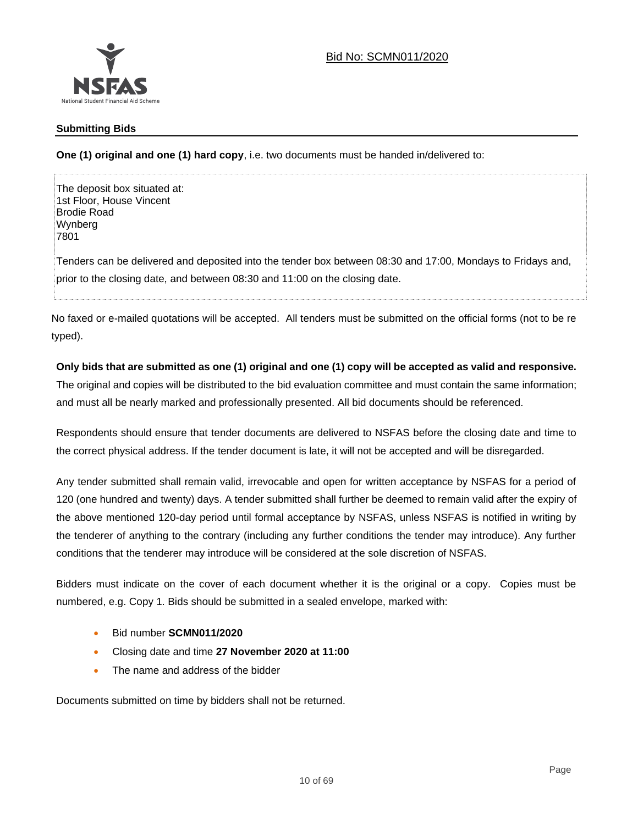

### **Submitting Bids**

**One (1) original and one (1) hard copy**, i.e. two documents must be handed in/delivered to:

The deposit box situated at: 1st Floor, House Vincent Brodie Road Wynberg 7801

Tenders can be delivered and deposited into the tender box between 08:30 and 17:00, Mondays to Fridays and, prior to the closing date, and between 08:30 and 11:00 on the closing date.

No faxed or e-mailed quotations will be accepted. All tenders must be submitted on the official forms (not to be re typed).

## **Only bids that are submitted as one (1) original and one (1) copy will be accepted as valid and responsive.**

The original and copies will be distributed to the bid evaluation committee and must contain the same information; and must all be nearly marked and professionally presented. All bid documents should be referenced.

Respondents should ensure that tender documents are delivered to NSFAS before the closing date and time to the correct physical address. If the tender document is late, it will not be accepted and will be disregarded.

Any tender submitted shall remain valid, irrevocable and open for written acceptance by NSFAS for a period of 120 (one hundred and twenty) days. A tender submitted shall further be deemed to remain valid after the expiry of the above mentioned 120-day period until formal acceptance by NSFAS, unless NSFAS is notified in writing by the tenderer of anything to the contrary (including any further conditions the tender may introduce). Any further conditions that the tenderer may introduce will be considered at the sole discretion of NSFAS.

Bidders must indicate on the cover of each document whether it is the original or a copy. Copies must be numbered, e.g. Copy 1. Bids should be submitted in a sealed envelope, marked with:

- Bid number **SCMN011/2020**
- Closing date and time **27 November 2020 at 11:00**
- The name and address of the bidder

Documents submitted on time by bidders shall not be returned.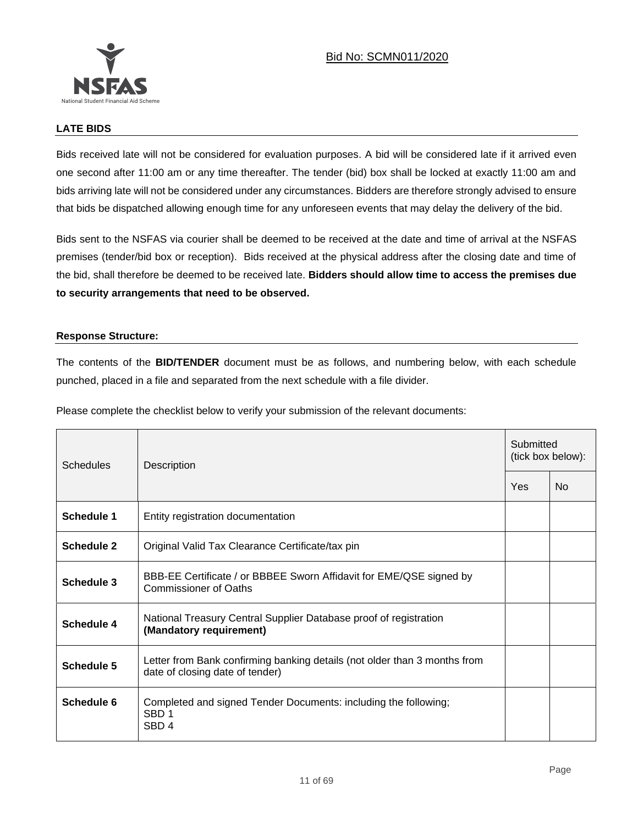

### **LATE BIDS**

Bids received late will not be considered for evaluation purposes. A bid will be considered late if it arrived even one second after 11:00 am or any time thereafter. The tender (bid) box shall be locked at exactly 11:00 am and bids arriving late will not be considered under any circumstances. Bidders are therefore strongly advised to ensure that bids be dispatched allowing enough time for any unforeseen events that may delay the delivery of the bid.

Bids sent to the NSFAS via courier shall be deemed to be received at the date and time of arrival at the NSFAS premises (tender/bid box or reception). Bids received at the physical address after the closing date and time of the bid, shall therefore be deemed to be received late. **Bidders should allow time to access the premises due to security arrangements that need to be observed.**

#### **Response Structure:**

The contents of the **BID/TENDER** document must be as follows, and numbering below, with each schedule punched, placed in a file and separated from the next schedule with a file divider.

Please complete the checklist below to verify your submission of the relevant documents:

| <b>Schedules</b>  | Description                                                                                                  | Submitted<br>(tick box below): |    |  |
|-------------------|--------------------------------------------------------------------------------------------------------------|--------------------------------|----|--|
|                   |                                                                                                              | Yes                            | No |  |
| <b>Schedule 1</b> | Entity registration documentation                                                                            |                                |    |  |
| Schedule 2        | Original Valid Tax Clearance Certificate/tax pin                                                             |                                |    |  |
| Schedule 3        | BBB-EE Certificate / or BBBEE Sworn Affidavit for EME/QSE signed by<br><b>Commissioner of Oaths</b>          |                                |    |  |
| Schedule 4        | National Treasury Central Supplier Database proof of registration<br>(Mandatory requirement)                 |                                |    |  |
| Schedule 5        | Letter from Bank confirming banking details (not older than 3 months from<br>date of closing date of tender) |                                |    |  |
| Schedule 6        | Completed and signed Tender Documents: including the following;<br>SBD <sub>1</sub><br>SBD <sub>4</sub>      |                                |    |  |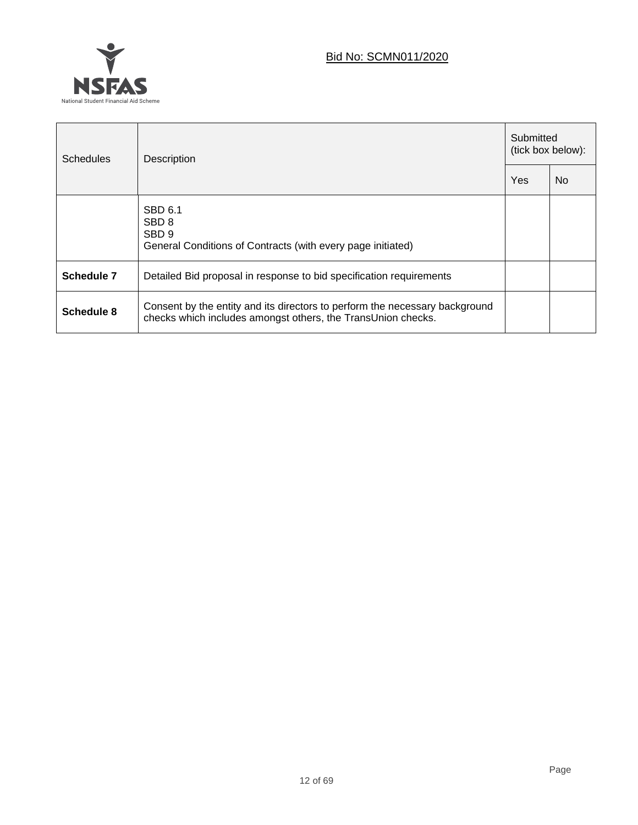

| <b>Schedules</b> | Description                                                                                                                                 | Submitted<br>(tick box below): |           |  |
|------------------|---------------------------------------------------------------------------------------------------------------------------------------------|--------------------------------|-----------|--|
|                  |                                                                                                                                             |                                | <b>No</b> |  |
|                  | SBD 6.1<br>SBD <sub>8</sub><br>SBD <sub>9</sub><br>General Conditions of Contracts (with every page initiated)                              |                                |           |  |
| Schedule 7       | Detailed Bid proposal in response to bid specification requirements                                                                         |                                |           |  |
| Schedule 8       | Consent by the entity and its directors to perform the necessary background<br>checks which includes amongst others, the TransUnion checks. |                                |           |  |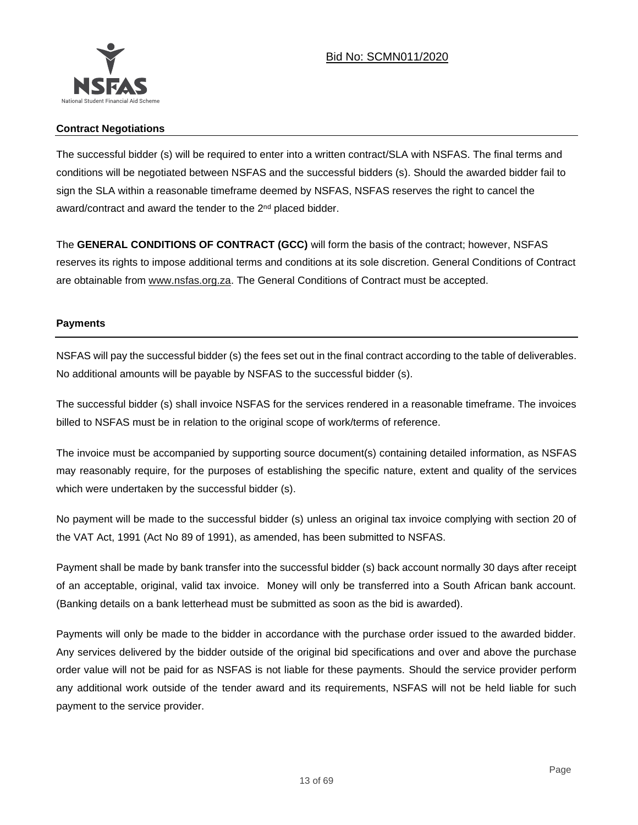

### **Contract Negotiations**

The successful bidder (s) will be required to enter into a written contract/SLA with NSFAS. The final terms and conditions will be negotiated between NSFAS and the successful bidders (s). Should the awarded bidder fail to sign the SLA within a reasonable timeframe deemed by NSFAS, NSFAS reserves the right to cancel the award/contract and award the tender to the 2<sup>nd</sup> placed bidder.

The **GENERAL CONDITIONS OF CONTRACT (GCC)** will form the basis of the contract; however, NSFAS reserves its rights to impose additional terms and conditions at its sole discretion. General Conditions of Contract are obtainable from [www.nsfas.org.za.](http://www.nsfas.org.za/) The General Conditions of Contract must be accepted.

## **Payments**

NSFAS will pay the successful bidder (s) the fees set out in the final contract according to the table of deliverables. No additional amounts will be payable by NSFAS to the successful bidder (s).

The successful bidder (s) shall invoice NSFAS for the services rendered in a reasonable timeframe. The invoices billed to NSFAS must be in relation to the original scope of work/terms of reference.

The invoice must be accompanied by supporting source document(s) containing detailed information, as NSFAS may reasonably require, for the purposes of establishing the specific nature, extent and quality of the services which were undertaken by the successful bidder (s).

No payment will be made to the successful bidder (s) unless an original tax invoice complying with section 20 of the VAT Act, 1991 (Act No 89 of 1991), as amended, has been submitted to NSFAS.

Payment shall be made by bank transfer into the successful bidder (s) back account normally 30 days after receipt of an acceptable, original, valid tax invoice. Money will only be transferred into a South African bank account. (Banking details on a bank letterhead must be submitted as soon as the bid is awarded).

Payments will only be made to the bidder in accordance with the purchase order issued to the awarded bidder. Any services delivered by the bidder outside of the original bid specifications and over and above the purchase order value will not be paid for as NSFAS is not liable for these payments. Should the service provider perform any additional work outside of the tender award and its requirements, NSFAS will not be held liable for such payment to the service provider.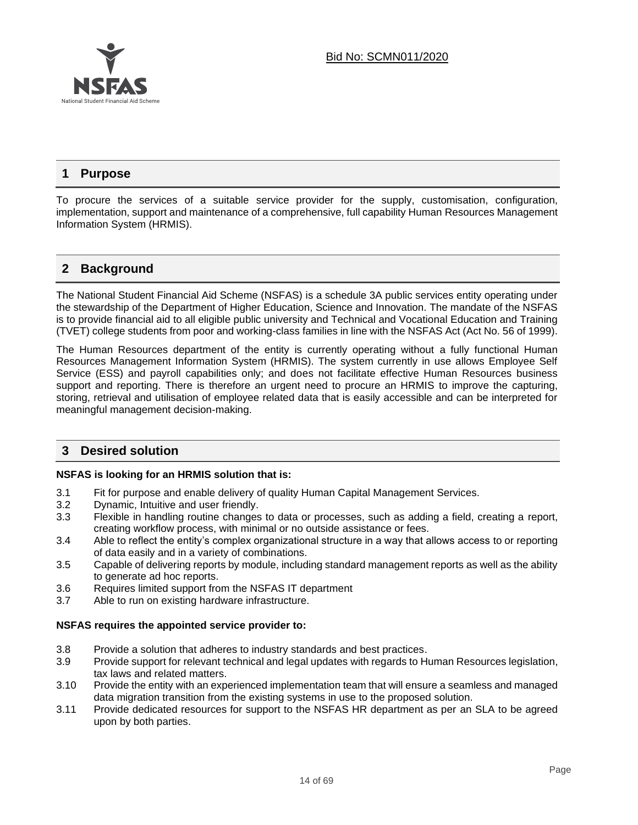

# **1 Purpose**

To procure the services of a suitable service provider for the supply, customisation, configuration, implementation, support and maintenance of a comprehensive, full capability Human Resources Management Information System (HRMIS).

# **2 Background**

The National Student Financial Aid Scheme (NSFAS) is a schedule 3A public services entity operating under the stewardship of the Department of Higher Education, Science and Innovation. The mandate of the NSFAS is to provide financial aid to all eligible public university and Technical and Vocational Education and Training (TVET) college students from poor and working-class families in line with the NSFAS Act (Act No. 56 of 1999).

The Human Resources department of the entity is currently operating without a fully functional Human Resources Management Information System (HRMIS). The system currently in use allows Employee Self Service (ESS) and payroll capabilities only; and does not facilitate effective Human Resources business support and reporting. There is therefore an urgent need to procure an HRMIS to improve the capturing, storing, retrieval and utilisation of employee related data that is easily accessible and can be interpreted for meaningful management decision-making.

# **3 Desired solution**

#### **NSFAS is looking for an HRMIS solution that is:**

- 3.1 Fit for purpose and enable delivery of quality Human Capital Management Services.
- 3.2 Dynamic, Intuitive and user friendly.
- 3.3 Flexible in handling routine changes to data or processes, such as adding a field, creating a report, creating workflow process, with minimal or no outside assistance or fees.
- 3.4 Able to reflect the entity's complex organizational structure in a way that allows access to or reporting of data easily and in a variety of combinations.
- 3.5 Capable of delivering reports by module, including standard management reports as well as the ability to generate ad hoc reports.
- 3.6 Requires limited support from the NSFAS IT department
- 3.7 Able to run on existing hardware infrastructure.

#### **NSFAS requires the appointed service provider to:**

- 3.8 Provide a solution that adheres to industry standards and best practices.
- 3.9 Provide support for relevant technical and legal updates with regards to Human Resources legislation, tax laws and related matters.
- 3.10 Provide the entity with an experienced implementation team that will ensure a seamless and managed data migration transition from the existing systems in use to the proposed solution.
- 3.11 Provide dedicated resources for support to the NSFAS HR department as per an SLA to be agreed upon by both parties.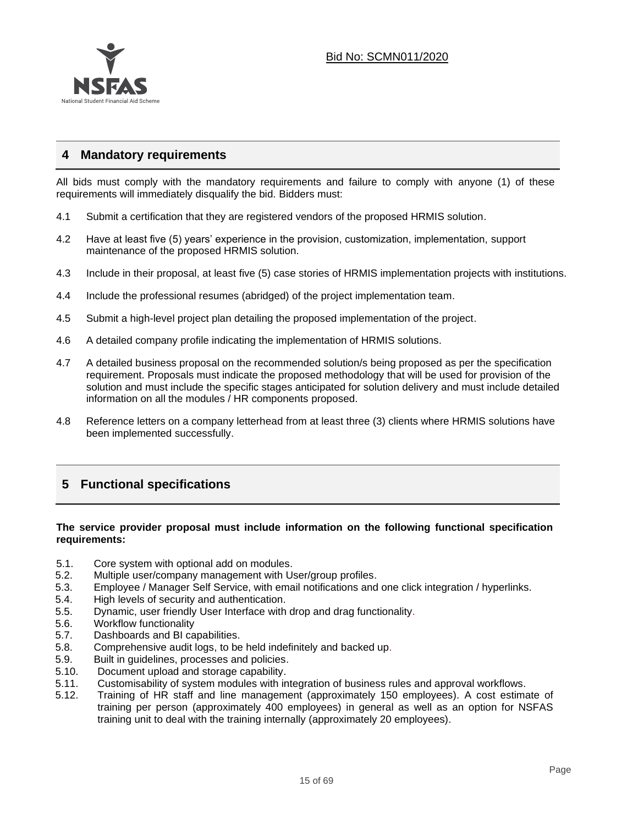

# **4 Mandatory requirements**

All bids must comply with the mandatory requirements and failure to comply with anyone (1) of these requirements will immediately disqualify the bid. Bidders must:

- 4.1 Submit a certification that they are registered vendors of the proposed HRMIS solution.
- 4.2 Have at least five (5) years' experience in the provision, customization, implementation, support maintenance of the proposed HRMIS solution.
- 4.3 Include in their proposal, at least five (5) case stories of HRMIS implementation projects with institutions.
- 4.4 Include the professional resumes (abridged) of the project implementation team.
- 4.5 Submit a high-level project plan detailing the proposed implementation of the project.
- 4.6 A detailed company profile indicating the implementation of HRMIS solutions.
- 4.7 A detailed business proposal on the recommended solution/s being proposed as per the specification requirement. Proposals must indicate the proposed methodology that will be used for provision of the solution and must include the specific stages anticipated for solution delivery and must include detailed information on all the modules / HR components proposed.
- 4.8 Reference letters on a company letterhead from at least three (3) clients where HRMIS solutions have been implemented successfully.

# **5 Functional specifications**

### **The service provider proposal must include information on the following functional specification requirements:**

- 5.1. Core system with optional add on modules.
- 5.2. Multiple user/company management with User/group profiles.
- 5.3. Employee / Manager Self Service, with email notifications and one click integration / hyperlinks.
- 5.4. High levels of security and authentication.
- 5.5. Dynamic, user friendly User Interface with drop and drag functionality.
- 5.6. Workflow functionality
- 5.7. Dashboards and BI capabilities.
- 5.8. Comprehensive audit logs, to be held indefinitely and backed up.
- 5.9. Built in guidelines, processes and policies.
- 5.10. Document upload and storage capability.
- 5.11. Customisability of system modules with integration of business rules and approval workflows.
- 5.12. Training of HR staff and line management (approximately 150 employees). A cost estimate of training per person (approximately 400 employees) in general as well as an option for NSFAS training unit to deal with the training internally (approximately 20 employees).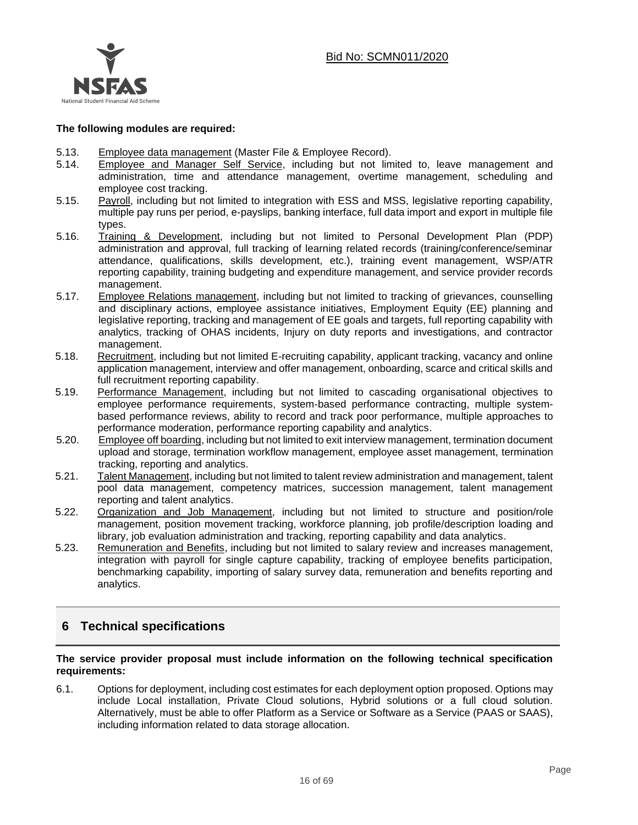

#### **The following modules are required:**

- 5.13. Employee data management (Master File & Employee Record).
- 5.14. Employee and Manager Self Service, including but not limited to, leave management and administration, time and attendance management, overtime management, scheduling and employee cost tracking.
- 5.15. Payroll, including but not limited to integration with ESS and MSS, legislative reporting capability, multiple pay runs per period, e-payslips, banking interface, full data import and export in multiple file types.
- 5.16. Training & Development, including but not limited to Personal Development Plan (PDP) administration and approval, full tracking of learning related records (training/conference/seminar attendance, qualifications, skills development, etc.), training event management, WSP/ATR reporting capability, training budgeting and expenditure management, and service provider records management.
- 5.17. Employee Relations management, including but not limited to tracking of grievances, counselling and disciplinary actions, employee assistance initiatives, Employment Equity (EE) planning and legislative reporting, tracking and management of EE goals and targets, full reporting capability with analytics, tracking of OHAS incidents, Injury on duty reports and investigations, and contractor management.
- 5.18. Recruitment, including but not limited E-recruiting capability, applicant tracking, vacancy and online application management, interview and offer management, onboarding, scarce and critical skills and full recruitment reporting capability.
- 5.19. Performance Management, including but not limited to cascading organisational objectives to employee performance requirements, system-based performance contracting, multiple systembased performance reviews, ability to record and track poor performance, multiple approaches to performance moderation, performance reporting capability and analytics.
- 5.20. Employee off boarding, including but not limited to exit interview management, termination document upload and storage, termination workflow management, employee asset management, termination tracking, reporting and analytics.
- 5.21. Talent Management, including but not limited to talent review administration and management, talent pool data management, competency matrices, succession management, talent management reporting and talent analytics.
- 5.22. Organization and Job Management, including but not limited to structure and position/role management, position movement tracking, workforce planning, job profile/description loading and library, job evaluation administration and tracking, reporting capability and data analytics.
- 5.23. Remuneration and Benefits, including but not limited to salary review and increases management, integration with payroll for single capture capability, tracking of employee benefits participation, benchmarking capability, importing of salary survey data, remuneration and benefits reporting and analytics.

# **6 Technical specifications**

#### **The service provider proposal must include information on the following technical specification requirements:**

6.1. Options for deployment, including cost estimates for each deployment option proposed. Options may include Local installation, Private Cloud solutions, Hybrid solutions or a full cloud solution. Alternatively, must be able to offer Platform as a Service or Software as a Service (PAAS or SAAS), including information related to data storage allocation.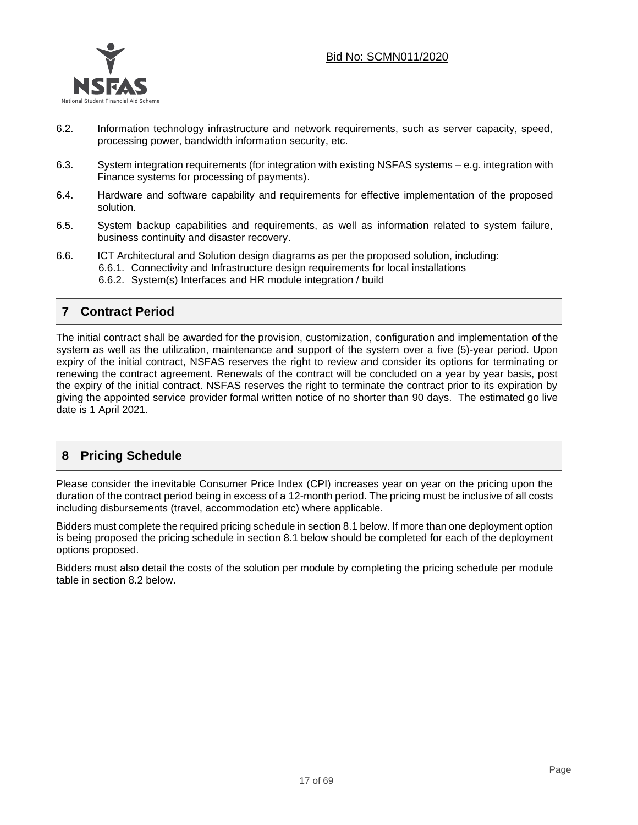

- 6.2. Information technology infrastructure and network requirements, such as server capacity, speed, processing power, bandwidth information security, etc.
- 6.3. System integration requirements (for integration with existing NSFAS systems e.g. integration with Finance systems for processing of payments).
- 6.4. Hardware and software capability and requirements for effective implementation of the proposed solution.
- 6.5. System backup capabilities and requirements, as well as information related to system failure, business continuity and disaster recovery.
- 6.6. ICT Architectural and Solution design diagrams as per the proposed solution, including: 6.6.1. Connectivity and Infrastructure design requirements for local installations 6.6.2. System(s) Interfaces and HR module integration / build

# **7 Contract Period**

The initial contract shall be awarded for the provision, customization, configuration and implementation of the system as well as the utilization, maintenance and support of the system over a five (5)-year period. Upon expiry of the initial contract, NSFAS reserves the right to review and consider its options for terminating or renewing the contract agreement. Renewals of the contract will be concluded on a year by year basis, post the expiry of the initial contract. NSFAS reserves the right to terminate the contract prior to its expiration by giving the appointed service provider formal written notice of no shorter than 90 days. The estimated go live date is 1 April 2021.

# **8 Pricing Schedule**

Please consider the inevitable Consumer Price Index (CPI) increases year on year on the pricing upon the duration of the contract period being in excess of a 12-month period. The pricing must be inclusive of all costs including disbursements (travel, accommodation etc) where applicable.

Bidders must complete the required pricing schedule in section 8.1 below. If more than one deployment option is being proposed the pricing schedule in section 8.1 below should be completed for each of the deployment options proposed.

Bidders must also detail the costs of the solution per module by completing the pricing schedule per module table in section 8.2 below.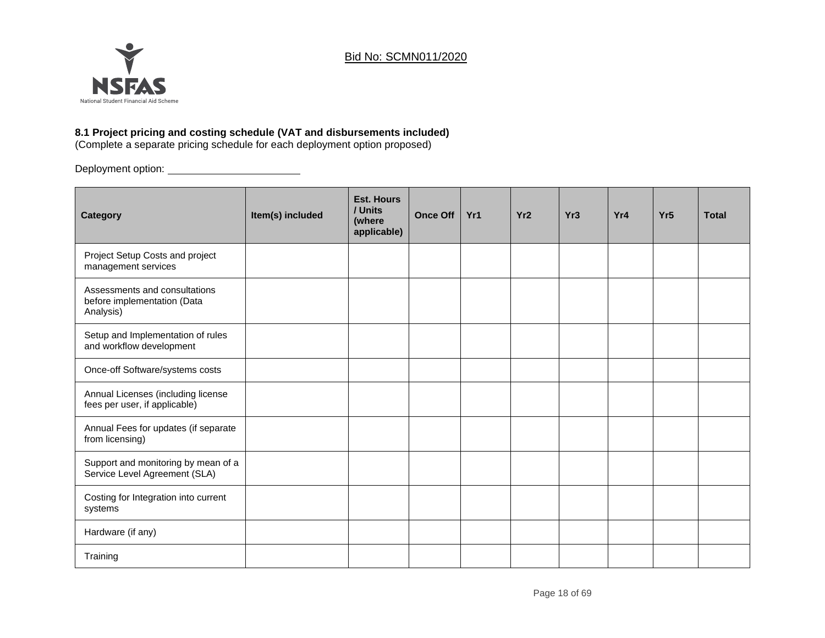

# **8.1 Project pricing and costing schedule (VAT and disbursements included)**

(Complete a separate pricing schedule for each deployment option proposed)

Deployment option:

| Category                                                                  | Item(s) included | <b>Est. Hours</b><br>/ Units<br>(where<br>applicable) | <b>Once Off</b> | Yr1 | Yr <sub>2</sub> | Yr <sub>3</sub> | Yr4 | Yr <sub>5</sub> | <b>Total</b> |
|---------------------------------------------------------------------------|------------------|-------------------------------------------------------|-----------------|-----|-----------------|-----------------|-----|-----------------|--------------|
| Project Setup Costs and project<br>management services                    |                  |                                                       |                 |     |                 |                 |     |                 |              |
| Assessments and consultations<br>before implementation (Data<br>Analysis) |                  |                                                       |                 |     |                 |                 |     |                 |              |
| Setup and Implementation of rules<br>and workflow development             |                  |                                                       |                 |     |                 |                 |     |                 |              |
| Once-off Software/systems costs                                           |                  |                                                       |                 |     |                 |                 |     |                 |              |
| Annual Licenses (including license<br>fees per user, if applicable)       |                  |                                                       |                 |     |                 |                 |     |                 |              |
| Annual Fees for updates (if separate<br>from licensing)                   |                  |                                                       |                 |     |                 |                 |     |                 |              |
| Support and monitoring by mean of a<br>Service Level Agreement (SLA)      |                  |                                                       |                 |     |                 |                 |     |                 |              |
| Costing for Integration into current<br>systems                           |                  |                                                       |                 |     |                 |                 |     |                 |              |
| Hardware (if any)                                                         |                  |                                                       |                 |     |                 |                 |     |                 |              |
| Training                                                                  |                  |                                                       |                 |     |                 |                 |     |                 |              |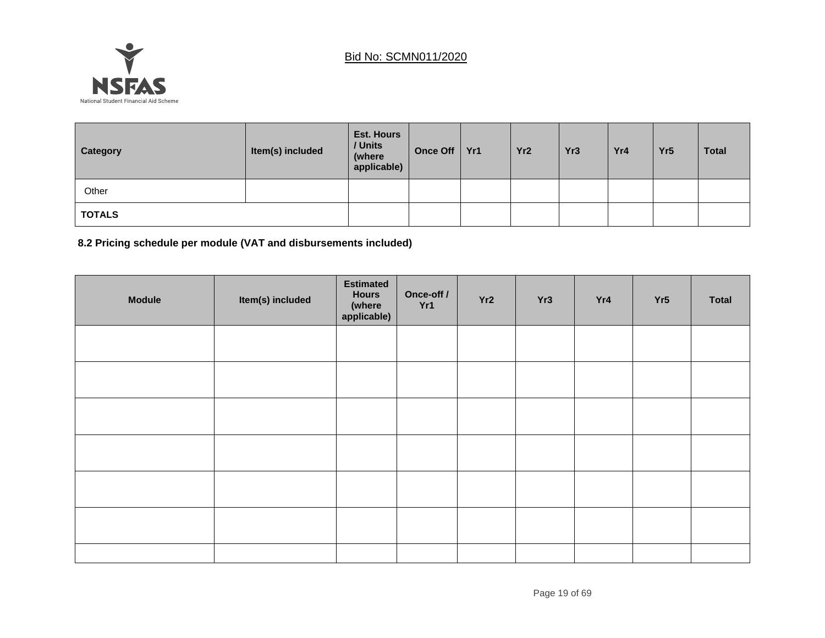

| Category      | Item(s) included | <b>Est. Hours</b><br>/ Units<br>(where<br>applicable) | <b>Once Off</b> | Yr1 | Yr <sub>2</sub> | Yr <sub>3</sub> | Yr4 | Yr <sub>5</sub> | <b>Total</b> |
|---------------|------------------|-------------------------------------------------------|-----------------|-----|-----------------|-----------------|-----|-----------------|--------------|
| Other         |                  |                                                       |                 |     |                 |                 |     |                 |              |
| <b>TOTALS</b> |                  |                                                       |                 |     |                 |                 |     |                 |              |

**8.2 Pricing schedule per module (VAT and disbursements included)**

| <b>Module</b> | Item(s) included | <b>Estimated</b><br><b>Hours</b><br>(where<br>applicable) | Once-off /<br>Yr1 | Yr2 | Yr3 | Yr4 | Yr5 | Total |
|---------------|------------------|-----------------------------------------------------------|-------------------|-----|-----|-----|-----|-------|
|               |                  |                                                           |                   |     |     |     |     |       |
|               |                  |                                                           |                   |     |     |     |     |       |
|               |                  |                                                           |                   |     |     |     |     |       |
|               |                  |                                                           |                   |     |     |     |     |       |
|               |                  |                                                           |                   |     |     |     |     |       |
|               |                  |                                                           |                   |     |     |     |     |       |
|               |                  |                                                           |                   |     |     |     |     |       |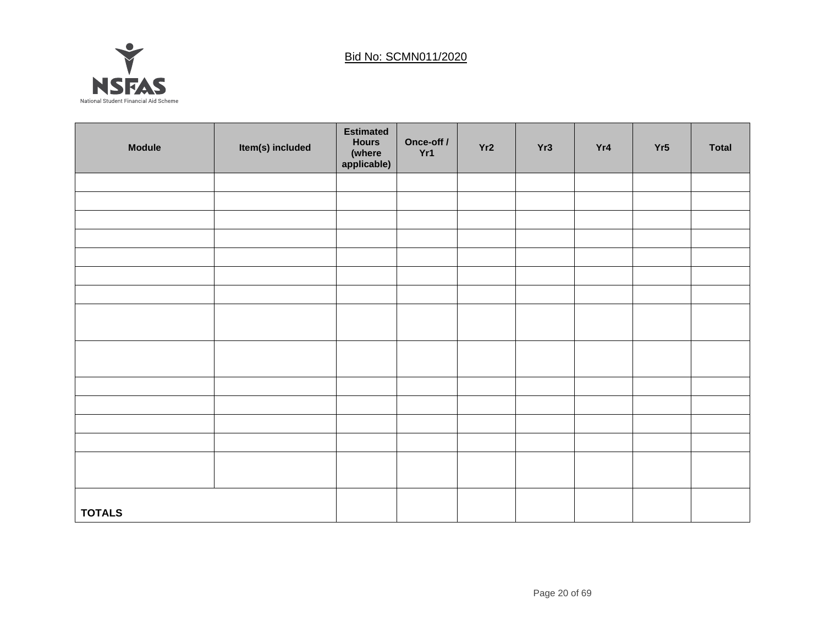

| <b>Module</b> | Item(s) included | <b>Estimated</b><br><b>Hours</b><br>(where<br>applicable) | Once-off /<br>Yr1 | Yr2 | Yr3 | Yr4 | Yr5 | <b>Total</b> |
|---------------|------------------|-----------------------------------------------------------|-------------------|-----|-----|-----|-----|--------------|
|               |                  |                                                           |                   |     |     |     |     |              |
|               |                  |                                                           |                   |     |     |     |     |              |
|               |                  |                                                           |                   |     |     |     |     |              |
|               |                  |                                                           |                   |     |     |     |     |              |
|               |                  |                                                           |                   |     |     |     |     |              |
|               |                  |                                                           |                   |     |     |     |     |              |
|               |                  |                                                           |                   |     |     |     |     |              |
|               |                  |                                                           |                   |     |     |     |     |              |
|               |                  |                                                           |                   |     |     |     |     |              |
|               |                  |                                                           |                   |     |     |     |     |              |
|               |                  |                                                           |                   |     |     |     |     |              |
|               |                  |                                                           |                   |     |     |     |     |              |
|               |                  |                                                           |                   |     |     |     |     |              |
|               |                  |                                                           |                   |     |     |     |     |              |
|               |                  |                                                           |                   |     |     |     |     |              |
|               |                  |                                                           |                   |     |     |     |     |              |
| <b>TOTALS</b> |                  |                                                           |                   |     |     |     |     |              |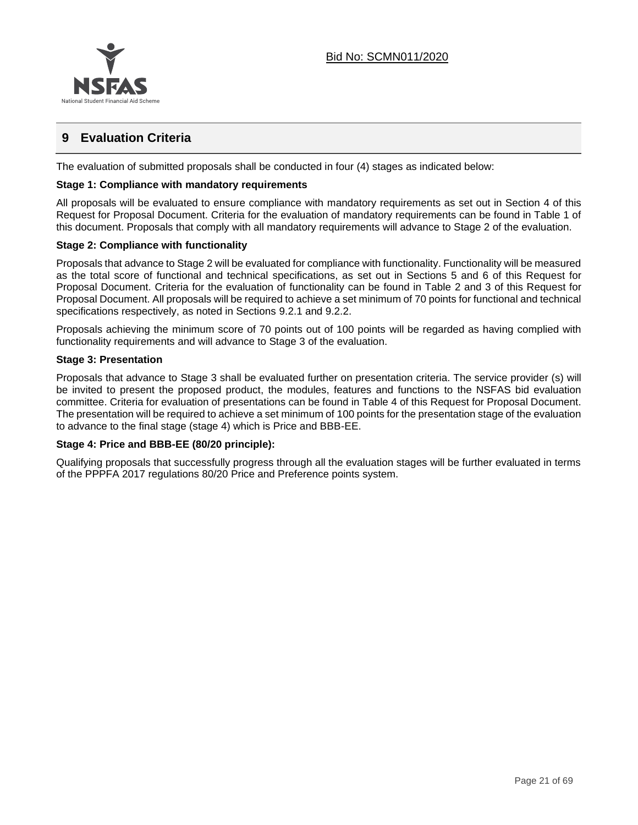

# **9 Evaluation Criteria**

The evaluation of submitted proposals shall be conducted in four (4) stages as indicated below:

### **Stage 1: Compliance with mandatory requirements**

All proposals will be evaluated to ensure compliance with mandatory requirements as set out in Section 4 of this Request for Proposal Document. Criteria for the evaluation of mandatory requirements can be found in Table 1 of this document. Proposals that comply with all mandatory requirements will advance to Stage 2 of the evaluation.

### **Stage 2: Compliance with functionality**

Proposals that advance to Stage 2 will be evaluated for compliance with functionality. Functionality will be measured as the total score of functional and technical specifications, as set out in Sections 5 and 6 of this Request for Proposal Document. Criteria for the evaluation of functionality can be found in Table 2 and 3 of this Request for Proposal Document. All proposals will be required to achieve a set minimum of 70 points for functional and technical specifications respectively, as noted in Sections 9.2.1 and 9.2.2.

Proposals achieving the minimum score of 70 points out of 100 points will be regarded as having complied with functionality requirements and will advance to Stage 3 of the evaluation.

#### **Stage 3: Presentation**

Proposals that advance to Stage 3 shall be evaluated further on presentation criteria. The service provider (s) will be invited to present the proposed product, the modules, features and functions to the NSFAS bid evaluation committee. Criteria for evaluation of presentations can be found in Table 4 of this Request for Proposal Document. The presentation will be required to achieve a set minimum of 100 points for the presentation stage of the evaluation to advance to the final stage (stage 4) which is Price and BBB-EE.

#### **Stage 4: Price and BBB-EE (80/20 principle):**

Qualifying proposals that successfully progress through all the evaluation stages will be further evaluated in terms of the PPPFA 2017 regulations 80/20 Price and Preference points system.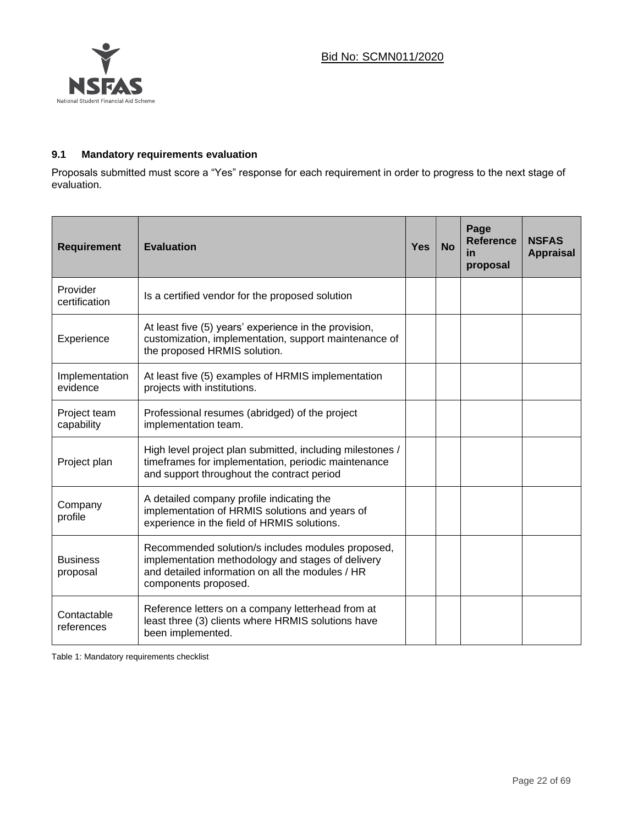

# **9.1 Mandatory requirements evaluation**

Proposals submitted must score a "Yes" response for each requirement in order to progress to the next stage of evaluation.

| <b>Requirement</b>          | <b>Evaluation</b>                                                                                                                                                                  | <b>Yes</b> | <b>No</b> | Page<br><b>Reference</b><br>in<br>proposal | <b>NSFAS</b><br><b>Appraisal</b> |
|-----------------------------|------------------------------------------------------------------------------------------------------------------------------------------------------------------------------------|------------|-----------|--------------------------------------------|----------------------------------|
| Provider<br>certification   | Is a certified vendor for the proposed solution                                                                                                                                    |            |           |                                            |                                  |
| Experience                  | At least five (5) years' experience in the provision,<br>customization, implementation, support maintenance of<br>the proposed HRMIS solution.                                     |            |           |                                            |                                  |
| Implementation<br>evidence  | At least five (5) examples of HRMIS implementation<br>projects with institutions.                                                                                                  |            |           |                                            |                                  |
| Project team<br>capability  | Professional resumes (abridged) of the project<br>implementation team.                                                                                                             |            |           |                                            |                                  |
| Project plan                | High level project plan submitted, including milestones /<br>timeframes for implementation, periodic maintenance<br>and support throughout the contract period                     |            |           |                                            |                                  |
| Company<br>profile          | A detailed company profile indicating the<br>implementation of HRMIS solutions and years of<br>experience in the field of HRMIS solutions.                                         |            |           |                                            |                                  |
| <b>Business</b><br>proposal | Recommended solution/s includes modules proposed,<br>implementation methodology and stages of delivery<br>and detailed information on all the modules / HR<br>components proposed. |            |           |                                            |                                  |
| Contactable<br>references   | Reference letters on a company letterhead from at<br>least three (3) clients where HRMIS solutions have<br>been implemented.                                                       |            |           |                                            |                                  |

Table 1: Mandatory requirements checklist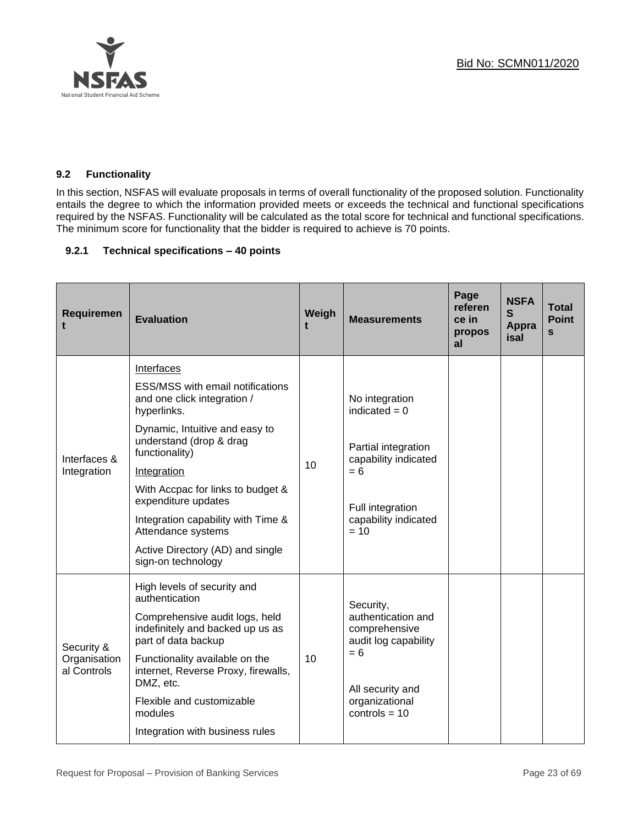

# **9.2 Functionality**

In this section, NSFAS will evaluate proposals in terms of overall functionality of the proposed solution. Functionality entails the degree to which the information provided meets or exceeds the technical and functional specifications required by the NSFAS. Functionality will be calculated as the total score for technical and functional specifications. The minimum score for functionality that the bidder is required to achieve is 70 points.

## **9.2.1 Technical specifications – 40 points**

| Requiremen                                | <b>Evaluation</b>                                                                                                                                                                                                                                                                                                                                                                   | Weigh | <b>Measurements</b>                                                                                                                             | Page<br>referen<br>ce in<br>propos<br>al | <b>NSFA</b><br>$\mathbf{s}$<br><b>Appra</b><br>isal | <b>Total</b><br><b>Point</b><br>S |
|-------------------------------------------|-------------------------------------------------------------------------------------------------------------------------------------------------------------------------------------------------------------------------------------------------------------------------------------------------------------------------------------------------------------------------------------|-------|-------------------------------------------------------------------------------------------------------------------------------------------------|------------------------------------------|-----------------------------------------------------|-----------------------------------|
| Interfaces &<br>Integration               | Interfaces<br><b>ESS/MSS with email notifications</b><br>and one click integration /<br>hyperlinks.<br>Dynamic, Intuitive and easy to<br>understand (drop & drag<br>functionality)<br>Integration<br>With Accpac for links to budget &<br>expenditure updates<br>Integration capability with Time &<br>Attendance systems<br>Active Directory (AD) and single<br>sign-on technology | 10    | No integration<br>indicated $= 0$<br>Partial integration<br>capability indicated<br>$= 6$<br>Full integration<br>capability indicated<br>$= 10$ |                                          |                                                     |                                   |
| Security &<br>Organisation<br>al Controls | High levels of security and<br>authentication<br>Comprehensive audit logs, held<br>indefinitely and backed up us as<br>part of data backup<br>Functionality available on the<br>internet, Reverse Proxy, firewalls,<br>DMZ, etc.<br>Flexible and customizable<br>modules<br>Integration with business rules                                                                         | 10    | Security,<br>authentication and<br>comprehensive<br>audit log capability<br>$= 6$<br>All security and<br>organizational<br>controls = $10$      |                                          |                                                     |                                   |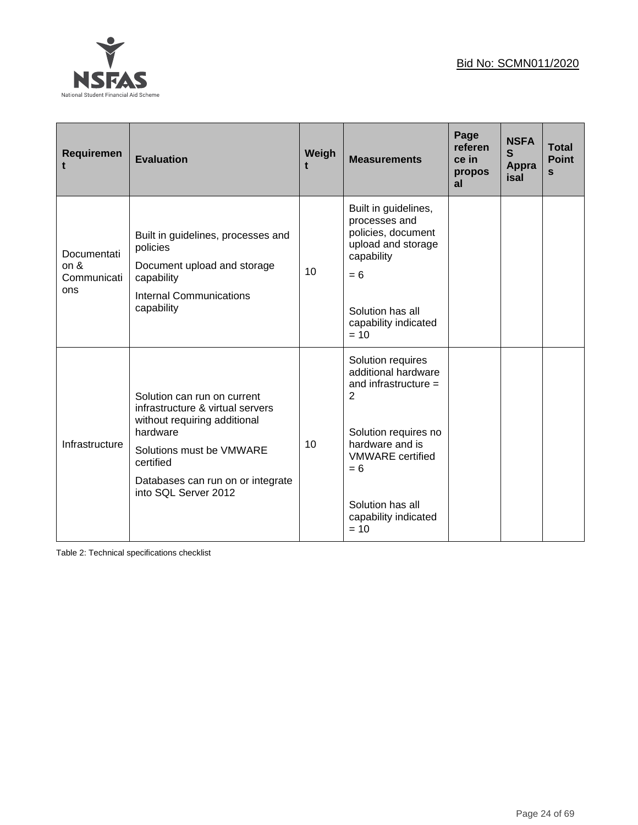

| Requiremen                                | <b>Evaluation</b>                                                                                                                                                                                                 | Weigh | <b>Measurements</b>                                                                                                                                                                                                       | Page<br>referen<br>ce in<br>propos<br>al | <b>NSFA</b><br>S<br>Appra<br>isal | <b>Total</b><br><b>Point</b><br>S |
|-------------------------------------------|-------------------------------------------------------------------------------------------------------------------------------------------------------------------------------------------------------------------|-------|---------------------------------------------------------------------------------------------------------------------------------------------------------------------------------------------------------------------------|------------------------------------------|-----------------------------------|-----------------------------------|
| Documentati<br>on &<br>Communicati<br>ons | Built in guidelines, processes and<br>policies<br>Document upload and storage<br>capability<br><b>Internal Communications</b><br>capability                                                                       | 10    | Built in guidelines,<br>processes and<br>policies, document<br>upload and storage<br>capability<br>$= 6$<br>Solution has all<br>capability indicated<br>$= 10$                                                            |                                          |                                   |                                   |
| Infrastructure                            | Solution can run on current<br>infrastructure & virtual servers<br>without requiring additional<br>hardware<br>Solutions must be VMWARE<br>certified<br>Databases can run on or integrate<br>into SQL Server 2012 | 10    | Solution requires<br>additional hardware<br>and infrastructure $=$<br>$\overline{2}$<br>Solution requires no<br>hardware and is<br><b>VMWARE</b> certified<br>$= 6$<br>Solution has all<br>capability indicated<br>$= 10$ |                                          |                                   |                                   |

Table 2: Technical specifications checklist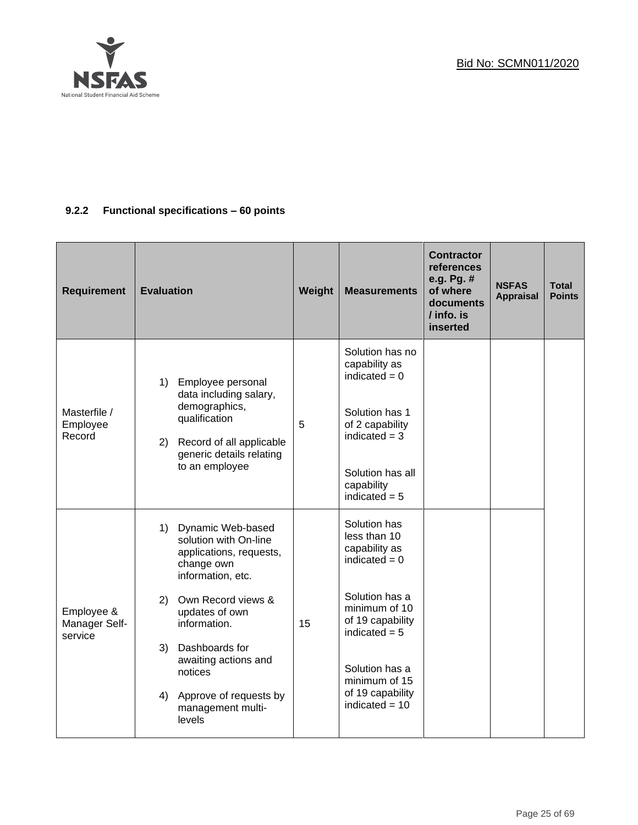

# **9.2.2 Functional specifications – 60 points**

| <b>Requirement</b>                     | <b>Evaluation</b>                                                                                                                           | Weight | <b>Measurements</b>                                                                                         | <b>Contractor</b><br><b>references</b><br>e.g. Pg. #<br>of where<br>documents<br>$\frac{1}{1}$ info. is<br>inserted | <b>NSFAS</b><br><b>Appraisal</b> | <b>Total</b><br><b>Points</b> |
|----------------------------------------|---------------------------------------------------------------------------------------------------------------------------------------------|--------|-------------------------------------------------------------------------------------------------------------|---------------------------------------------------------------------------------------------------------------------|----------------------------------|-------------------------------|
| Masterfile /<br>Employee<br>Record     | 1) Employee personal<br>data including salary,<br>demographics,<br>qualification<br>2) Record of all applicable<br>generic details relating | 5      | Solution has no<br>capability as<br>indicated $= 0$<br>Solution has 1<br>of 2 capability<br>indicated $=$ 3 |                                                                                                                     |                                  |                               |
|                                        | to an employee                                                                                                                              |        | Solution has all<br>capability<br>indicated $= 5$                                                           |                                                                                                                     |                                  |                               |
|                                        | 1) Dynamic Web-based<br>solution with On-line<br>applications, requests,<br>change own<br>information, etc.                                 |        | Solution has<br>less than 10<br>capability as<br>indicated $= 0$                                            |                                                                                                                     |                                  |                               |
| Employee &<br>Manager Self-<br>service | Own Record views &<br>2)<br>updates of own<br>information.                                                                                  | 15     | Solution has a<br>minimum of 10<br>of 19 capability<br>indicated $= 5$                                      |                                                                                                                     |                                  |                               |
|                                        | 3) Dashboards for<br>awaiting actions and<br>notices<br>4) Approve of requests by<br>management multi-<br>levels                            |        | Solution has a<br>minimum of 15<br>of 19 capability<br>indicated $= 10$                                     |                                                                                                                     |                                  |                               |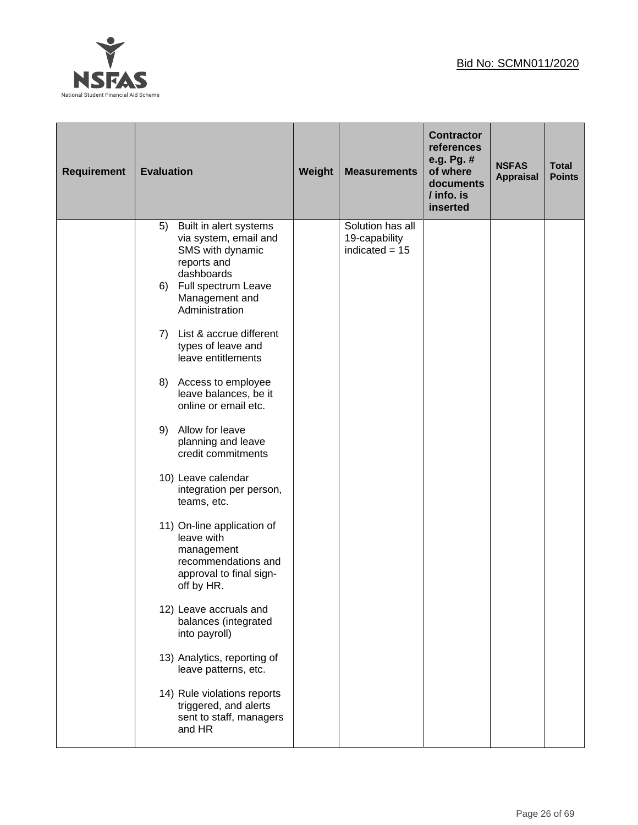

| <b>Requirement</b> | <b>Evaluation</b>                                                                                                                                                                                                                                                                                                                                                                                                                                                                                                                              | Weight | <b>Measurements</b>                                   | <b>Contractor</b><br>references<br>e.g. Pg. #<br>of where<br>documents<br>$/$ info. is<br>inserted | <b>NSFAS</b><br><b>Appraisal</b> | <b>Total</b><br><b>Points</b> |
|--------------------|------------------------------------------------------------------------------------------------------------------------------------------------------------------------------------------------------------------------------------------------------------------------------------------------------------------------------------------------------------------------------------------------------------------------------------------------------------------------------------------------------------------------------------------------|--------|-------------------------------------------------------|----------------------------------------------------------------------------------------------------|----------------------------------|-------------------------------|
|                    | Built in alert systems<br>5)<br>via system, email and<br>SMS with dynamic<br>reports and<br>dashboards<br>6) Full spectrum Leave<br>Management and<br>Administration<br>7) List & accrue different<br>types of leave and<br>leave entitlements<br>Access to employee<br>8)<br>leave balances, be it<br>online or email etc.<br>9) Allow for leave<br>planning and leave<br>credit commitments<br>10) Leave calendar<br>integration per person,<br>teams, etc.<br>11) On-line application of<br>leave with<br>management<br>recommendations and |        | Solution has all<br>19-capability<br>indicated $= 15$ |                                                                                                    |                                  |                               |
|                    | approval to final sign-<br>off by HR.<br>12) Leave accruals and<br>balances (integrated<br>into payroll)<br>13) Analytics, reporting of<br>leave patterns, etc.<br>14) Rule violations reports<br>triggered, and alerts<br>sent to staff, managers                                                                                                                                                                                                                                                                                             |        |                                                       |                                                                                                    |                                  |                               |
|                    | and HR                                                                                                                                                                                                                                                                                                                                                                                                                                                                                                                                         |        |                                                       |                                                                                                    |                                  |                               |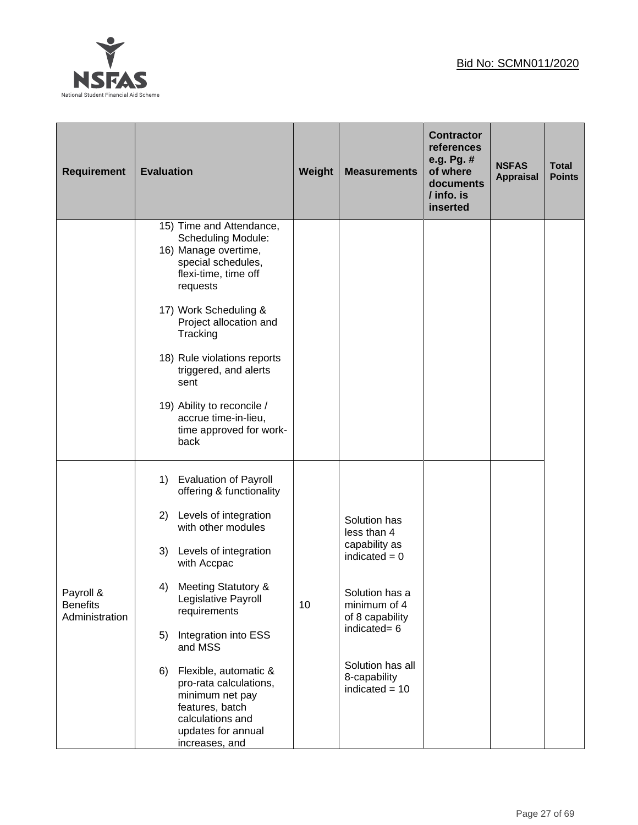

| <b>Requirement</b>                             | <b>Evaluation</b>                                                                                                                                       | Weight | <b>Measurements</b>                                  | <b>Contractor</b><br>references<br>e.g. Pg. #<br>of where<br>documents<br>/ info. is<br>inserted | <b>NSFAS</b><br><b>Appraisal</b> | <b>Total</b><br><b>Points</b> |
|------------------------------------------------|---------------------------------------------------------------------------------------------------------------------------------------------------------|--------|------------------------------------------------------|--------------------------------------------------------------------------------------------------|----------------------------------|-------------------------------|
|                                                | 15) Time and Attendance,<br><b>Scheduling Module:</b><br>16) Manage overtime,<br>special schedules,<br>flexi-time, time off<br>requests                 |        |                                                      |                                                                                                  |                                  |                               |
|                                                | 17) Work Scheduling &<br>Project allocation and<br>Tracking                                                                                             |        |                                                      |                                                                                                  |                                  |                               |
|                                                | 18) Rule violations reports<br>triggered, and alerts<br>sent                                                                                            |        |                                                      |                                                                                                  |                                  |                               |
|                                                | 19) Ability to reconcile /<br>accrue time-in-lieu,<br>time approved for work-<br>back                                                                   |        |                                                      |                                                                                                  |                                  |                               |
|                                                | <b>Evaluation of Payroll</b><br>1)<br>offering & functionality                                                                                          |        |                                                      |                                                                                                  |                                  |                               |
|                                                | Levels of integration<br>2)<br>with other modules                                                                                                       |        | Solution has<br>less than 4                          |                                                                                                  |                                  |                               |
|                                                | 3)<br>Levels of integration<br>with Accpac                                                                                                              |        | capability as<br>indicated $= 0$                     |                                                                                                  |                                  |                               |
| Payroll &<br><b>Benefits</b><br>Administration | 4) Meeting Statutory &<br>Legislative Payroll<br>requirements                                                                                           | 10     | Solution has a<br>minimum of 4<br>of 8 capability    |                                                                                                  |                                  |                               |
|                                                | Integration into ESS<br>5)<br>and MSS                                                                                                                   |        | indicated= 6                                         |                                                                                                  |                                  |                               |
|                                                | Flexible, automatic &<br>6)<br>pro-rata calculations,<br>minimum net pay<br>features, batch<br>calculations and<br>updates for annual<br>increases, and |        | Solution has all<br>8-capability<br>indicated $= 10$ |                                                                                                  |                                  |                               |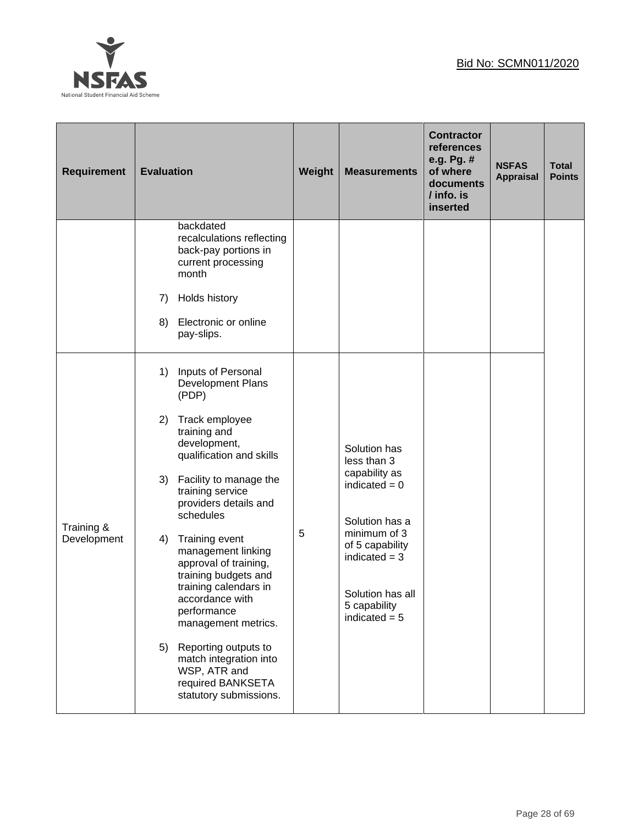

| <b>Requirement</b>        | <b>Evaluation</b>                                                                                                                                                                                                                                                                                                                                                                                                                                                                                                                            | Weight | <b>Measurements</b>                                                                                                                                                                            | <b>Contractor</b><br>references<br>e.g. Pg. #<br>of where<br>documents<br>/ info. is<br>inserted | <b>NSFAS</b><br><b>Appraisal</b> | <b>Total</b><br><b>Points</b> |
|---------------------------|----------------------------------------------------------------------------------------------------------------------------------------------------------------------------------------------------------------------------------------------------------------------------------------------------------------------------------------------------------------------------------------------------------------------------------------------------------------------------------------------------------------------------------------------|--------|------------------------------------------------------------------------------------------------------------------------------------------------------------------------------------------------|--------------------------------------------------------------------------------------------------|----------------------------------|-------------------------------|
|                           | backdated<br>recalculations reflecting<br>back-pay portions in<br>current processing<br>month<br>Holds history<br>7)<br>Electronic or online<br>8)<br>pay-slips.                                                                                                                                                                                                                                                                                                                                                                             |        |                                                                                                                                                                                                |                                                                                                  |                                  |                               |
| Training &<br>Development | Inputs of Personal<br>1)<br>Development Plans<br>(PDP)<br>Track employee<br>2)<br>training and<br>development,<br>qualification and skills<br>Facility to manage the<br>3)<br>training service<br>providers details and<br>schedules<br>Training event<br>4)<br>management linking<br>approval of training,<br>training budgets and<br>training calendars in<br>accordance with<br>performance<br>management metrics.<br>Reporting outputs to<br>5)<br>match integration into<br>WSP, ATR and<br>required BANKSETA<br>statutory submissions. | 5      | Solution has<br>less than 3<br>capability as<br>indicated $= 0$<br>Solution has a<br>minimum of 3<br>of 5 capability<br>indicated $=$ 3<br>Solution has all<br>5 capability<br>indicated $= 5$ |                                                                                                  |                                  |                               |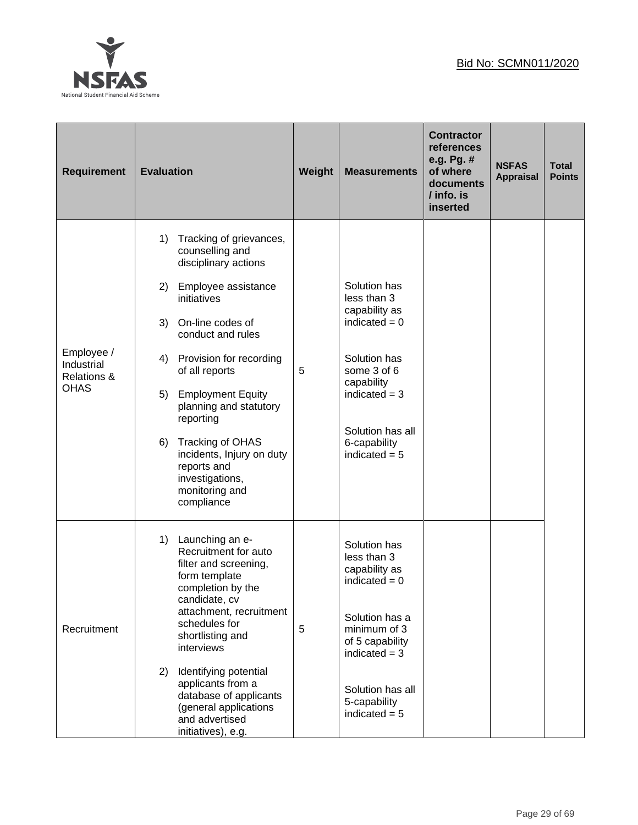

| <b>Requirement</b>                                                | <b>Evaluation</b>                                                                                                                                                                                                                                                                                                                                                                                                        | Weight | <b>Measurements</b>                                                                                                                                                                            | <b>Contractor</b><br><b>references</b><br>e.g. Pg. #<br>of where<br>documents<br>/ info. is<br>inserted | <b>NSFAS</b><br><b>Appraisal</b> | <b>Total</b><br><b>Points</b> |
|-------------------------------------------------------------------|--------------------------------------------------------------------------------------------------------------------------------------------------------------------------------------------------------------------------------------------------------------------------------------------------------------------------------------------------------------------------------------------------------------------------|--------|------------------------------------------------------------------------------------------------------------------------------------------------------------------------------------------------|---------------------------------------------------------------------------------------------------------|----------------------------------|-------------------------------|
| Employee /<br>Industrial<br><b>Relations &amp;</b><br><b>OHAS</b> | Tracking of grievances,<br>1)<br>counselling and<br>disciplinary actions<br>2)<br>Employee assistance<br>initiatives<br>On-line codes of<br>3)<br>conduct and rules<br>Provision for recording<br>4)<br>of all reports<br><b>Employment Equity</b><br>5)<br>planning and statutory<br>reporting<br>Tracking of OHAS<br>6)<br>incidents, Injury on duty<br>reports and<br>investigations,<br>monitoring and<br>compliance | 5      | Solution has<br>less than 3<br>capability as<br>indicated $= 0$<br>Solution has<br>some 3 of 6<br>capability<br>indicated $=$ 3<br>Solution has all<br>6-capability<br>indicated $= 5$         |                                                                                                         |                                  |                               |
| Recruitment                                                       | 1)<br>Launching an e-<br>Recruitment for auto<br>filter and screening,<br>form template<br>completion by the<br>candidate, cv<br>attachment, recruitment<br>schedules for<br>shortlisting and<br>interviews<br>2)<br>Identifying potential<br>applicants from a<br>database of applicants<br>(general applications<br>and advertised<br>initiatives), e.g.                                                               | 5      | Solution has<br>less than 3<br>capability as<br>indicated $= 0$<br>Solution has a<br>minimum of 3<br>of 5 capability<br>indicated $=$ 3<br>Solution has all<br>5-capability<br>indicated $= 5$ |                                                                                                         |                                  |                               |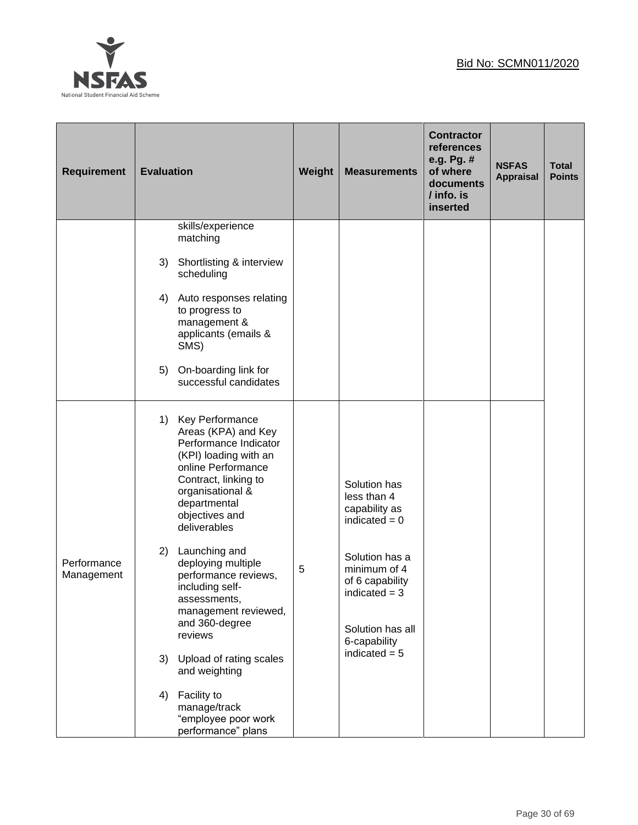

| <b>Requirement</b>        | <b>Evaluation</b>                                                                                                                                                                                                  | Weight | <b>Measurements</b>                                                                                      | <b>Contractor</b><br><b>references</b><br>e.g. Pg. #<br>of where<br>documents<br>/ info. is<br>inserted | <b>NSFAS</b><br><b>Appraisal</b> | <b>Total</b><br><b>Points</b> |
|---------------------------|--------------------------------------------------------------------------------------------------------------------------------------------------------------------------------------------------------------------|--------|----------------------------------------------------------------------------------------------------------|---------------------------------------------------------------------------------------------------------|----------------------------------|-------------------------------|
|                           | skills/experience<br>matching                                                                                                                                                                                      |        |                                                                                                          |                                                                                                         |                                  |                               |
|                           | Shortlisting & interview<br>3)<br>scheduling                                                                                                                                                                       |        |                                                                                                          |                                                                                                         |                                  |                               |
|                           | Auto responses relating<br>4)<br>to progress to<br>management &<br>applicants (emails &<br>SMS)                                                                                                                    |        |                                                                                                          |                                                                                                         |                                  |                               |
|                           | On-boarding link for<br>5)<br>successful candidates                                                                                                                                                                |        |                                                                                                          |                                                                                                         |                                  |                               |
|                           | Key Performance<br>1)<br>Areas (KPA) and Key<br>Performance Indicator<br>(KPI) loading with an<br>online Performance<br>Contract, linking to<br>organisational &<br>departmental<br>objectives and<br>deliverables |        | Solution has<br>less than 4<br>capability as<br>indicated $= 0$                                          |                                                                                                         |                                  |                               |
| Performance<br>Management | 2)<br>Launching and<br>deploying multiple<br>performance reviews,<br>including self-<br>assessments,<br>management reviewed,<br>and 360-degree<br>reviews                                                          | 5      | Solution has a<br>minimum of 4<br>of 6 capability<br>indicated $=$ 3<br>Solution has all<br>6-capability |                                                                                                         |                                  |                               |
|                           | Upload of rating scales<br>3)<br>and weighting                                                                                                                                                                     |        | indicated $= 5$                                                                                          |                                                                                                         |                                  |                               |
|                           | Facility to<br>4)<br>manage/track<br>"employee poor work<br>performance" plans                                                                                                                                     |        |                                                                                                          |                                                                                                         |                                  |                               |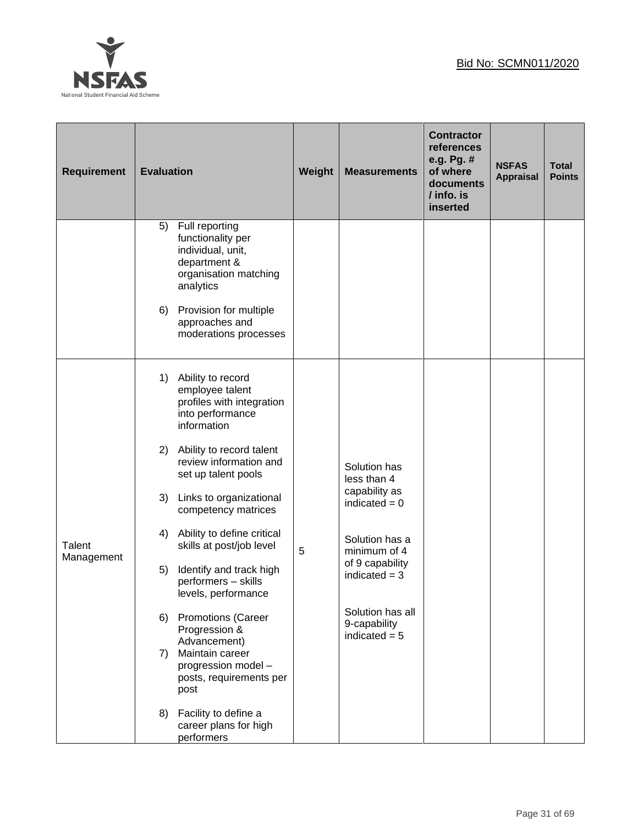

| <b>Requirement</b>   | <b>Evaluation</b>                                                                                                                                                                                                                                                                                                                                                                                                                                                                                                                                                                         | Weight | <b>Measurements</b>                                                                                                                                                                            | <b>Contractor</b><br><b>references</b><br>e.g. Pg. #<br>of where<br>documents<br>/ info. is<br>inserted | <b>NSFAS</b><br><b>Appraisal</b> | <b>Total</b><br><b>Points</b> |
|----------------------|-------------------------------------------------------------------------------------------------------------------------------------------------------------------------------------------------------------------------------------------------------------------------------------------------------------------------------------------------------------------------------------------------------------------------------------------------------------------------------------------------------------------------------------------------------------------------------------------|--------|------------------------------------------------------------------------------------------------------------------------------------------------------------------------------------------------|---------------------------------------------------------------------------------------------------------|----------------------------------|-------------------------------|
|                      | Full reporting<br>5)<br>functionality per<br>individual, unit,<br>department &<br>organisation matching<br>analytics<br>Provision for multiple<br>6)<br>approaches and<br>moderations processes                                                                                                                                                                                                                                                                                                                                                                                           |        |                                                                                                                                                                                                |                                                                                                         |                                  |                               |
| Talent<br>Management | 1)<br>Ability to record<br>employee talent<br>profiles with integration<br>into performance<br>information<br>Ability to record talent<br>2)<br>review information and<br>set up talent pools<br>3)<br>Links to organizational<br>competency matrices<br>Ability to define critical<br>4)<br>skills at post/job level<br>Identify and track high<br>5)<br>performers - skills<br>levels, performance<br><b>Promotions (Career</b><br>6)<br>Progression &<br>Advancement)<br>Maintain career<br>7)<br>progression model -<br>posts, requirements per<br>post<br>Facility to define a<br>8) | 5      | Solution has<br>less than 4<br>capability as<br>indicated $= 0$<br>Solution has a<br>minimum of 4<br>of 9 capability<br>indicated $=$ 3<br>Solution has all<br>9-capability<br>indicated $= 5$ |                                                                                                         |                                  |                               |
|                      | career plans for high<br>performers                                                                                                                                                                                                                                                                                                                                                                                                                                                                                                                                                       |        |                                                                                                                                                                                                |                                                                                                         |                                  |                               |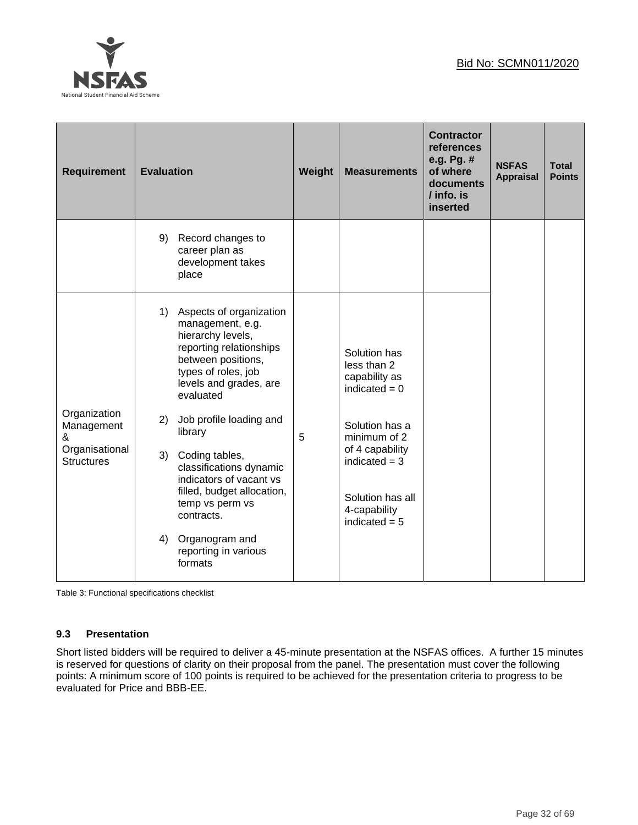

| <b>Requirement</b>                  | <b>Evaluation</b> |                                                                                                                                                                                             | Weight | <b>Measurements</b>                                                                       | <b>Contractor</b><br>references<br>e.g. Pg. #<br>of where<br>documents<br>/ info. is<br>inserted | <b>NSFAS</b><br><b>Appraisal</b> | <b>Total</b><br><b>Points</b> |
|-------------------------------------|-------------------|---------------------------------------------------------------------------------------------------------------------------------------------------------------------------------------------|--------|-------------------------------------------------------------------------------------------|--------------------------------------------------------------------------------------------------|----------------------------------|-------------------------------|
|                                     | 9)                | Record changes to<br>career plan as<br>development takes<br>place                                                                                                                           |        |                                                                                           |                                                                                                  |                                  |                               |
|                                     | 1)                | Aspects of organization<br>management, e.g.<br>hierarchy levels,<br>reporting relationships<br>between positions,<br>types of roles, job<br>levels and grades, are<br>evaluated             |        | Solution has<br>less than 2<br>capability as<br>indicated $= 0$                           |                                                                                                  |                                  |                               |
| Organization<br>Management<br>&     | 2)                | Job profile loading and<br>library                                                                                                                                                          | 5      | Solution has a<br>minimum of 2                                                            |                                                                                                  |                                  |                               |
| Organisational<br><b>Structures</b> | 3)                | Coding tables,<br>classifications dynamic<br>indicators of vacant vs<br>filled, budget allocation,<br>temp vs perm vs<br>contracts.<br>4) Organogram and<br>reporting in various<br>formats |        | of 4 capability<br>indicated $=$ 3<br>Solution has all<br>4-capability<br>indicated $= 5$ |                                                                                                  |                                  |                               |

Table 3: Functional specifications checklist

## **9.3 Presentation**

Short listed bidders will be required to deliver a 45-minute presentation at the NSFAS offices. A further 15 minutes is reserved for questions of clarity on their proposal from the panel. The presentation must cover the following points: A minimum score of 100 points is required to be achieved for the presentation criteria to progress to be evaluated for Price and BBB-EE.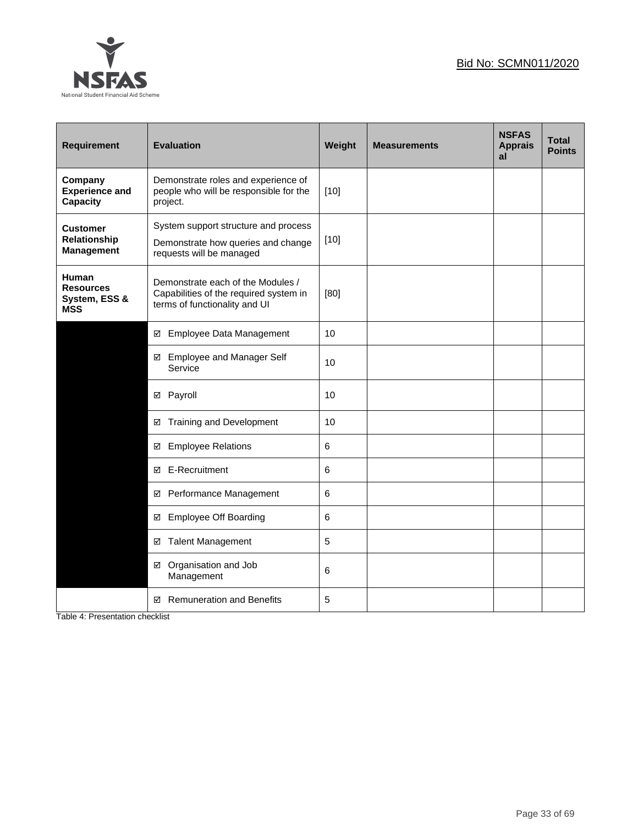

| <b>Requirement</b>                                              | <b>Evaluation</b>                                                                                            | Weight | <b>Measurements</b> | <b>NSFAS</b><br><b>Apprais</b><br>al | <b>Total</b><br><b>Points</b> |
|-----------------------------------------------------------------|--------------------------------------------------------------------------------------------------------------|--------|---------------------|--------------------------------------|-------------------------------|
| Company<br><b>Experience and</b><br>Capacity                    | Demonstrate roles and experience of<br>people who will be responsible for the<br>project.                    | $[10]$ |                     |                                      |                               |
| <b>Customer</b><br>Relationship<br><b>Management</b>            | System support structure and process<br>Demonstrate how queries and change<br>requests will be managed       | $[10]$ |                     |                                      |                               |
| <b>Human</b><br><b>Resources</b><br>System, ESS &<br><b>MSS</b> | Demonstrate each of the Modules /<br>Capabilities of the required system in<br>terms of functionality and UI | [80]   |                     |                                      |                               |
|                                                                 | Employee Data Management<br>☑                                                                                | 10     |                     |                                      |                               |
|                                                                 | <b>Employee and Manager Self</b><br>☑<br>Service                                                             | 10     |                     |                                      |                               |
|                                                                 | ☑ Payroll                                                                                                    | 10     |                     |                                      |                               |
|                                                                 | Training and Development<br>☑                                                                                | 10     |                     |                                      |                               |
|                                                                 | <b>Employee Relations</b><br>☑                                                                               | 6      |                     |                                      |                               |
|                                                                 | E-Recruitment<br>☑                                                                                           | 6      |                     |                                      |                               |
|                                                                 | Performance Management<br>☑                                                                                  | 6      |                     |                                      |                               |
|                                                                 | <b>Employee Off Boarding</b><br>☑                                                                            | 6      |                     |                                      |                               |
|                                                                 | <b>Talent Management</b><br>☑                                                                                | 5      |                     |                                      |                               |
|                                                                 | Organisation and Job<br>☑<br>Management                                                                      | 6      |                     |                                      |                               |
|                                                                 | <b>Remuneration and Benefits</b><br>☑                                                                        | 5      |                     |                                      |                               |

Table 4: Presentation checklist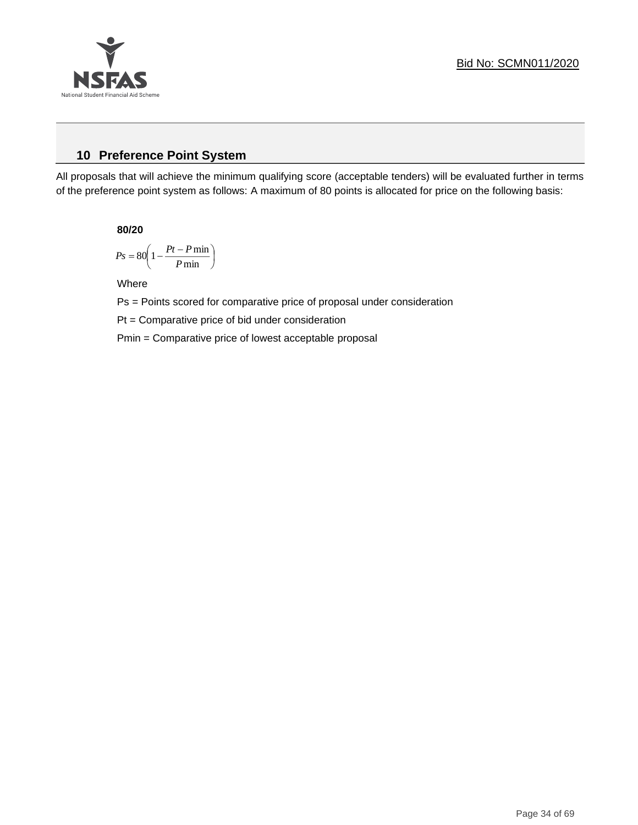

# **10 Preference Point System**

All proposals that will achieve the minimum qualifying score (acceptable tenders) will be evaluated further in terms of the preference point system as follows: A maximum of 80 points is allocated for price on the following basis:

**80/20**

$$
Ps = 80 \left( 1 - \frac{Pt - P \min}{P \min} \right)
$$

Where

Ps = Points scored for comparative price of proposal under consideration

Pt = Comparative price of bid under consideration

Pmin = Comparative price of lowest acceptable proposal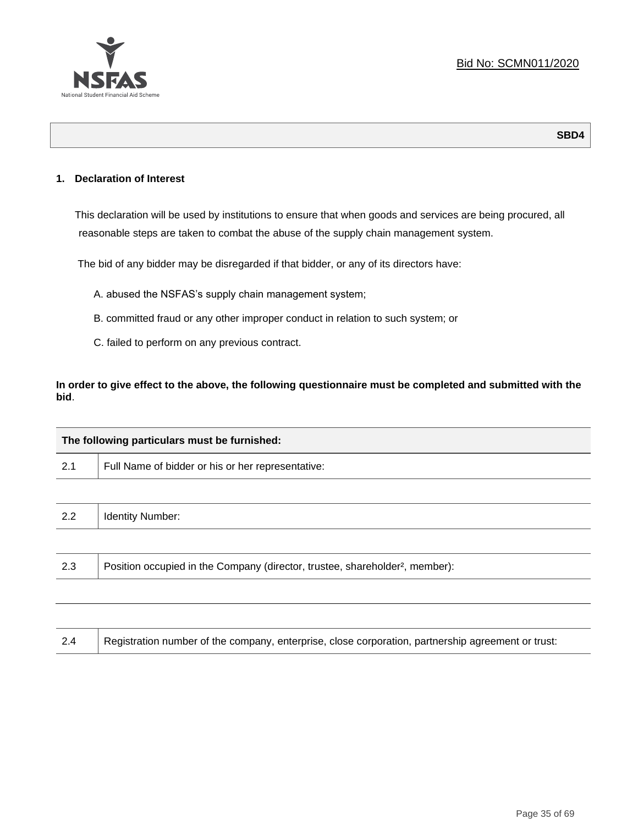

### **1. Declaration of Interest**

This declaration will be used by institutions to ensure that when goods and services are being procured, all reasonable steps are taken to combat the abuse of the supply chain management system.

The bid of any bidder may be disregarded if that bidder, or any of its directors have:

- A. abused the NSFAS's supply chain management system;
- B. committed fraud or any other improper conduct in relation to such system; or
- C. failed to perform on any previous contract.

**In order to give effect to the above, the following questionnaire must be completed and submitted with the bid**.

|     | The following particulars must be furnished:                                             |  |  |  |  |
|-----|------------------------------------------------------------------------------------------|--|--|--|--|
| 2.1 | Full Name of bidder or his or her representative:                                        |  |  |  |  |
|     |                                                                                          |  |  |  |  |
| 2.2 | <b>Identity Number:</b>                                                                  |  |  |  |  |
|     |                                                                                          |  |  |  |  |
| 2.3 | Position occupied in the Company (director, trustee, shareholder <sup>2</sup> , member): |  |  |  |  |
|     |                                                                                          |  |  |  |  |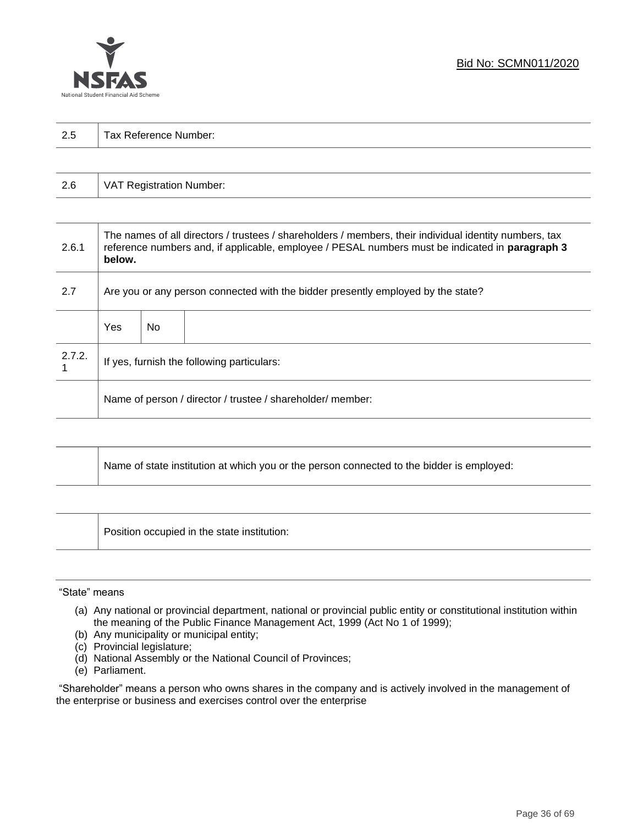

| 2.5 | Tax Reference Number: |  |  |  |  |  |
|-----|-----------------------|--|--|--|--|--|
|     |                       |  |  |  |  |  |

| 2.6 | VAT Registration Number: |
|-----|--------------------------|
|-----|--------------------------|

| 2.6.1  | The names of all directors / trustees / shareholders / members, their individual identity numbers, tax<br>reference numbers and, if applicable, employee / PESAL numbers must be indicated in paragraph 3<br>below. |     |  |  |
|--------|---------------------------------------------------------------------------------------------------------------------------------------------------------------------------------------------------------------------|-----|--|--|
| 2.7    | Are you or any person connected with the bidder presently employed by the state?                                                                                                                                    |     |  |  |
|        | Yes                                                                                                                                                                                                                 | No. |  |  |
| 2.7.2. | If yes, furnish the following particulars:                                                                                                                                                                          |     |  |  |
|        | Name of person / director / trustee / shareholder/ member:                                                                                                                                                          |     |  |  |

| Name of state institution at which you or the person connected to the bidder is employed: |
|-------------------------------------------------------------------------------------------|
|                                                                                           |

Position occupied in the state institution:

#### "State" means

┱

- (a) Any national or provincial department, national or provincial public entity or constitutional institution within the meaning of the Public Finance Management Act, 1999 (Act No 1 of 1999);
- (b) Any municipality or municipal entity;
- (c) Provincial legislature;
- (d) National Assembly or the National Council of Provinces;
- (e) Parliament.

"Shareholder" means a person who owns shares in the company and is actively involved in the management of the enterprise or business and exercises control over the enterprise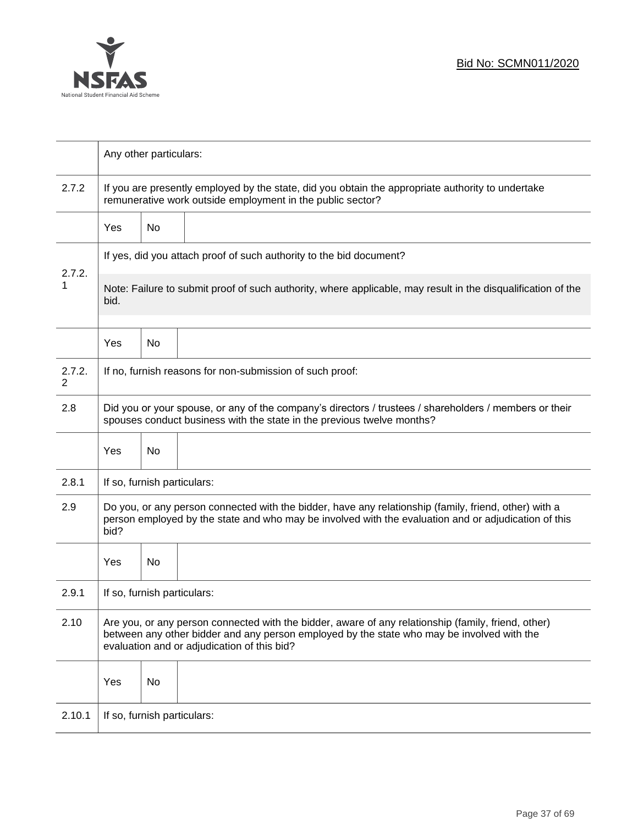

|                          | Any other particulars:                                                                                                                                                                                                                           |                                                                                                                                                                 |                                                          |  |  |  |
|--------------------------|--------------------------------------------------------------------------------------------------------------------------------------------------------------------------------------------------------------------------------------------------|-----------------------------------------------------------------------------------------------------------------------------------------------------------------|----------------------------------------------------------|--|--|--|
| 2.7.2                    |                                                                                                                                                                                                                                                  | If you are presently employed by the state, did you obtain the appropriate authority to undertake<br>remunerative work outside employment in the public sector? |                                                          |  |  |  |
|                          | Yes                                                                                                                                                                                                                                              | No                                                                                                                                                              |                                                          |  |  |  |
|                          | If yes, did you attach proof of such authority to the bid document?                                                                                                                                                                              |                                                                                                                                                                 |                                                          |  |  |  |
| 2.7.2.<br>1              | Note: Failure to submit proof of such authority, where applicable, may result in the disqualification of the<br>bid.                                                                                                                             |                                                                                                                                                                 |                                                          |  |  |  |
|                          | Yes                                                                                                                                                                                                                                              | No                                                                                                                                                              |                                                          |  |  |  |
| 2.7.2.<br>$\overline{2}$ |                                                                                                                                                                                                                                                  |                                                                                                                                                                 | If no, furnish reasons for non-submission of such proof: |  |  |  |
| 2.8                      | Did you or your spouse, or any of the company's directors / trustees / shareholders / members or their<br>spouses conduct business with the state in the previous twelve months?                                                                 |                                                                                                                                                                 |                                                          |  |  |  |
|                          | Yes                                                                                                                                                                                                                                              | No                                                                                                                                                              |                                                          |  |  |  |
| 2.8.1                    | If so, furnish particulars:                                                                                                                                                                                                                      |                                                                                                                                                                 |                                                          |  |  |  |
| 2.9                      | Do you, or any person connected with the bidder, have any relationship (family, friend, other) with a<br>person employed by the state and who may be involved with the evaluation and or adjudication of this<br>bid?                            |                                                                                                                                                                 |                                                          |  |  |  |
|                          | Yes                                                                                                                                                                                                                                              | No                                                                                                                                                              |                                                          |  |  |  |
| 2.9.1                    | If so, furnish particulars:                                                                                                                                                                                                                      |                                                                                                                                                                 |                                                          |  |  |  |
| 2.10                     | Are you, or any person connected with the bidder, aware of any relationship (family, friend, other)<br>between any other bidder and any person employed by the state who may be involved with the<br>evaluation and or adjudication of this bid? |                                                                                                                                                                 |                                                          |  |  |  |
|                          | Yes                                                                                                                                                                                                                                              | No                                                                                                                                                              |                                                          |  |  |  |
| 2.10.1                   | If so, furnish particulars:                                                                                                                                                                                                                      |                                                                                                                                                                 |                                                          |  |  |  |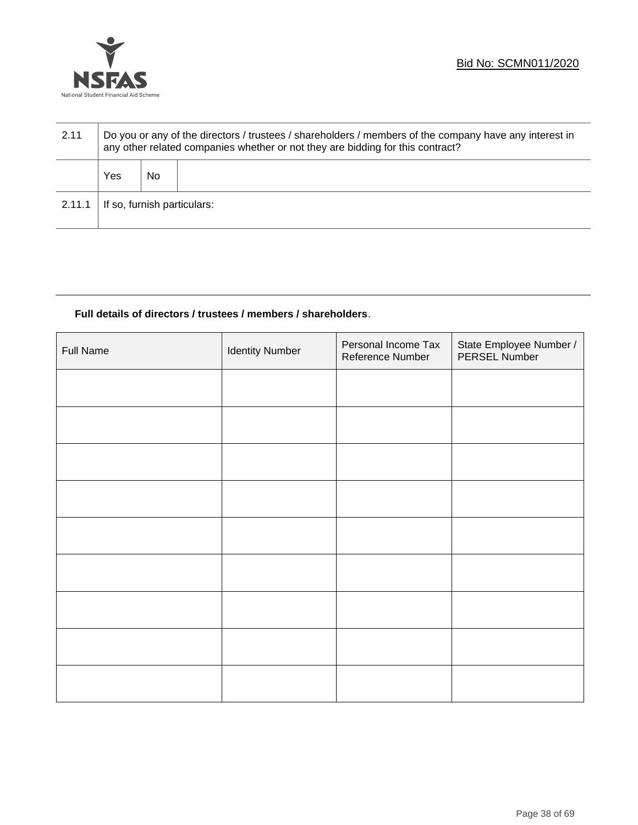

| 2.11   | Do you or any of the directors / trustees / shareholders / members of the company have any interest in<br>any other related companies whether or not they are bidding for this contract? |    |  |  |
|--------|------------------------------------------------------------------------------------------------------------------------------------------------------------------------------------------|----|--|--|
|        | Yes                                                                                                                                                                                      | No |  |  |
| 2.11.1 | If so, furnish particulars:                                                                                                                                                              |    |  |  |

# **Full details of directors / trustees / members / shareholders**.

| <b>Full Name</b> | <b>Identity Number</b> | Personal Income Tax<br>Reference Number | State Employee Number /<br>PERSEL Number |
|------------------|------------------------|-----------------------------------------|------------------------------------------|
|                  |                        |                                         |                                          |
|                  |                        |                                         |                                          |
|                  |                        |                                         |                                          |
|                  |                        |                                         |                                          |
|                  |                        |                                         |                                          |
|                  |                        |                                         |                                          |
|                  |                        |                                         |                                          |
|                  |                        |                                         |                                          |
|                  |                        |                                         |                                          |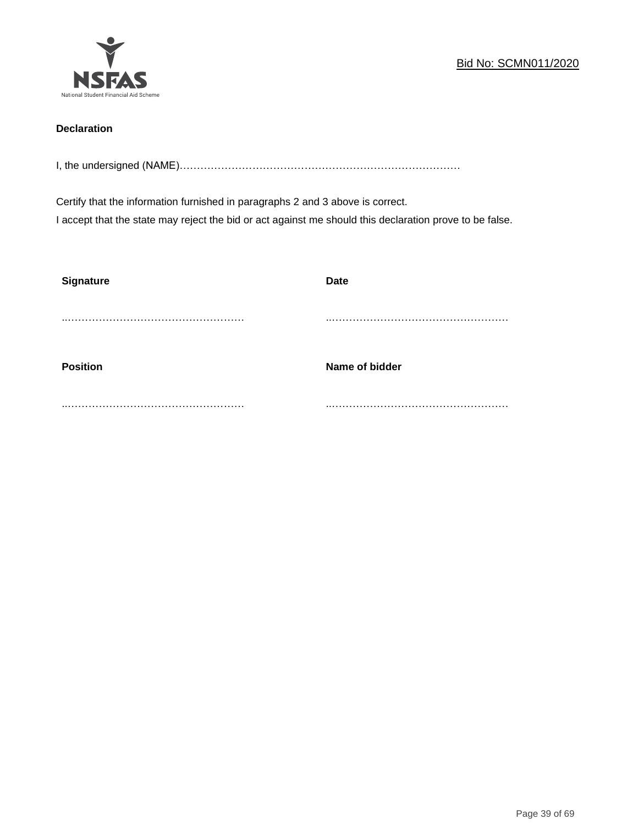

# **Declaration**

I, the undersigned (NAME)………………………………………………………………………

Certify that the information furnished in paragraphs 2 and 3 above is correct. I accept that the state may reject the bid or act against me should this declaration prove to be false.

| <b>Signature</b> | <b>Date</b>    |
|------------------|----------------|
|                  |                |
| <b>Position</b>  | Name of bidder |
|                  |                |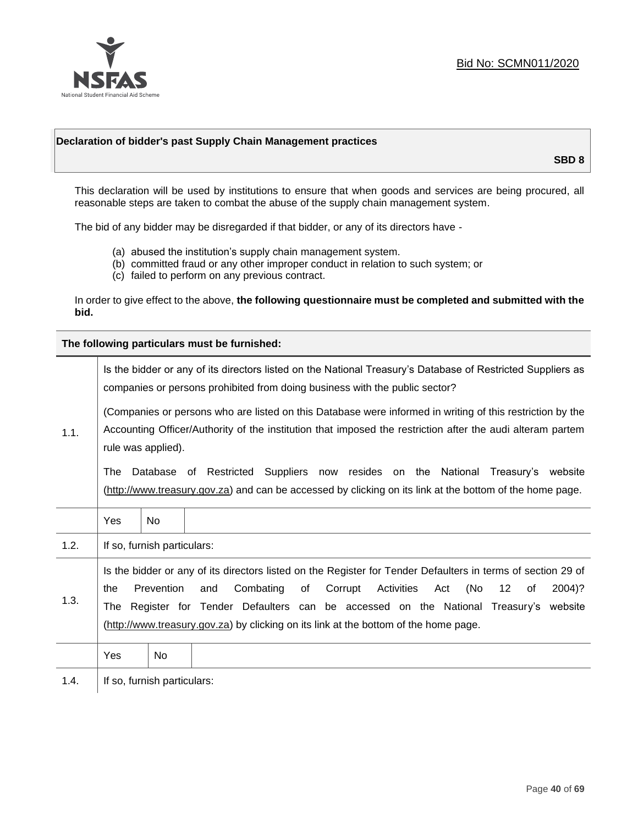

### **Declaration of bidder's past Supply Chain Management practices**

**SBD 8**

This declaration will be used by institutions to ensure that when goods and services are being procured, all reasonable steps are taken to combat the abuse of the supply chain management system.

The bid of any bidder may be disregarded if that bidder, or any of its directors have -

- (a) abused the institution's supply chain management system.
- (b) committed fraud or any other improper conduct in relation to such system; or
- (c) failed to perform on any previous contract.

In order to give effect to the above, **the following questionnaire must be completed and submitted with the bid.**

**The following particulars must be furnished:**

|      | Is the bidder or any of its directors listed on the National Treasury's Database of Restricted Suppliers as<br>companies or persons prohibited from doing business with the public sector?                                                                                                                                                                                                                |                             |                                                                                                                                                                                             |  |  |
|------|-----------------------------------------------------------------------------------------------------------------------------------------------------------------------------------------------------------------------------------------------------------------------------------------------------------------------------------------------------------------------------------------------------------|-----------------------------|---------------------------------------------------------------------------------------------------------------------------------------------------------------------------------------------|--|--|
| 1.1. | (Companies or persons who are listed on this Database were informed in writing of this restriction by the<br>Accounting Officer/Authority of the institution that imposed the restriction after the audi alteram partem<br>rule was applied).                                                                                                                                                             |                             |                                                                                                                                                                                             |  |  |
|      | The                                                                                                                                                                                                                                                                                                                                                                                                       |                             | Database of Restricted Suppliers now resides on the National Treasury's website<br>(http://www.treasury.gov.za) and can be accessed by clicking on its link at the bottom of the home page. |  |  |
|      | Yes                                                                                                                                                                                                                                                                                                                                                                                                       | <b>No</b>                   |                                                                                                                                                                                             |  |  |
| 1.2. |                                                                                                                                                                                                                                                                                                                                                                                                           | If so, furnish particulars: |                                                                                                                                                                                             |  |  |
| 1.3. | Is the bidder or any of its directors listed on the Register for Tender Defaulters in terms of section 29 of<br>Prevention<br>Activities<br>(No<br>Combating<br>of<br>Corrupt<br>12<br>2004)?<br>the<br>and<br>Act<br>of<br>The Register for Tender Defaulters can be accessed on the National Treasury's website<br>(http://www.treasury.gov.za) by clicking on its link at the bottom of the home page. |                             |                                                                                                                                                                                             |  |  |
|      | Yes                                                                                                                                                                                                                                                                                                                                                                                                       | No                          |                                                                                                                                                                                             |  |  |
| 1.4. |                                                                                                                                                                                                                                                                                                                                                                                                           | If so, furnish particulars: |                                                                                                                                                                                             |  |  |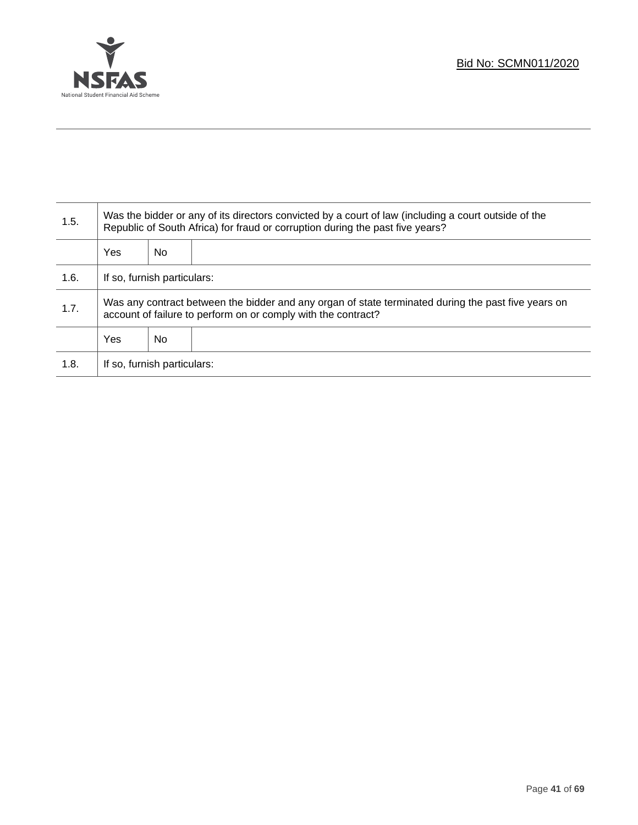

Τ

| 1.5. | Was the bidder or any of its directors convicted by a court of law (including a court outside of the<br>Republic of South Africa) for fraud or corruption during the past five years? |     |  |  |
|------|---------------------------------------------------------------------------------------------------------------------------------------------------------------------------------------|-----|--|--|
|      | Yes                                                                                                                                                                                   | No. |  |  |
| 1.6. | If so, furnish particulars:                                                                                                                                                           |     |  |  |
| 1.7. | Was any contract between the bidder and any organ of state terminated during the past five years on<br>account of failure to perform on or comply with the contract?                  |     |  |  |
|      | Yes                                                                                                                                                                                   | No  |  |  |
| 1.8. | If so, furnish particulars:                                                                                                                                                           |     |  |  |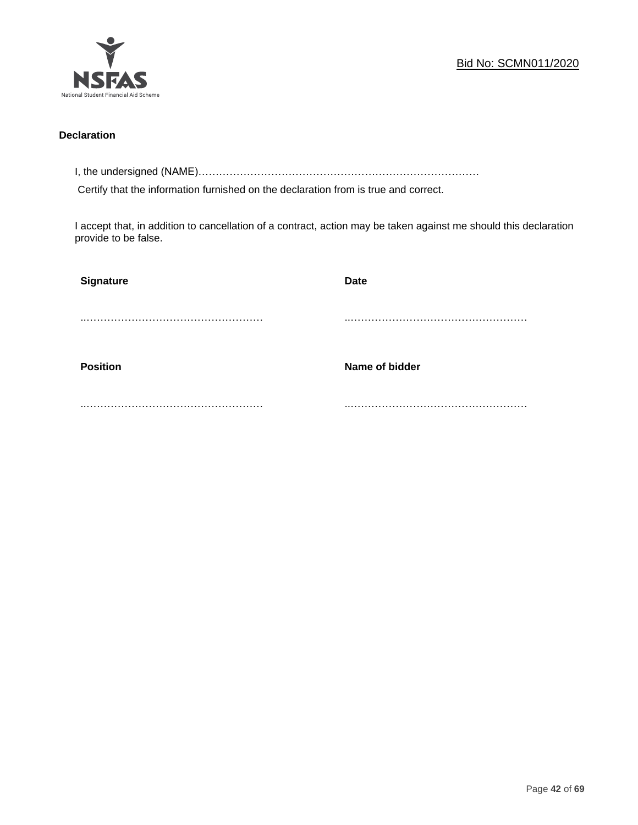

### **Declaration**

I, the undersigned (NAME)………………………………………………………………………

Certify that the information furnished on the declaration from is true and correct.

I accept that, in addition to cancellation of a contract, action may be taken against me should this declaration provide to be false.

| Signature       | <b>Date</b>    |
|-----------------|----------------|
|                 |                |
|                 |                |
| <b>Position</b> | Name of bidder |
|                 |                |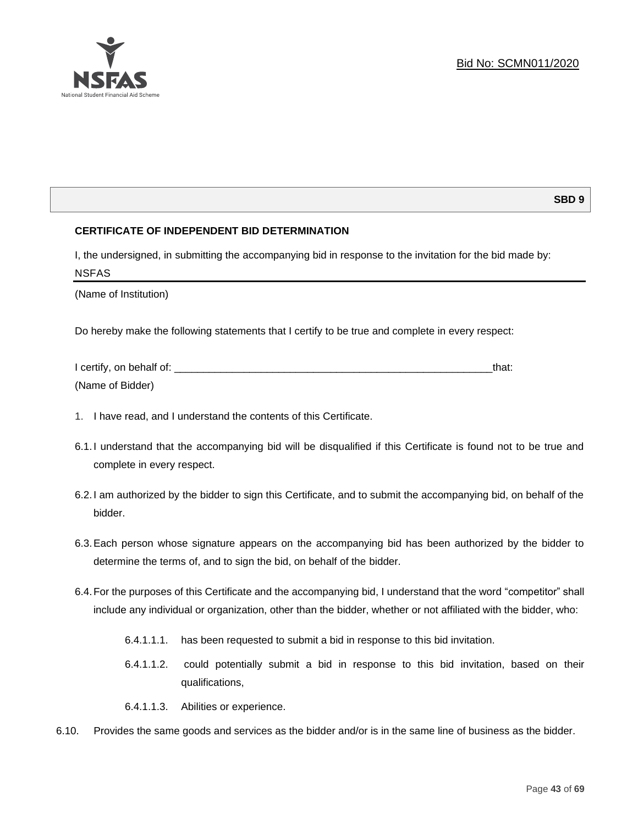### **SBD 9**

### **CERTIFICATE OF INDEPENDENT BID DETERMINATION**

I, the undersigned, in submitting the accompanying bid in response to the invitation for the bid made by: NSFAS

(Name of Institution)

Do hereby make the following statements that I certify to be true and complete in every respect:

| I certify, on behalf of: |  |
|--------------------------|--|
| (Name of Bidder)         |  |

- 1. I have read, and I understand the contents of this Certificate.
- 6.1.I understand that the accompanying bid will be disqualified if this Certificate is found not to be true and complete in every respect.
- 6.2.I am authorized by the bidder to sign this Certificate, and to submit the accompanying bid, on behalf of the bidder.
- 6.3.Each person whose signature appears on the accompanying bid has been authorized by the bidder to determine the terms of, and to sign the bid, on behalf of the bidder.
- 6.4.For the purposes of this Certificate and the accompanying bid, I understand that the word "competitor" shall include any individual or organization, other than the bidder, whether or not affiliated with the bidder, who:
	- 6.4.1.1.1. has been requested to submit a bid in response to this bid invitation.
	- 6.4.1.1.2. could potentially submit a bid in response to this bid invitation, based on their qualifications,
	- 6.4.1.1.3. Abilities or experience.
- 6.10. Provides the same goods and services as the bidder and/or is in the same line of business as the bidder.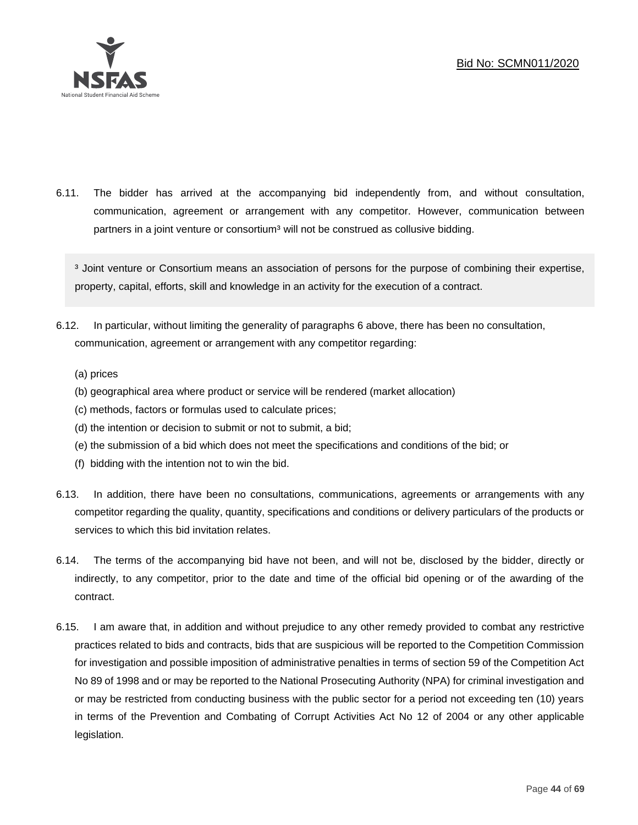

6.11. The bidder has arrived at the accompanying bid independently from, and without consultation, communication, agreement or arrangement with any competitor. However, communication between partners in a joint venture or consortium<sup>3</sup> will not be construed as collusive bidding.

<sup>3</sup> Joint venture or Consortium means an association of persons for the purpose of combining their expertise, property, capital, efforts, skill and knowledge in an activity for the execution of a contract.

- 6.12. In particular, without limiting the generality of paragraphs 6 above, there has been no consultation, communication, agreement or arrangement with any competitor regarding:
	- (a) prices
	- (b) geographical area where product or service will be rendered (market allocation)
	- (c) methods, factors or formulas used to calculate prices;
	- (d) the intention or decision to submit or not to submit, a bid;
	- (e) the submission of a bid which does not meet the specifications and conditions of the bid; or
	- (f) bidding with the intention not to win the bid.
- 6.13. In addition, there have been no consultations, communications, agreements or arrangements with any competitor regarding the quality, quantity, specifications and conditions or delivery particulars of the products or services to which this bid invitation relates.
- 6.14. The terms of the accompanying bid have not been, and will not be, disclosed by the bidder, directly or indirectly, to any competitor, prior to the date and time of the official bid opening or of the awarding of the contract.
- 6.15. I am aware that, in addition and without prejudice to any other remedy provided to combat any restrictive practices related to bids and contracts, bids that are suspicious will be reported to the Competition Commission for investigation and possible imposition of administrative penalties in terms of section 59 of the Competition Act No 89 of 1998 and or may be reported to the National Prosecuting Authority (NPA) for criminal investigation and or may be restricted from conducting business with the public sector for a period not exceeding ten (10) years in terms of the Prevention and Combating of Corrupt Activities Act No 12 of 2004 or any other applicable legislation.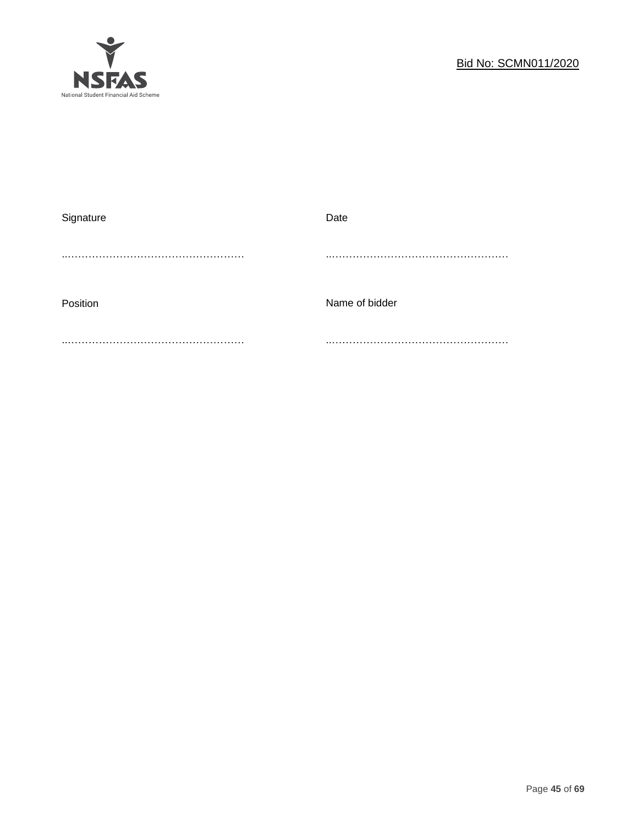

| Signature | Date           |
|-----------|----------------|
|           |                |
|           |                |
|           |                |
| Position  | Name of bidder |
|           |                |
|           |                |
|           |                |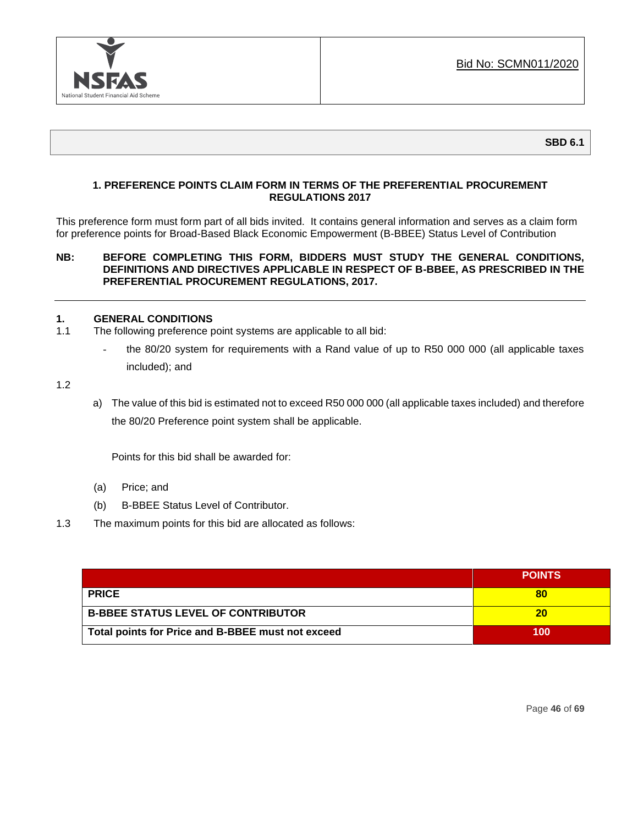

### **1. PREFERENCE POINTS CLAIM FORM IN TERMS OF THE PREFERENTIAL PROCUREMENT REGULATIONS 2017**

This preference form must form part of all bids invited. It contains general information and serves as a claim form for preference points for Broad-Based Black Economic Empowerment (B-BBEE) Status Level of Contribution

### **NB: BEFORE COMPLETING THIS FORM, BIDDERS MUST STUDY THE GENERAL CONDITIONS, DEFINITIONS AND DIRECTIVES APPLICABLE IN RESPECT OF B-BBEE, AS PRESCRIBED IN THE PREFERENTIAL PROCUREMENT REGULATIONS, 2017.**

### **1. GENERAL CONDITIONS**

- 1.1 The following preference point systems are applicable to all bid:
	- the 80/20 system for requirements with a Rand value of up to R50 000 000 (all applicable taxes included); and

1.2

a) The value of this bid is estimated not to exceed R50 000 000 (all applicable taxes included) and therefore the 80/20 Preference point system shall be applicable.

Points for this bid shall be awarded for:

- (a) Price; and
- (b) B-BBEE Status Level of Contributor.
- 1.3 The maximum points for this bid are allocated as follows:

|                                                   | <b>POINTS</b> |
|---------------------------------------------------|---------------|
| <b>PRICE</b>                                      | 80            |
| <b>B-BBEE STATUS LEVEL OF CONTRIBUTOR</b>         | 20            |
| Total points for Price and B-BBEE must not exceed | 100           |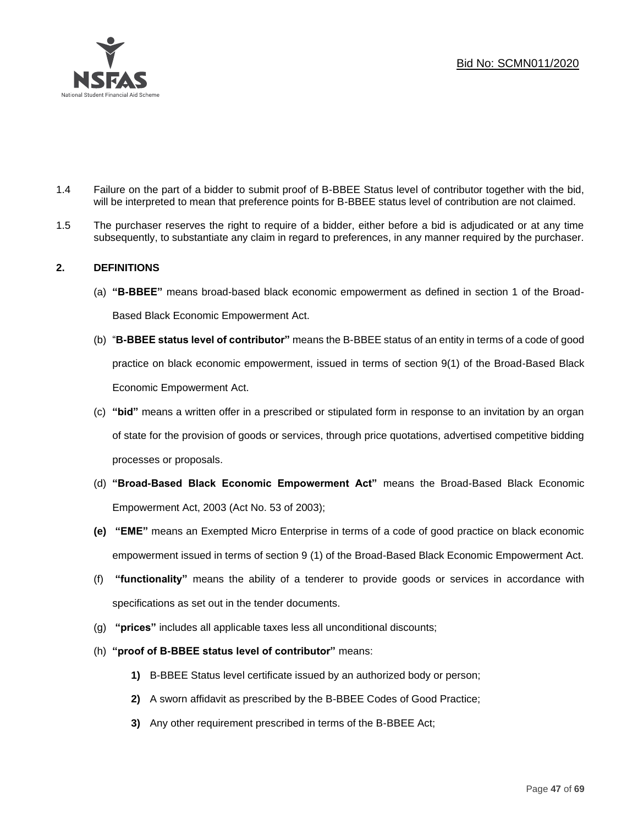

- 1.4 Failure on the part of a bidder to submit proof of B-BBEE Status level of contributor together with the bid, will be interpreted to mean that preference points for B-BBEE status level of contribution are not claimed.
- 1.5 The purchaser reserves the right to require of a bidder, either before a bid is adjudicated or at any time subsequently, to substantiate any claim in regard to preferences, in any manner required by the purchaser.

## **2. DEFINITIONS**

- (a) **"B-BBEE"** means broad-based black economic empowerment as defined in section 1 of the Broad-Based Black Economic Empowerment Act.
- (b) "**B-BBEE status level of contributor"** means the B-BBEE status of an entity in terms of a code of good practice on black economic empowerment, issued in terms of section 9(1) of the Broad-Based Black Economic Empowerment Act.
- (c) **"bid"** means a written offer in a prescribed or stipulated form in response to an invitation by an organ of state for the provision of goods or services, through price quotations, advertised competitive bidding processes or proposals.
- (d) **"Broad-Based Black Economic Empowerment Act"** means the Broad-Based Black Economic Empowerment Act, 2003 (Act No. 53 of 2003);
- **(e) "EME"** means an Exempted Micro Enterprise in terms of a code of good practice on black economic empowerment issued in terms of section 9 (1) of the Broad-Based Black Economic Empowerment Act.
- (f) **"functionality"** means the ability of a tenderer to provide goods or services in accordance with specifications as set out in the tender documents.
- (g) **"prices"** includes all applicable taxes less all unconditional discounts;
- (h) **"proof of B-BBEE status level of contributor"** means:
	- **1)** B-BBEE Status level certificate issued by an authorized body or person;
	- **2)** A sworn affidavit as prescribed by the B-BBEE Codes of Good Practice;
	- **3)** Any other requirement prescribed in terms of the B-BBEE Act;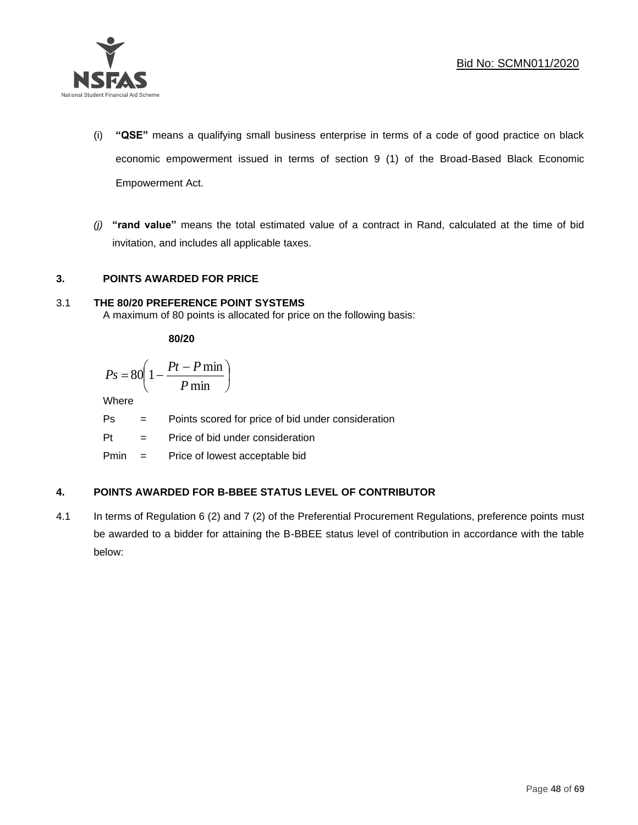

- (i) **"QSE"** means a qualifying small business enterprise in terms of a code of good practice on black economic empowerment issued in terms of section 9 (1) of the Broad-Based Black Economic Empowerment Act.
- *(j)* **"rand value"** means the total estimated value of a contract in Rand, calculated at the time of bid invitation, and includes all applicable taxes.

## **3. POINTS AWARDED FOR PRICE**

# 3.1 **THE 80/20 PREFERENCE POINT SYSTEMS**

A maximum of 80 points is allocated for price on the following basis:

**80/20**

$$
Ps = 80 \left( 1 - \frac{Pt - P \min}{P \min} \right)
$$

Where

- Ps = Points scored for price of bid under consideration
- Pt = Price of bid under consideration

Pmin = Price of lowest acceptable bid

# **4. POINTS AWARDED FOR B-BBEE STATUS LEVEL OF CONTRIBUTOR**

4.1 In terms of Regulation 6 (2) and 7 (2) of the Preferential Procurement Regulations, preference points must be awarded to a bidder for attaining the B-BBEE status level of contribution in accordance with the table below: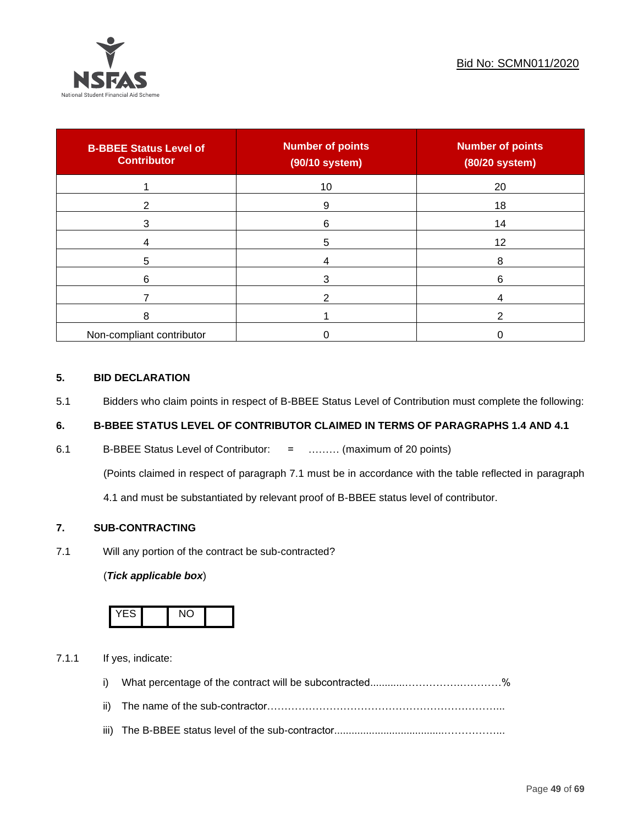

| <b>B-BBEE Status Level of</b><br><b>Contributor</b> | <b>Number of points</b><br>(90/10 system) | <b>Number of points</b><br>(80/20 system) |
|-----------------------------------------------------|-------------------------------------------|-------------------------------------------|
|                                                     | 10                                        | 20                                        |
| ◠                                                   | 9                                         | 18                                        |
| 3                                                   | 6                                         | 14                                        |
|                                                     | 5                                         | 12                                        |
| 5                                                   |                                           | 8                                         |
| 6                                                   |                                           | 6                                         |
|                                                     |                                           |                                           |
| 8                                                   |                                           |                                           |
| Non-compliant contributor                           |                                           |                                           |

### **5. BID DECLARATION**

5.1 Bidders who claim points in respect of B-BBEE Status Level of Contribution must complete the following:

# **6. B-BBEE STATUS LEVEL OF CONTRIBUTOR CLAIMED IN TERMS OF PARAGRAPHS 1.4 AND 4.1**

6.1 B-BBEE Status Level of Contributor: = ……… (maximum of 20 points)

(Points claimed in respect of paragraph 7.1 must be in accordance with the table reflected in paragraph

4.1 and must be substantiated by relevant proof of B-BBEE status level of contributor.

# **7. SUB-CONTRACTING**

7.1 Will any portion of the contract be sub-contracted?

#### (*Tick applicable box*)



7.1.1 If yes, indicate:

- i) What percentage of the contract will be subcontracted............…………….…………%
- ii) The name of the sub-contractor…………………………………………………………...
- iii) The B-BBEE status level of the sub-contractor......................................……………...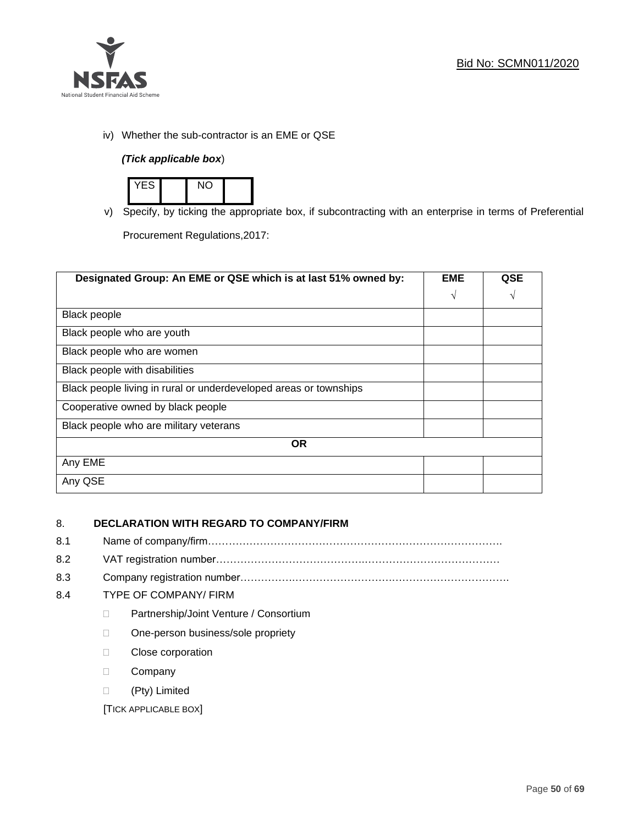

iv) Whether the sub-contractor is an EME or QSE

# *(Tick applicable box*)



v) Specify, by ticking the appropriate box, if subcontracting with an enterprise in terms of Preferential

Procurement Regulations,2017:

| Designated Group: An EME or QSE which is at last 51% owned by:    |            | <b>QSE</b> |
|-------------------------------------------------------------------|------------|------------|
|                                                                   | $\sqrt{ }$ | V          |
| <b>Black people</b>                                               |            |            |
| Black people who are youth                                        |            |            |
| Black people who are women                                        |            |            |
| Black people with disabilities                                    |            |            |
| Black people living in rural or underdeveloped areas or townships |            |            |
| Cooperative owned by black people                                 |            |            |
| Black people who are military veterans                            |            |            |
| <b>OR</b>                                                         |            |            |
| Any EME                                                           |            |            |
| Any QSE                                                           |            |            |

# 8. **DECLARATION WITH REGARD TO COMPANY/FIRM**

- 8.1 Name of company/firm………………………………………………………………………….
- 8.2 VAT registration number…………………………………….…………………………………
- 8.3 Company registration number…………….……………………….…………………………….

## 8.4 TYPE OF COMPANY/ FIRM

- D Partnership/Joint Venture / Consortium
- □ One-person business/sole propriety
- **Close corporation**
- D Company
- (Pty) Limited

[TICK APPLICABLE BOX]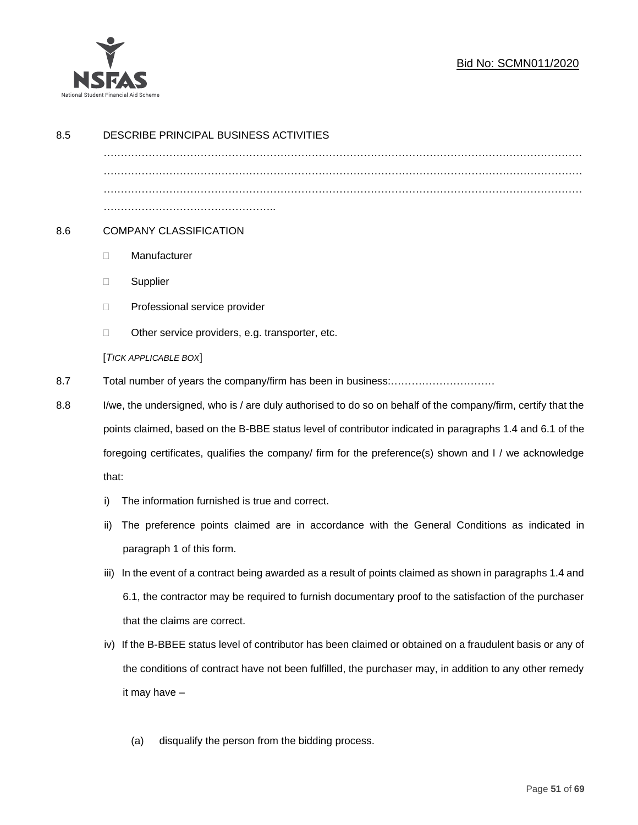

| 8.5 | DESCRIBE PRINCIPAL BUSINESS ACTIVITIES                                                                                  |                                                                                                        |  |
|-----|-------------------------------------------------------------------------------------------------------------------------|--------------------------------------------------------------------------------------------------------|--|
|     |                                                                                                                         |                                                                                                        |  |
|     |                                                                                                                         |                                                                                                        |  |
|     |                                                                                                                         |                                                                                                        |  |
| 8.6 | <b>COMPANY CLASSIFICATION</b>                                                                                           |                                                                                                        |  |
|     | O.                                                                                                                      | Manufacturer                                                                                           |  |
|     | □                                                                                                                       | Supplier                                                                                               |  |
|     | □                                                                                                                       | Professional service provider                                                                          |  |
|     | $\Box$                                                                                                                  | Other service providers, e.g. transporter, etc.                                                        |  |
|     |                                                                                                                         | [TICK APPLICABLE BOX]                                                                                  |  |
| 8.7 |                                                                                                                         |                                                                                                        |  |
| 8.8 | I/we, the undersigned, who is / are duly authorised to do so on behalf of the company/firm, certify that the            |                                                                                                        |  |
|     | points claimed, based on the B-BBE status level of contributor indicated in paragraphs 1.4 and 6.1 of the               |                                                                                                        |  |
|     | foregoing certificates, qualifies the company/ firm for the preference(s) shown and I / we acknowledge                  |                                                                                                        |  |
|     | that:                                                                                                                   |                                                                                                        |  |
|     | i)                                                                                                                      | The information furnished is true and correct.                                                         |  |
|     | ii)                                                                                                                     | The preference points claimed are in accordance with the General Conditions as indicated in            |  |
|     |                                                                                                                         | paragraph 1 of this form.                                                                              |  |
|     | iii)                                                                                                                    | In the event of a contract being awarded as a result of points claimed as shown in paragraphs 1.4 and  |  |
|     |                                                                                                                         | 6.1, the contractor may be required to furnish documentary proof to the satisfaction of the purchaser  |  |
|     |                                                                                                                         | that the claims are correct.                                                                           |  |
|     | iv)                                                                                                                     | If the B-BBEE status level of contributor has been claimed or obtained on a fraudulent basis or any of |  |
|     | the conditions of contract have not been fulfilled, the purchaser may, in addition to any other remedy<br>it may have - |                                                                                                        |  |
|     |                                                                                                                         |                                                                                                        |  |
|     |                                                                                                                         |                                                                                                        |  |
|     |                                                                                                                         | disqualify the person from the bidding process.<br>(a)                                                 |  |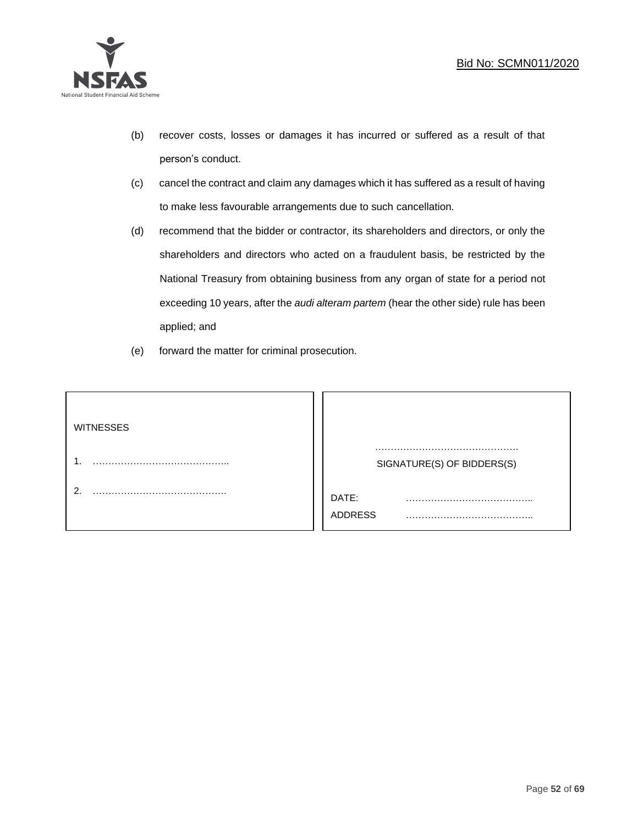

- (b) recover costs, losses or damages it has incurred or suffered as a result of that person's conduct.
- (c) cancel the contract and claim any damages which it has suffered as a result of having to make less favourable arrangements due to such cancellation.
- (d) recommend that the bidder or contractor, its shareholders and directors, or only the shareholders and directors who acted on a fraudulent basis, be restricted by the National Treasury from obtaining business from any organ of state for a period not exceeding 10 years, after the *audi alteram partem* (hear the other side) rule has been applied; and
- (e) forward the matter for criminal prosecution.

| <b>WITNESSES</b> |                              |
|------------------|------------------------------|
|                  | SIGNATURE(S) OF BIDDERS(S)   |
|                  | DATE:<br>.<br><b>ADDRESS</b> |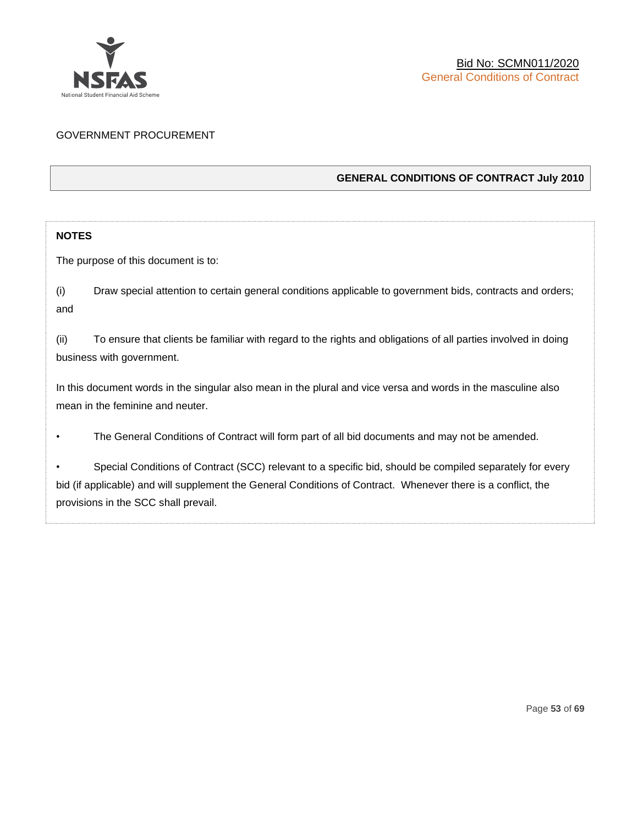

# GOVERNMENT PROCUREMENT

## **GENERAL CONDITIONS OF CONTRACT July 2010**

# **NOTES**

The purpose of this document is to:

(i) Draw special attention to certain general conditions applicable to government bids, contracts and orders; and

(ii) To ensure that clients be familiar with regard to the rights and obligations of all parties involved in doing business with government.

In this document words in the singular also mean in the plural and vice versa and words in the masculine also mean in the feminine and neuter.

• The General Conditions of Contract will form part of all bid documents and may not be amended.

Special Conditions of Contract (SCC) relevant to a specific bid, should be compiled separately for every bid (if applicable) and will supplement the General Conditions of Contract. Whenever there is a conflict, the provisions in the SCC shall prevail.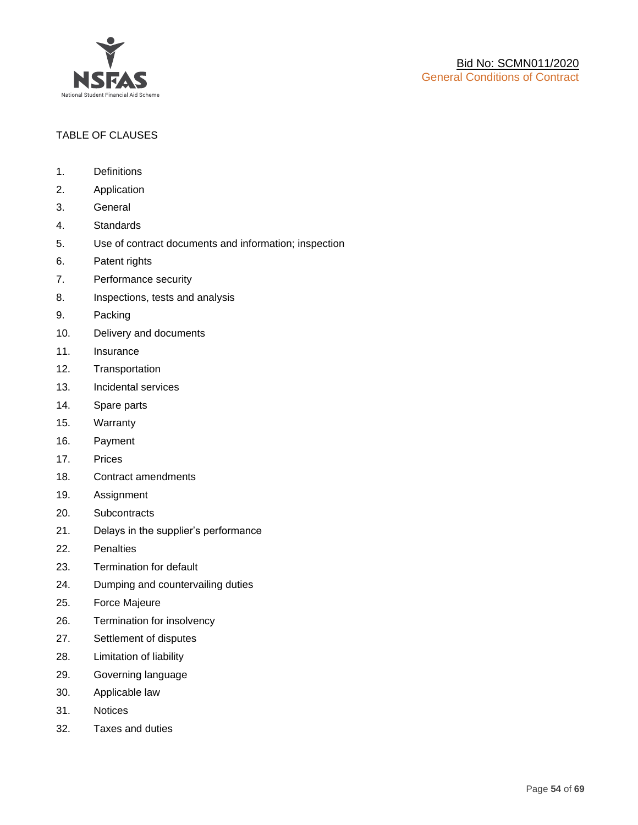

# TABLE OF CLAUSES

- 1. Definitions
- 2. Application
- 3. General
- 4. Standards
- 5. Use of contract documents and information; inspection
- 6. Patent rights
- 7. Performance security
- 8. Inspections, tests and analysis
- 9. Packing
- 10. Delivery and documents
- 11. Insurance
- 12. Transportation
- 13. Incidental services
- 14. Spare parts
- 15. Warranty
- 16. Payment
- 17. Prices
- 18. Contract amendments
- 19. Assignment
- 20. Subcontracts
- 21. Delays in the supplier's performance
- 22. Penalties
- 23. Termination for default
- 24. Dumping and countervailing duties
- 25. Force Majeure
- 26. Termination for insolvency
- 27. Settlement of disputes
- 28. Limitation of liability
- 29. Governing language
- 30. Applicable law
- 31. Notices
- 32. Taxes and duties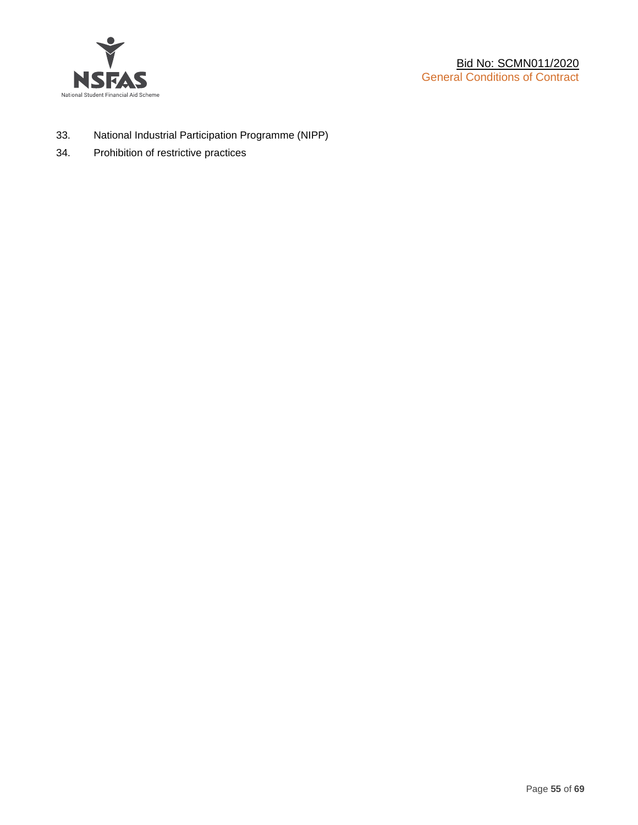

- 33. National Industrial Participation Programme (NIPP)
- 34. Prohibition of restrictive practices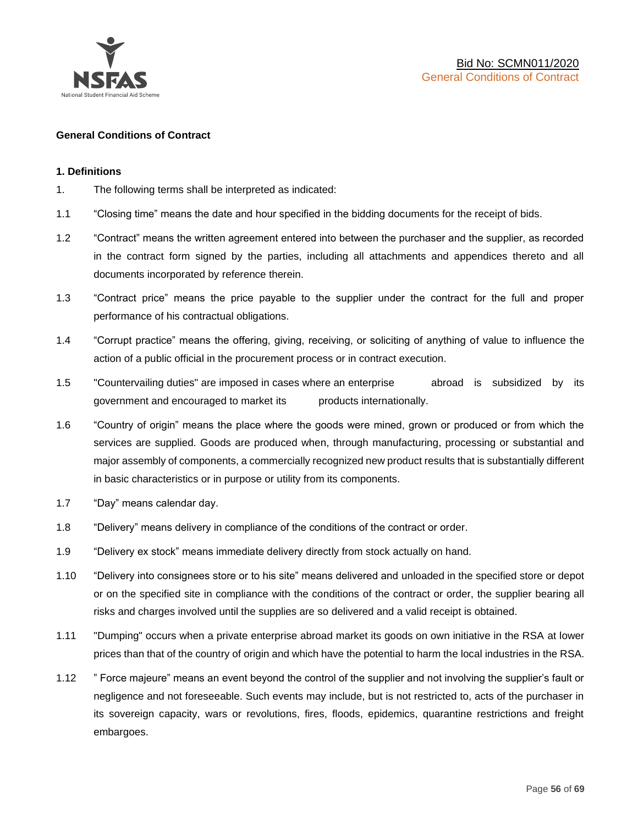

#### **General Conditions of Contract**

#### **1. Definitions**

- 1. The following terms shall be interpreted as indicated:
- 1.1 "Closing time" means the date and hour specified in the bidding documents for the receipt of bids.
- 1.2 "Contract" means the written agreement entered into between the purchaser and the supplier, as recorded in the contract form signed by the parties, including all attachments and appendices thereto and all documents incorporated by reference therein.
- 1.3 "Contract price" means the price payable to the supplier under the contract for the full and proper performance of his contractual obligations.
- 1.4 "Corrupt practice" means the offering, giving, receiving, or soliciting of anything of value to influence the action of a public official in the procurement process or in contract execution.
- 1.5 "Countervailing duties" are imposed in cases where an enterprise abroad is subsidized by its government and encouraged to market its products internationally.
- 1.6 "Country of origin" means the place where the goods were mined, grown or produced or from which the services are supplied. Goods are produced when, through manufacturing, processing or substantial and major assembly of components, a commercially recognized new product results that is substantially different in basic characteristics or in purpose or utility from its components.
- 1.7 "Day" means calendar day.
- 1.8 "Delivery" means delivery in compliance of the conditions of the contract or order.
- 1.9 "Delivery ex stock" means immediate delivery directly from stock actually on hand.
- 1.10 "Delivery into consignees store or to his site" means delivered and unloaded in the specified store or depot or on the specified site in compliance with the conditions of the contract or order, the supplier bearing all risks and charges involved until the supplies are so delivered and a valid receipt is obtained.
- 1.11 "Dumping" occurs when a private enterprise abroad market its goods on own initiative in the RSA at lower prices than that of the country of origin and which have the potential to harm the local industries in the RSA.
- 1.12 " Force majeure" means an event beyond the control of the supplier and not involving the supplier's fault or negligence and not foreseeable. Such events may include, but is not restricted to, acts of the purchaser in its sovereign capacity, wars or revolutions, fires, floods, epidemics, quarantine restrictions and freight embargoes.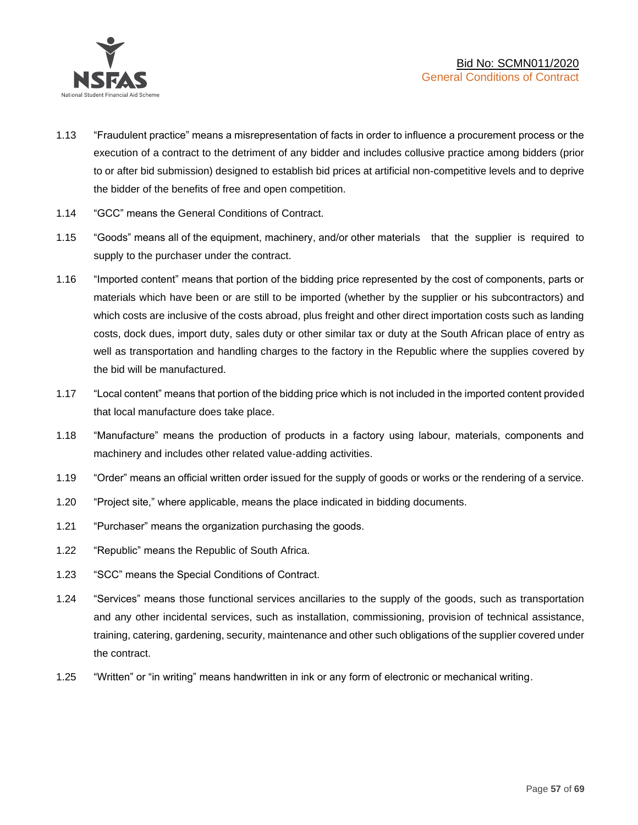

- 1.13 "Fraudulent practice" means a misrepresentation of facts in order to influence a procurement process or the execution of a contract to the detriment of any bidder and includes collusive practice among bidders (prior to or after bid submission) designed to establish bid prices at artificial non-competitive levels and to deprive the bidder of the benefits of free and open competition.
- 1.14 "GCC" means the General Conditions of Contract.
- 1.15 "Goods" means all of the equipment, machinery, and/or other materials that the supplier is required to supply to the purchaser under the contract.
- 1.16 "Imported content" means that portion of the bidding price represented by the cost of components, parts or materials which have been or are still to be imported (whether by the supplier or his subcontractors) and which costs are inclusive of the costs abroad, plus freight and other direct importation costs such as landing costs, dock dues, import duty, sales duty or other similar tax or duty at the South African place of entry as well as transportation and handling charges to the factory in the Republic where the supplies covered by the bid will be manufactured.
- 1.17 "Local content" means that portion of the bidding price which is not included in the imported content provided that local manufacture does take place.
- 1.18 "Manufacture" means the production of products in a factory using labour, materials, components and machinery and includes other related value-adding activities.
- 1.19 "Order" means an official written order issued for the supply of goods or works or the rendering of a service.
- 1.20 "Project site," where applicable, means the place indicated in bidding documents.
- 1.21 "Purchaser" means the organization purchasing the goods.
- 1.22 "Republic" means the Republic of South Africa.
- 1.23 "SCC" means the Special Conditions of Contract.
- 1.24 "Services" means those functional services ancillaries to the supply of the goods, such as transportation and any other incidental services, such as installation, commissioning, provision of technical assistance, training, catering, gardening, security, maintenance and other such obligations of the supplier covered under the contract.
- 1.25 "Written" or "in writing" means handwritten in ink or any form of electronic or mechanical writing.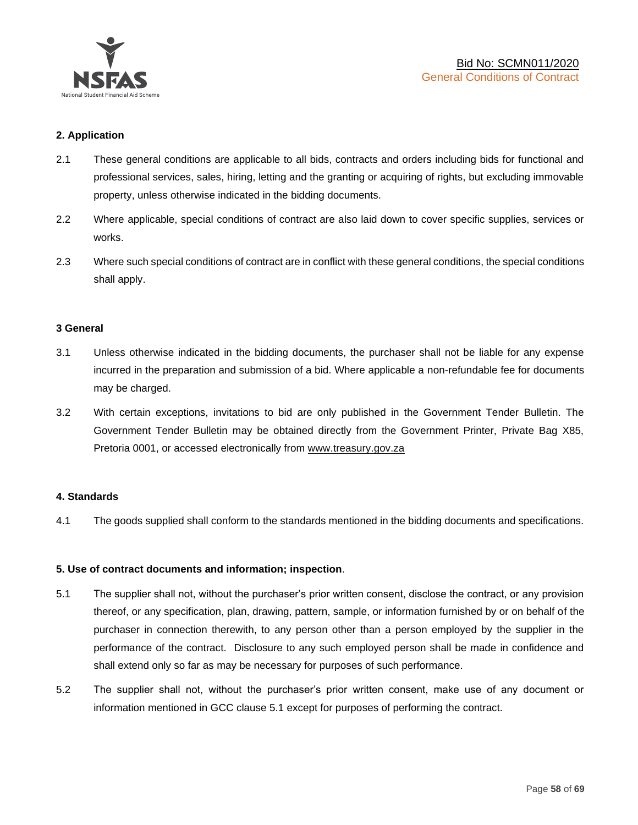

### **2. Application**

- 2.1 These general conditions are applicable to all bids, contracts and orders including bids for functional and professional services, sales, hiring, letting and the granting or acquiring of rights, but excluding immovable property, unless otherwise indicated in the bidding documents.
- 2.2 Where applicable, special conditions of contract are also laid down to cover specific supplies, services or works.
- 2.3 Where such special conditions of contract are in conflict with these general conditions, the special conditions shall apply.

#### **3 General**

- 3.1 Unless otherwise indicated in the bidding documents, the purchaser shall not be liable for any expense incurred in the preparation and submission of a bid. Where applicable a non-refundable fee for documents may be charged.
- 3.2 With certain exceptions, invitations to bid are only published in the Government Tender Bulletin. The Government Tender Bulletin may be obtained directly from the Government Printer, Private Bag X85, Pretoria 0001, or accessed electronically from [www.treasury.gov.za](http://www.treasury.gov.za/)

#### **4. Standards**

4.1 The goods supplied shall conform to the standards mentioned in the bidding documents and specifications.

#### **5. Use of contract documents and information; inspection**.

- 5.1 The supplier shall not, without the purchaser's prior written consent, disclose the contract, or any provision thereof, or any specification, plan, drawing, pattern, sample, or information furnished by or on behalf of the purchaser in connection therewith, to any person other than a person employed by the supplier in the performance of the contract. Disclosure to any such employed person shall be made in confidence and shall extend only so far as may be necessary for purposes of such performance.
- 5.2 The supplier shall not, without the purchaser's prior written consent, make use of any document or information mentioned in GCC clause 5.1 except for purposes of performing the contract.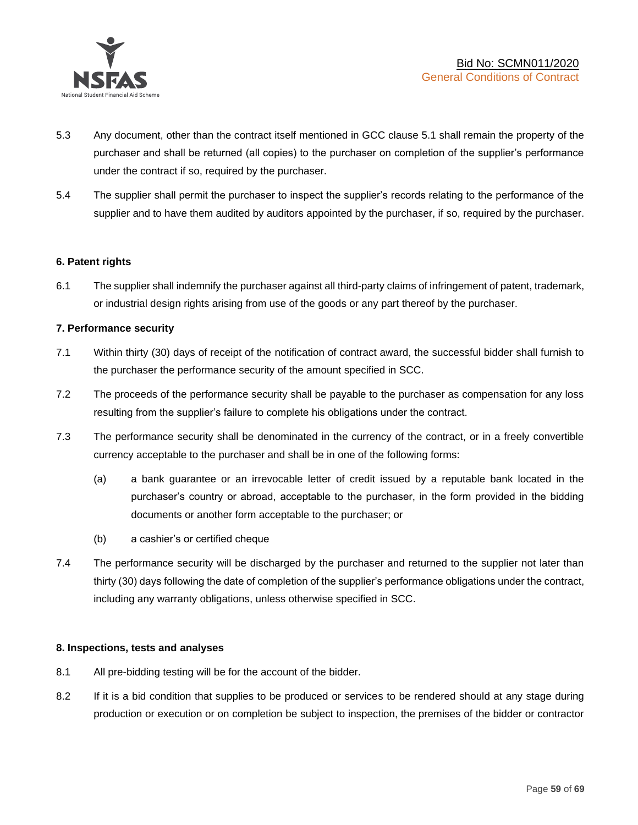

- 5.3 Any document, other than the contract itself mentioned in GCC clause 5.1 shall remain the property of the purchaser and shall be returned (all copies) to the purchaser on completion of the supplier's performance under the contract if so, required by the purchaser.
- 5.4 The supplier shall permit the purchaser to inspect the supplier's records relating to the performance of the supplier and to have them audited by auditors appointed by the purchaser, if so, required by the purchaser.

### **6. Patent rights**

6.1 The supplier shall indemnify the purchaser against all third-party claims of infringement of patent, trademark, or industrial design rights arising from use of the goods or any part thereof by the purchaser.

### **7. Performance security**

- 7.1 Within thirty (30) days of receipt of the notification of contract award, the successful bidder shall furnish to the purchaser the performance security of the amount specified in SCC.
- 7.2 The proceeds of the performance security shall be payable to the purchaser as compensation for any loss resulting from the supplier's failure to complete his obligations under the contract.
- 7.3 The performance security shall be denominated in the currency of the contract, or in a freely convertible currency acceptable to the purchaser and shall be in one of the following forms:
	- (a) a bank guarantee or an irrevocable letter of credit issued by a reputable bank located in the purchaser's country or abroad, acceptable to the purchaser, in the form provided in the bidding documents or another form acceptable to the purchaser; or
	- (b) a cashier's or certified cheque
- 7.4 The performance security will be discharged by the purchaser and returned to the supplier not later than thirty (30) days following the date of completion of the supplier's performance obligations under the contract, including any warranty obligations, unless otherwise specified in SCC.

#### **8. Inspections, tests and analyses**

- 8.1 All pre-bidding testing will be for the account of the bidder.
- 8.2 If it is a bid condition that supplies to be produced or services to be rendered should at any stage during production or execution or on completion be subject to inspection, the premises of the bidder or contractor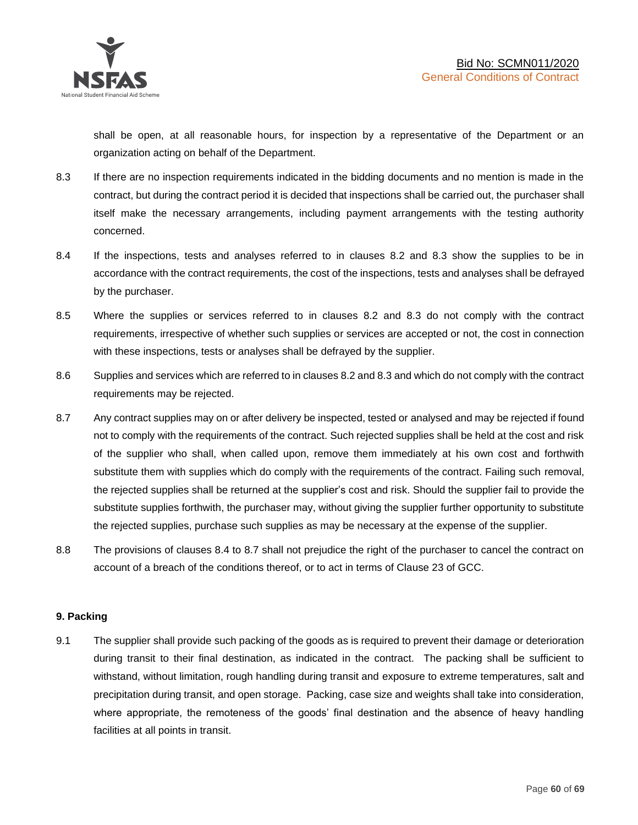shall be open, at all reasonable hours, for inspection by a representative of the Department or an organization acting on behalf of the Department.

- 8.3 If there are no inspection requirements indicated in the bidding documents and no mention is made in the contract, but during the contract period it is decided that inspections shall be carried out, the purchaser shall itself make the necessary arrangements, including payment arrangements with the testing authority concerned.
- 8.4 If the inspections, tests and analyses referred to in clauses 8.2 and 8.3 show the supplies to be in accordance with the contract requirements, the cost of the inspections, tests and analyses shall be defrayed by the purchaser.
- 8.5 Where the supplies or services referred to in clauses 8.2 and 8.3 do not comply with the contract requirements, irrespective of whether such supplies or services are accepted or not, the cost in connection with these inspections, tests or analyses shall be defrayed by the supplier.
- 8.6 Supplies and services which are referred to in clauses 8.2 and 8.3 and which do not comply with the contract requirements may be rejected.
- 8.7 Any contract supplies may on or after delivery be inspected, tested or analysed and may be rejected if found not to comply with the requirements of the contract. Such rejected supplies shall be held at the cost and risk of the supplier who shall, when called upon, remove them immediately at his own cost and forthwith substitute them with supplies which do comply with the requirements of the contract. Failing such removal, the rejected supplies shall be returned at the supplier's cost and risk. Should the supplier fail to provide the substitute supplies forthwith, the purchaser may, without giving the supplier further opportunity to substitute the rejected supplies, purchase such supplies as may be necessary at the expense of the supplier.
- 8.8 The provisions of clauses 8.4 to 8.7 shall not prejudice the right of the purchaser to cancel the contract on account of a breach of the conditions thereof, or to act in terms of Clause 23 of GCC.

## **9. Packing**

9.1 The supplier shall provide such packing of the goods as is required to prevent their damage or deterioration during transit to their final destination, as indicated in the contract. The packing shall be sufficient to withstand, without limitation, rough handling during transit and exposure to extreme temperatures, salt and precipitation during transit, and open storage. Packing, case size and weights shall take into consideration, where appropriate, the remoteness of the goods' final destination and the absence of heavy handling facilities at all points in transit.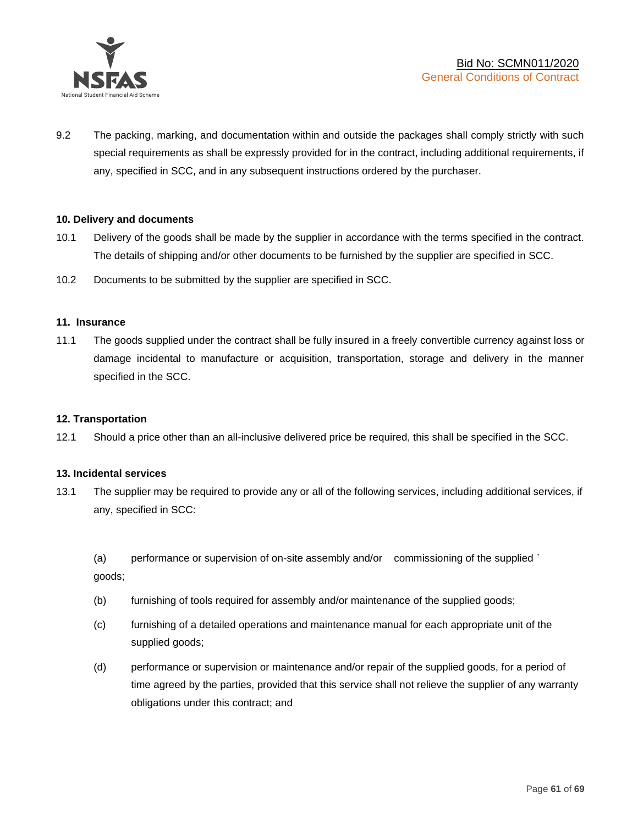

9.2 The packing, marking, and documentation within and outside the packages shall comply strictly with such special requirements as shall be expressly provided for in the contract, including additional requirements, if any, specified in SCC, and in any subsequent instructions ordered by the purchaser.

#### **10. Delivery and documents**

- 10.1 Delivery of the goods shall be made by the supplier in accordance with the terms specified in the contract. The details of shipping and/or other documents to be furnished by the supplier are specified in SCC.
- 10.2 Documents to be submitted by the supplier are specified in SCC.

#### **11. Insurance**

11.1 The goods supplied under the contract shall be fully insured in a freely convertible currency against loss or damage incidental to manufacture or acquisition, transportation, storage and delivery in the manner specified in the SCC.

#### **12. Transportation**

12.1 Should a price other than an all-inclusive delivered price be required, this shall be specified in the SCC.

#### **13. Incidental services**

13.1 The supplier may be required to provide any or all of the following services, including additional services, if any, specified in SCC:

(a) performance or supervision of on-site assembly and/or commissioning of the supplied ` goods;

- (b) furnishing of tools required for assembly and/or maintenance of the supplied goods;
- (c) furnishing of a detailed operations and maintenance manual for each appropriate unit of the supplied goods;
- (d) performance or supervision or maintenance and/or repair of the supplied goods, for a period of time agreed by the parties, provided that this service shall not relieve the supplier of any warranty obligations under this contract; and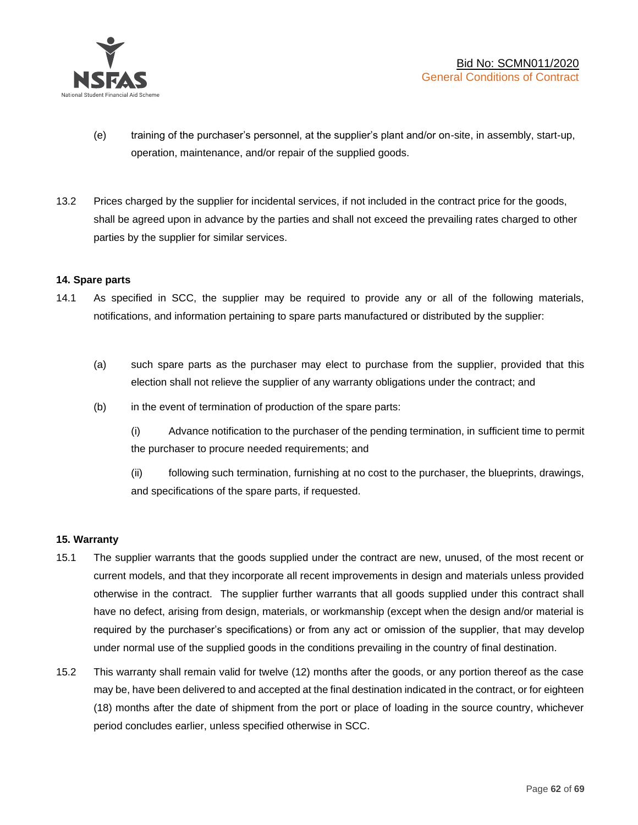

- (e) training of the purchaser's personnel, at the supplier's plant and/or on-site, in assembly, start-up, operation, maintenance, and/or repair of the supplied goods.
- 13.2 Prices charged by the supplier for incidental services, if not included in the contract price for the goods, shall be agreed upon in advance by the parties and shall not exceed the prevailing rates charged to other parties by the supplier for similar services.

### **14. Spare parts**

- 14.1 As specified in SCC, the supplier may be required to provide any or all of the following materials, notifications, and information pertaining to spare parts manufactured or distributed by the supplier:
	- (a) such spare parts as the purchaser may elect to purchase from the supplier, provided that this election shall not relieve the supplier of any warranty obligations under the contract; and
	- (b) in the event of termination of production of the spare parts:

(i) Advance notification to the purchaser of the pending termination, in sufficient time to permit the purchaser to procure needed requirements; and

(ii) following such termination, furnishing at no cost to the purchaser, the blueprints, drawings, and specifications of the spare parts, if requested.

#### **15. Warranty**

- 15.1 The supplier warrants that the goods supplied under the contract are new, unused, of the most recent or current models, and that they incorporate all recent improvements in design and materials unless provided otherwise in the contract. The supplier further warrants that all goods supplied under this contract shall have no defect, arising from design, materials, or workmanship (except when the design and/or material is required by the purchaser's specifications) or from any act or omission of the supplier, that may develop under normal use of the supplied goods in the conditions prevailing in the country of final destination.
- 15.2 This warranty shall remain valid for twelve (12) months after the goods, or any portion thereof as the case may be, have been delivered to and accepted at the final destination indicated in the contract, or for eighteen (18) months after the date of shipment from the port or place of loading in the source country, whichever period concludes earlier, unless specified otherwise in SCC.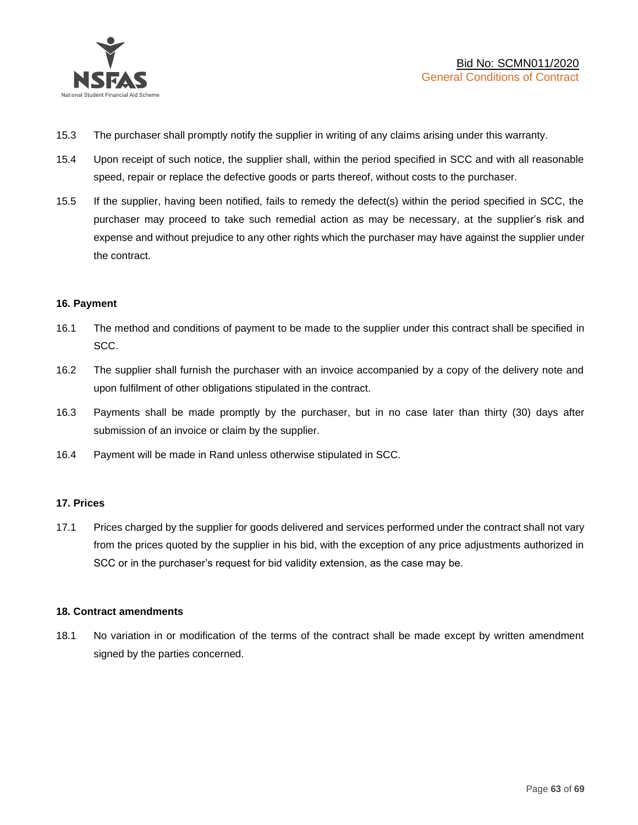

- 15.3 The purchaser shall promptly notify the supplier in writing of any claims arising under this warranty.
- 15.4 Upon receipt of such notice, the supplier shall, within the period specified in SCC and with all reasonable speed, repair or replace the defective goods or parts thereof, without costs to the purchaser.
- 15.5 If the supplier, having been notified, fails to remedy the defect(s) within the period specified in SCC, the purchaser may proceed to take such remedial action as may be necessary, at the supplier's risk and expense and without prejudice to any other rights which the purchaser may have against the supplier under the contract.

### **16. Payment**

- 16.1 The method and conditions of payment to be made to the supplier under this contract shall be specified in SCC.
- 16.2 The supplier shall furnish the purchaser with an invoice accompanied by a copy of the delivery note and upon fulfilment of other obligations stipulated in the contract.
- 16.3 Payments shall be made promptly by the purchaser, but in no case later than thirty (30) days after submission of an invoice or claim by the supplier.
- 16.4 Payment will be made in Rand unless otherwise stipulated in SCC.

#### **17. Prices**

17.1 Prices charged by the supplier for goods delivered and services performed under the contract shall not vary from the prices quoted by the supplier in his bid, with the exception of any price adjustments authorized in SCC or in the purchaser's request for bid validity extension, as the case may be.

#### **18. Contract amendments**

18.1 No variation in or modification of the terms of the contract shall be made except by written amendment signed by the parties concerned.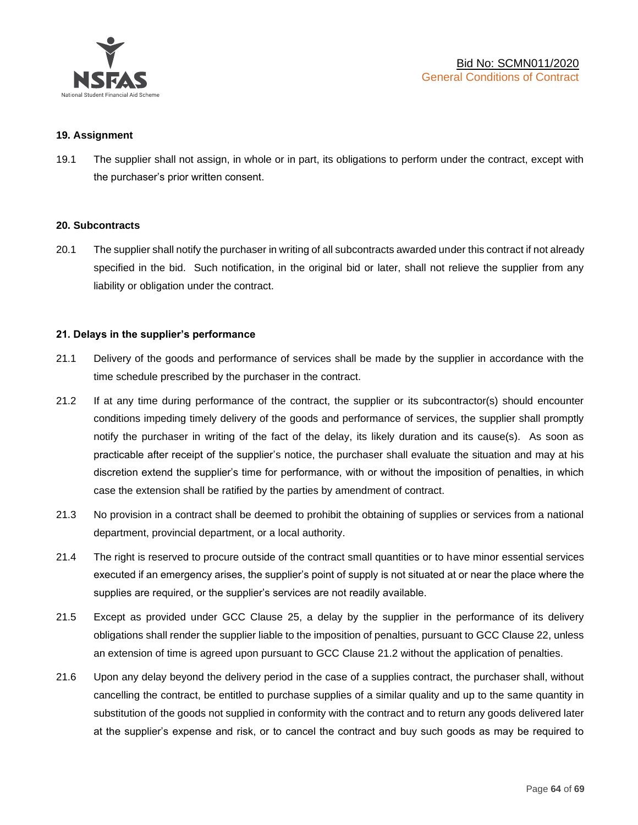

#### **19. Assignment**

19.1 The supplier shall not assign, in whole or in part, its obligations to perform under the contract, except with the purchaser's prior written consent.

#### **20. Subcontracts**

20.1 The supplier shall notify the purchaser in writing of all subcontracts awarded under this contract if not already specified in the bid. Such notification, in the original bid or later, shall not relieve the supplier from any liability or obligation under the contract.

### **21. Delays in the supplier's performance**

- 21.1 Delivery of the goods and performance of services shall be made by the supplier in accordance with the time schedule prescribed by the purchaser in the contract.
- 21.2 If at any time during performance of the contract, the supplier or its subcontractor(s) should encounter conditions impeding timely delivery of the goods and performance of services, the supplier shall promptly notify the purchaser in writing of the fact of the delay, its likely duration and its cause(s). As soon as practicable after receipt of the supplier's notice, the purchaser shall evaluate the situation and may at his discretion extend the supplier's time for performance, with or without the imposition of penalties, in which case the extension shall be ratified by the parties by amendment of contract.
- 21.3 No provision in a contract shall be deemed to prohibit the obtaining of supplies or services from a national department, provincial department, or a local authority.
- 21.4 The right is reserved to procure outside of the contract small quantities or to have minor essential services executed if an emergency arises, the supplier's point of supply is not situated at or near the place where the supplies are required, or the supplier's services are not readily available.
- 21.5 Except as provided under GCC Clause 25, a delay by the supplier in the performance of its delivery obligations shall render the supplier liable to the imposition of penalties, pursuant to GCC Clause 22, unless an extension of time is agreed upon pursuant to GCC Clause 21.2 without the application of penalties.
- 21.6 Upon any delay beyond the delivery period in the case of a supplies contract, the purchaser shall, without cancelling the contract, be entitled to purchase supplies of a similar quality and up to the same quantity in substitution of the goods not supplied in conformity with the contract and to return any goods delivered later at the supplier's expense and risk, or to cancel the contract and buy such goods as may be required to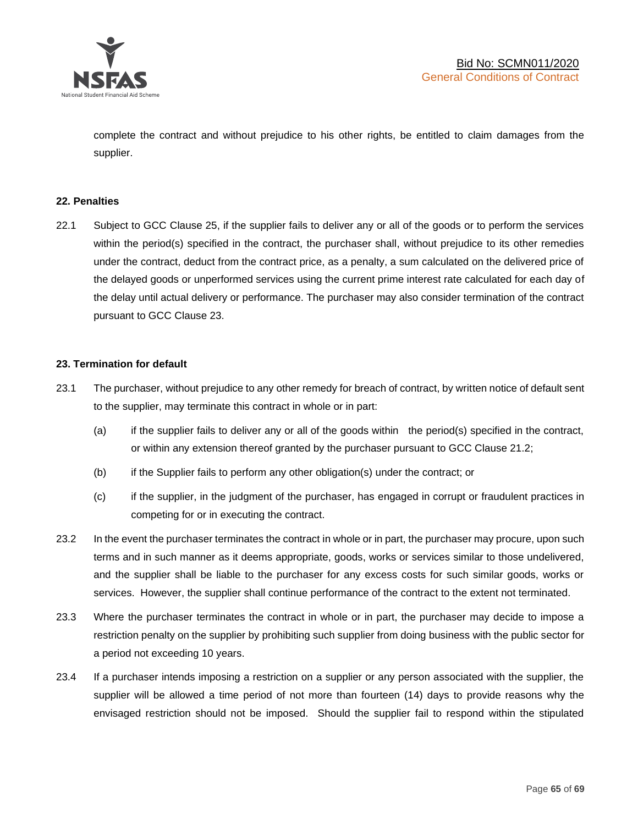

complete the contract and without prejudice to his other rights, be entitled to claim damages from the supplier.

#### **22. Penalties**

22.1 Subject to GCC Clause 25, if the supplier fails to deliver any or all of the goods or to perform the services within the period(s) specified in the contract, the purchaser shall, without prejudice to its other remedies under the contract, deduct from the contract price, as a penalty, a sum calculated on the delivered price of the delayed goods or unperformed services using the current prime interest rate calculated for each day of the delay until actual delivery or performance. The purchaser may also consider termination of the contract pursuant to GCC Clause 23.

### **23. Termination for default**

- 23.1 The purchaser, without prejudice to any other remedy for breach of contract, by written notice of default sent to the supplier, may terminate this contract in whole or in part:
	- (a) if the supplier fails to deliver any or all of the goods within the period(s) specified in the contract, or within any extension thereof granted by the purchaser pursuant to GCC Clause 21.2;
	- (b) if the Supplier fails to perform any other obligation(s) under the contract; or
	- (c) if the supplier, in the judgment of the purchaser, has engaged in corrupt or fraudulent practices in competing for or in executing the contract.
- 23.2 In the event the purchaser terminates the contract in whole or in part, the purchaser may procure, upon such terms and in such manner as it deems appropriate, goods, works or services similar to those undelivered, and the supplier shall be liable to the purchaser for any excess costs for such similar goods, works or services. However, the supplier shall continue performance of the contract to the extent not terminated.
- 23.3 Where the purchaser terminates the contract in whole or in part, the purchaser may decide to impose a restriction penalty on the supplier by prohibiting such supplier from doing business with the public sector for a period not exceeding 10 years.
- 23.4 If a purchaser intends imposing a restriction on a supplier or any person associated with the supplier, the supplier will be allowed a time period of not more than fourteen (14) days to provide reasons why the envisaged restriction should not be imposed. Should the supplier fail to respond within the stipulated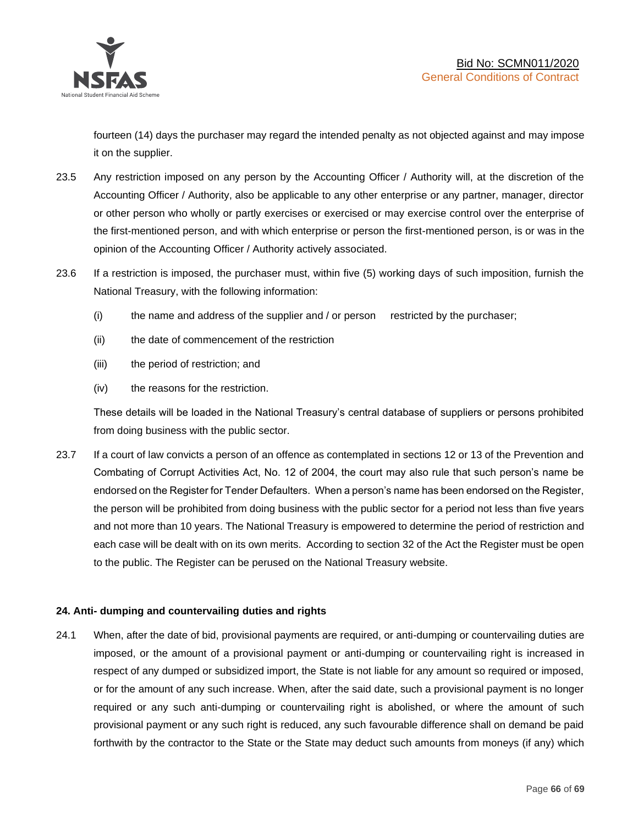

fourteen (14) days the purchaser may regard the intended penalty as not objected against and may impose it on the supplier.

- 23.5 Any restriction imposed on any person by the Accounting Officer / Authority will, at the discretion of the Accounting Officer / Authority, also be applicable to any other enterprise or any partner, manager, director or other person who wholly or partly exercises or exercised or may exercise control over the enterprise of the first-mentioned person, and with which enterprise or person the first-mentioned person, is or was in the opinion of the Accounting Officer / Authority actively associated.
- 23.6 If a restriction is imposed, the purchaser must, within five (5) working days of such imposition, furnish the National Treasury, with the following information:
	- (i) the name and address of the supplier and / or person restricted by the purchaser;
	- (ii) the date of commencement of the restriction
	- (iii) the period of restriction; and
	- (iv) the reasons for the restriction.

These details will be loaded in the National Treasury's central database of suppliers or persons prohibited from doing business with the public sector.

23.7 If a court of law convicts a person of an offence as contemplated in sections 12 or 13 of the Prevention and Combating of Corrupt Activities Act, No. 12 of 2004, the court may also rule that such person's name be endorsed on the Register for Tender Defaulters. When a person's name has been endorsed on the Register, the person will be prohibited from doing business with the public sector for a period not less than five years and not more than 10 years. The National Treasury is empowered to determine the period of restriction and each case will be dealt with on its own merits. According to section 32 of the Act the Register must be open to the public. The Register can be perused on the National Treasury website.

## **24. Anti- dumping and countervailing duties and rights**

24.1 When, after the date of bid, provisional payments are required, or anti-dumping or countervailing duties are imposed, or the amount of a provisional payment or anti-dumping or countervailing right is increased in respect of any dumped or subsidized import, the State is not liable for any amount so required or imposed, or for the amount of any such increase. When, after the said date, such a provisional payment is no longer required or any such anti-dumping or countervailing right is abolished, or where the amount of such provisional payment or any such right is reduced, any such favourable difference shall on demand be paid forthwith by the contractor to the State or the State may deduct such amounts from moneys (if any) which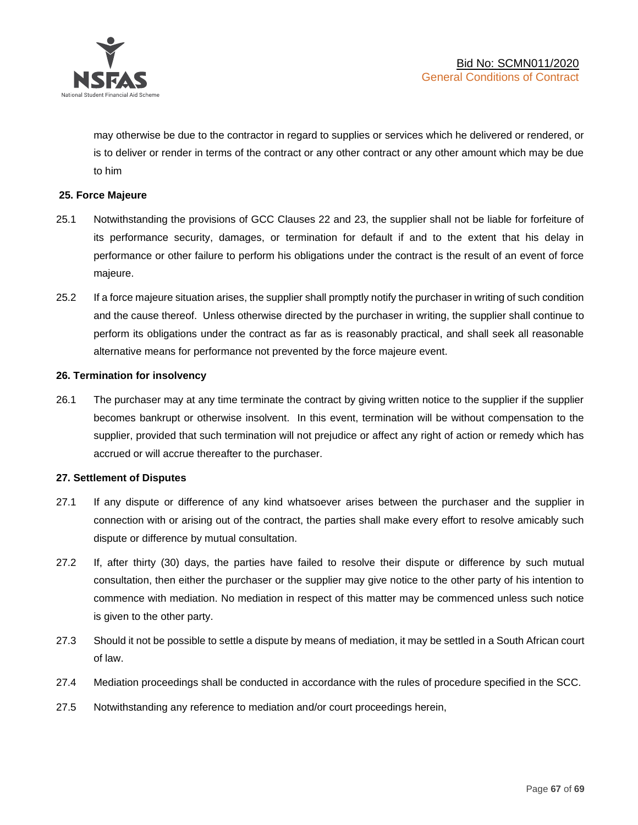

may otherwise be due to the contractor in regard to supplies or services which he delivered or rendered, or is to deliver or render in terms of the contract or any other contract or any other amount which may be due to him

### **25. Force Majeure**

- 25.1 Notwithstanding the provisions of GCC Clauses 22 and 23, the supplier shall not be liable for forfeiture of its performance security, damages, or termination for default if and to the extent that his delay in performance or other failure to perform his obligations under the contract is the result of an event of force majeure.
- 25.2 If a force majeure situation arises, the supplier shall promptly notify the purchaser in writing of such condition and the cause thereof. Unless otherwise directed by the purchaser in writing, the supplier shall continue to perform its obligations under the contract as far as is reasonably practical, and shall seek all reasonable alternative means for performance not prevented by the force majeure event.

#### **26. Termination for insolvency**

26.1 The purchaser may at any time terminate the contract by giving written notice to the supplier if the supplier becomes bankrupt or otherwise insolvent. In this event, termination will be without compensation to the supplier, provided that such termination will not prejudice or affect any right of action or remedy which has accrued or will accrue thereafter to the purchaser.

#### **27. Settlement of Disputes**

- 27.1 If any dispute or difference of any kind whatsoever arises between the purchaser and the supplier in connection with or arising out of the contract, the parties shall make every effort to resolve amicably such dispute or difference by mutual consultation.
- 27.2 If, after thirty (30) days, the parties have failed to resolve their dispute or difference by such mutual consultation, then either the purchaser or the supplier may give notice to the other party of his intention to commence with mediation. No mediation in respect of this matter may be commenced unless such notice is given to the other party.
- 27.3 Should it not be possible to settle a dispute by means of mediation, it may be settled in a South African court of law.
- 27.4 Mediation proceedings shall be conducted in accordance with the rules of procedure specified in the SCC.
- 27.5 Notwithstanding any reference to mediation and/or court proceedings herein,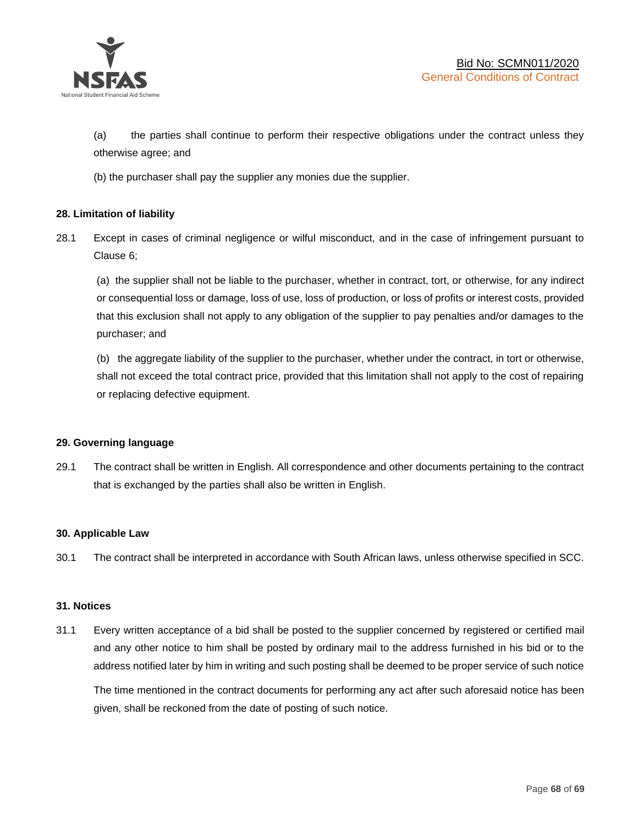

(a) the parties shall continue to perform their respective obligations under the contract unless they otherwise agree; and

(b) the purchaser shall pay the supplier any monies due the supplier.

## **28. Limitation of liability**

28.1 Except in cases of criminal negligence or wilful misconduct, and in the case of infringement pursuant to Clause 6;

(a) the supplier shall not be liable to the purchaser, whether in contract, tort, or otherwise, for any indirect or consequential loss or damage, loss of use, loss of production, or loss of profits or interest costs, provided that this exclusion shall not apply to any obligation of the supplier to pay penalties and/or damages to the purchaser; and

(b) the aggregate liability of the supplier to the purchaser, whether under the contract, in tort or otherwise, shall not exceed the total contract price, provided that this limitation shall not apply to the cost of repairing or replacing defective equipment.

#### **29. Governing language**

29.1 The contract shall be written in English. All correspondence and other documents pertaining to the contract that is exchanged by the parties shall also be written in English.

#### **30. Applicable Law**

30.1 The contract shall be interpreted in accordance with South African laws, unless otherwise specified in SCC.

#### **31. Notices**

31.1 Every written acceptance of a bid shall be posted to the supplier concerned by registered or certified mail and any other notice to him shall be posted by ordinary mail to the address furnished in his bid or to the address notified later by him in writing and such posting shall be deemed to be proper service of such notice

The time mentioned in the contract documents for performing any act after such aforesaid notice has been given, shall be reckoned from the date of posting of such notice.